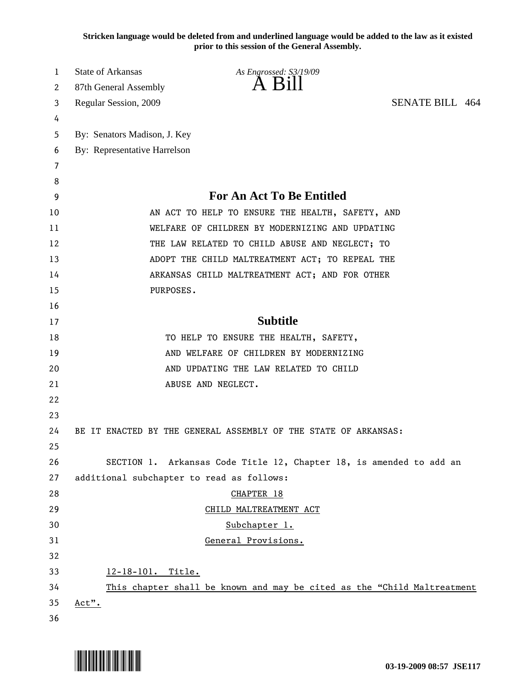**Stricken language would be deleted from and underlined language would be added to the law as it existed prior to this session of the General Assembly.**

| 1  | State of Arkansas                         | As Engrossed: S3/19/09                                                  |                        |
|----|-------------------------------------------|-------------------------------------------------------------------------|------------------------|
| 2  | 87th General Assembly                     | $A$ $B11$                                                               |                        |
| 3  | Regular Session, 2009                     |                                                                         | <b>SENATE BILL 464</b> |
| 4  |                                           |                                                                         |                        |
| 5  | By: Senators Madison, J. Key              |                                                                         |                        |
| 6  | By: Representative Harrelson              |                                                                         |                        |
| 7  |                                           |                                                                         |                        |
| 8  |                                           |                                                                         |                        |
| 9  |                                           | <b>For An Act To Be Entitled</b>                                        |                        |
| 10 |                                           | AN ACT TO HELP TO ENSURE THE HEALTH, SAFETY, AND                        |                        |
| 11 |                                           | WELFARE OF CHILDREN BY MODERNIZING AND UPDATING                         |                        |
| 12 |                                           | THE LAW RELATED TO CHILD ABUSE AND NEGLECT; TO                          |                        |
| 13 |                                           | ADOPT THE CHILD MALTREATMENT ACT; TO REPEAL THE                         |                        |
| 14 |                                           | ARKANSAS CHILD MALTREATMENT ACT; AND FOR OTHER                          |                        |
| 15 | PURPOSES.                                 |                                                                         |                        |
| 16 |                                           |                                                                         |                        |
| 17 |                                           | <b>Subtitle</b>                                                         |                        |
| 18 |                                           | TO HELP TO ENSURE THE HEALTH, SAFETY,                                   |                        |
| 19 |                                           | AND WELFARE OF CHILDREN BY MODERNIZING                                  |                        |
| 20 |                                           | AND UPDATING THE LAW RELATED TO CHILD                                   |                        |
| 21 |                                           | ABUSE AND NEGLECT.                                                      |                        |
| 22 |                                           |                                                                         |                        |
| 23 |                                           |                                                                         |                        |
| 24 |                                           | BE IT ENACTED BY THE GENERAL ASSEMBLY OF THE STATE OF ARKANSAS:         |                        |
| 25 |                                           |                                                                         |                        |
| 26 |                                           | SECTION 1. Arkansas Code Title 12, Chapter 18, is amended to add an     |                        |
| 27 | additional subchapter to read as follows: |                                                                         |                        |
| 28 |                                           | CHAPTER 18                                                              |                        |
| 29 |                                           | CHILD MALTREATMENT ACT                                                  |                        |
| 30 |                                           | Subchapter 1.                                                           |                        |
| 31 |                                           | General Provisions.                                                     |                        |
| 32 |                                           |                                                                         |                        |
| 33 | 12-18-101. Title.                         |                                                                         |                        |
| 34 |                                           | This chapter shall be known and may be cited as the "Child Maltreatment |                        |
| 35 | <u>Act".</u>                              |                                                                         |                        |
| 36 |                                           |                                                                         |                        |

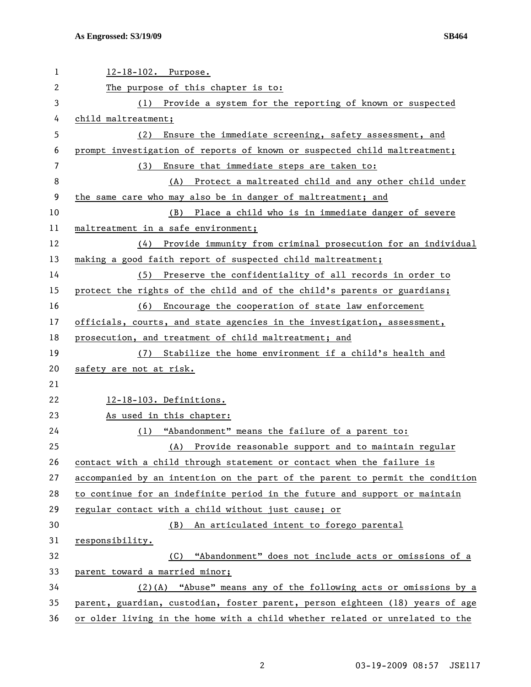| 1  | 12-18-102. Purpose.                                                           |
|----|-------------------------------------------------------------------------------|
| 2  | The purpose of this chapter is to:                                            |
| 3  | (1) Provide a system for the reporting of known or suspected                  |
| 4  | child maltreatment;                                                           |
| 5  | (2)<br>Ensure the immediate screening, safety assessment, and                 |
| 6  | prompt investigation of reports of known or suspected child maltreatment;     |
| 7  | Ensure that immediate steps are taken to:<br>(3)                              |
| 8  | (A) Protect a maltreated child and any other child under                      |
| 9  | the same care who may also be in danger of maltreatment; and                  |
| 10 | Place a child who is in immediate danger of severe<br>(B)                     |
| 11 | maltreatment in a safe environment;                                           |
| 12 | Provide immunity from criminal prosecution for an individual<br>(4)           |
| 13 | making a good faith report of suspected child maltreatment;                   |
| 14 | Preserve the confidentiality of all records in order to<br>(5)                |
| 15 | protect the rights of the child and of the child's parents or guardians;      |
| 16 | (6)<br>Encourage the cooperation of state law enforcement                     |
| 17 | officials, courts, and state agencies in the investigation, assessment,       |
| 18 | prosecution, and treatment of child maltreatment; and                         |
| 19 | Stabilize the home environment if a child's health and<br>(7)                 |
| 20 | safety are not at risk.                                                       |
| 21 |                                                                               |
| 22 | 12-18-103. Definitions.                                                       |
| 23 | As used in this chapter:                                                      |
| 24 | (1) "Abandonment" means the failure of a parent to:                           |
| 25 | Provide reasonable support and to maintain regular<br>(A)                     |
| 26 | contact with a child through statement or contact when the failure is         |
| 27 | accompanied by an intention on the part of the parent to permit the condition |
| 28 | to continue for an indefinite period in the future and support or maintain    |
| 29 | regular contact with a child without just cause; or                           |
| 30 | An articulated intent to forego parental<br>(B)                               |
| 31 | responsibility.                                                               |
| 32 | "Abandonment" does not include acts or omissions of a<br>(C)                  |
| 33 | parent toward a married minor;                                                |
| 34 | (2)(A) "Abuse" means any of the following acts or omissions by a              |
| 35 | parent, guardian, custodian, foster parent, person eighteen (18) years of age |
| 36 | or older living in the home with a child whether related or unrelated to the  |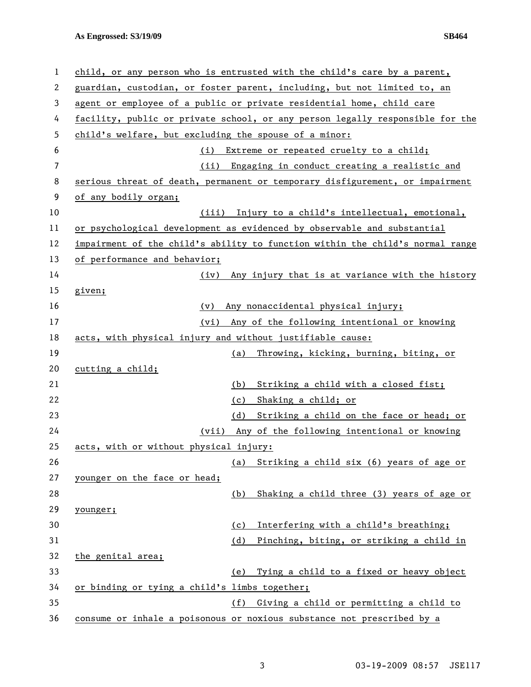| 1  | child, or any person who is entrusted with the child's care by a parent,      |
|----|-------------------------------------------------------------------------------|
| 2  | guardian, custodian, or foster parent, including, but not limited to, an      |
| 3  | agent or employee of a public or private residential home, child care         |
| 4  | facility, public or private school, or any person legally responsible for the |
| 5  | child's welfare, but excluding the spouse of a minor:                         |
| 6  | (i) Extreme or repeated cruelty to a child;                                   |
| 7  | (ii) Engaging in conduct creating a realistic and                             |
| 8  | serious threat of death, permanent or temporary disfigurement, or impairment  |
| 9  | of any bodily organ;                                                          |
| 10 | (iii) Injury to a child's intellectual, emotional,                            |
| 11 | or psychological development as evidenced by observable and substantial       |
| 12 | impairment of the child's ability to function within the child's normal range |
| 13 | of performance and behavior;                                                  |
| 14 | Any injury that is at variance with the history<br>(iv)                       |
| 15 | given;                                                                        |
| 16 | Any nonaccidental physical injury;<br>(v)                                     |
| 17 | Any of the following intentional or knowing<br>(vi)                           |
| 18 | acts, with physical injury and without justifiable cause:                     |
| 19 | Throwing, kicking, burning, biting, or<br>(a)                                 |
| 20 | cutting a child;                                                              |
| 21 | Striking a child with a closed fist;<br>(b)                                   |
| 22 | (c)<br>Shaking a child; or                                                    |
| 23 | Striking a child on the face or head; or<br>(d)                               |
| 24 | (vii) Any of the following intentional or knowing                             |
| 25 | acts, with or without physical injury:                                        |
| 26 | Striking a child six (6) years of age or<br>(a)                               |
| 27 | younger on the face or head;                                                  |
| 28 | Shaking a child three (3) years of age or<br>(b)                              |
| 29 | younger;                                                                      |
| 30 | Interfering with a child's breathing;<br>(c)                                  |
| 31 | (d)<br>Pinching, biting, or striking a child in                               |
| 32 | the genital area;                                                             |
| 33 | Tying a child to a fixed or heavy object<br>(e)                               |
| 34 | or binding or tying a child's limbs together;                                 |
| 35 | Giving a child or permitting a child to<br>(f)                                |
| 36 | consume or inhale a poisonous or noxious substance not prescribed by a        |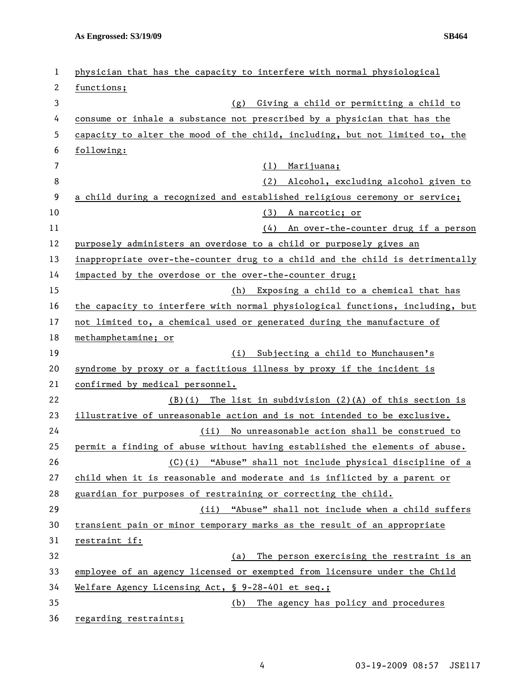| 1  | physician that has the capacity to interfere with normal physiological        |
|----|-------------------------------------------------------------------------------|
| 2  | functions;                                                                    |
| 3  | Giving a child or permitting a child to<br>(g)                                |
| 4  | consume or inhale a substance not prescribed by a physician that has the      |
| 5  | capacity to alter the mood of the child, including, but not limited to, the   |
| 6  | following:                                                                    |
| 7  | (1)<br>Marijuana;                                                             |
| 8  | (2)<br>Alcohol, excluding alcohol given to                                    |
| 9  | a child during a recognized and established religious ceremony or service;    |
| 10 | (3) A narcotic; or                                                            |
| 11 | (4) An over-the-counter drug if a person                                      |
| 12 | purposely administers an overdose to a child or purposely gives an            |
| 13 | inappropriate over-the-counter drug to a child and the child is detrimentally |
| 14 | impacted by the overdose or the over-the-counter drug;                        |
| 15 | (h) Exposing a child to a chemical that has                                   |
| 16 | the capacity to interfere with normal physiological functions, including, but |
| 17 | not limited to, a chemical used or generated during the manufacture of        |
| 18 | methamphetamine; or                                                           |
| 19 | Subjecting a child to Munchausen's<br>(i)                                     |
| 20 | syndrome by proxy or a factitious illness by proxy if the incident is         |
| 21 | confirmed by medical personnel.                                               |
| 22 | $(B)(i)$ The list in subdivision $(2)(A)$ of this section is                  |
| 23 | illustrative of unreasonable action and is not intended to be exclusive.      |
| 24 | No unreasonable action shall be construed to<br>(ii)                          |
| 25 | permit a finding of abuse without having established the elements of abuse.   |
| 26 | (C)(i) "Abuse" shall not include physical discipline of a                     |
| 27 | child when it is reasonable and moderate and is inflicted by a parent or      |
| 28 | guardian for purposes of restraining or correcting the child.                 |
| 29 | (ii) "Abuse" shall not include when a child suffers                           |
| 30 | transient pain or minor temporary marks as the result of an appropriate       |
| 31 | restraint if:                                                                 |
| 32 | The person exercising the restraint is an<br>(a)                              |
| 33 | employee of an agency licensed or exempted from licensure under the Child     |
| 34 | Welfare Agency Licensing Act, § 9-28-401 et seq.;                             |
| 35 | The agency has policy and procedures<br>(b)                                   |
| 36 | regarding restraints;                                                         |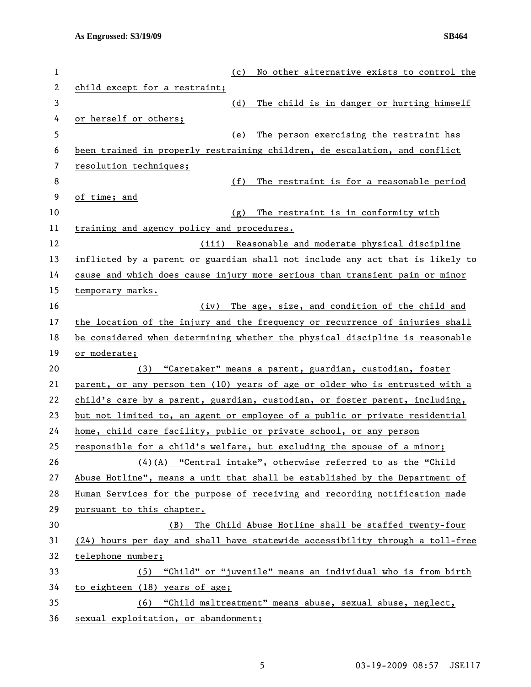| 1  | No other alternative exists to control the<br>(c)                             |
|----|-------------------------------------------------------------------------------|
| 2  | child except for a restraint;                                                 |
| 3  | (d)<br>The child is in danger or hurting himself                              |
| 4  | or herself or others;                                                         |
| 5  | The person exercising the restraint has<br>(e)                                |
| 6  | been trained in properly restraining children, de escalation, and conflict    |
| 7  | resolution techniques;                                                        |
| 8  | (f)<br>The restraint is for a reasonable period                               |
| 9  | of time; and                                                                  |
| 10 | The restraint is in conformity with<br>(g)                                    |
| 11 | training and agency policy and procedures.                                    |
| 12 | (iii) Reasonable and moderate physical discipline                             |
| 13 | inflicted by a parent or guardian shall not include any act that is likely to |
| 14 | cause and which does cause injury more serious than transient pain or minor   |
| 15 | temporary marks.                                                              |
| 16 | The age, size, and condition of the child and<br>(iv)                         |
| 17 | the location of the injury and the frequency or recurrence of injuries shall  |
| 18 | be considered when determining whether the physical discipline is reasonable  |
| 19 | or moderate;                                                                  |
| 20 | (3) "Caretaker" means a parent, guardian, custodian, foster                   |
| 21 | parent, or any person ten (10) years of age or older who is entrusted with a  |
| 22 | child's care by a parent, guardian, custodian, or foster parent, including,   |
| 23 | but not limited to, an agent or employee of a public or private residential   |
| 24 | home, child care facility, public or private school, or any person            |
| 25 | responsible for a child's welfare, but excluding the spouse of a minor;       |
| 26 | $(4)(A)$ "Central intake", otherwise referred to as the "Child"               |
| 27 | Abuse Hotline", means a unit that shall be established by the Department of   |
| 28 | Human Services for the purpose of receiving and recording notification made   |
| 29 | pursuant to this chapter.                                                     |
| 30 | The Child Abuse Hotline shall be staffed twenty-four<br>(B)                   |
| 31 | (24) hours per day and shall have statewide accessibility through a toll-free |
| 32 | telephone number;                                                             |
| 33 | (5) "Child" or "juvenile" means an individual who is from birth               |
| 34 | to eighteen (18) years of age;                                                |
| 35 | (6) "Child maltreatment" means abuse, sexual abuse, neglect,                  |
| 36 | sexual exploitation, or abandonment;                                          |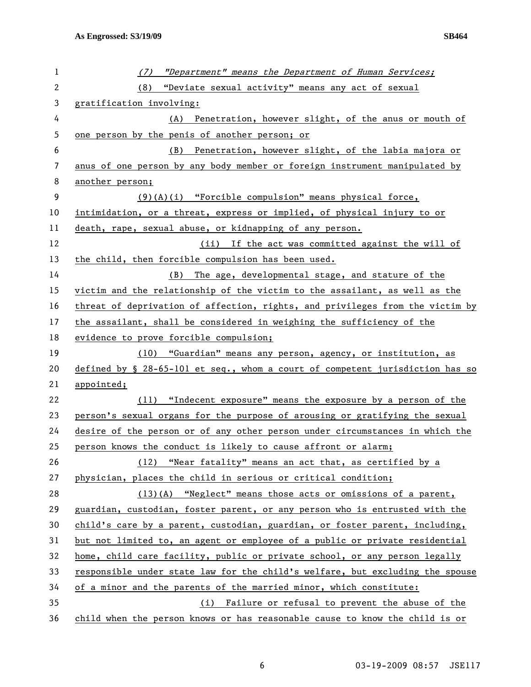| 1              | "Department" means the Department of Human Services;<br>(7)                   |
|----------------|-------------------------------------------------------------------------------|
| $\overline{c}$ | (8) "Deviate sexual activity" means any act of sexual                         |
| 3              | gratification involving:                                                      |
| 4              | Penetration, however slight, of the anus or mouth of<br>(A)                   |
| 5              | one person by the penis of another person; or                                 |
| 6              | Penetration, however slight, of the labia majora or<br>(B)                    |
| 7              | anus of one person by any body member or foreign instrument manipulated by    |
| 8              | another person;                                                               |
| 9              | $(9)(A)(i)$ "Forcible compulsion" means physical force,                       |
| 10             | intimidation, or a threat, express or implied, of physical injury to or       |
| 11             | death, rape, sexual abuse, or kidnapping of any person.                       |
| 12             | (ii) If the act was committed against the will of                             |
| 13             | the child, then forcible compulsion has been used.                            |
| 14             | The age, developmental stage, and stature of the<br>(B)                       |
| 15             | victim and the relationship of the victim to the assailant, as well as the    |
| 16             | threat of deprivation of affection, rights, and privileges from the victim by |
| 17             | the assailant, shall be considered in weighing the sufficiency of the         |
| 18             | evidence to prove forcible compulsion;                                        |
| 19             | (10) "Guardian" means any person, agency, or institution, as                  |
| 20             | defined by § 28-65-101 et seq., whom a court of competent jurisdiction has so |
| 21             | appointed;                                                                    |
| 22             | (11) "Indecent exposure" means the exposure by a person of the                |
| 23             | person's sexual organs for the purpose of arousing or gratifying the sexual   |
| 24             | desire of the person or of any other person under circumstances in which the  |
| 25             | person knows the conduct is likely to cause affront or alarm;                 |
| 26             | (12) "Near fatality" means an act that, as certified by a                     |
| 27             | physician, places the child in serious or critical condition;                 |
| 28             | $(13)(A)$ "Neglect" means those acts or omissions of a parent,                |
| 29             | guardian, custodian, foster parent, or any person who is entrusted with the   |
| 30             | child's care by a parent, custodian, guardian, or foster parent, including,   |
| 31             | but not limited to, an agent or employee of a public or private residential   |
| 32             | home, child care facility, public or private school, or any person legally    |
| 33             | responsible under state law for the child's welfare, but excluding the spouse |
| 34             | of a minor and the parents of the married minor, which constitute:            |
| 35             | Failure or refusal to prevent the abuse of the<br>(i)                         |
| 36             | child when the person knows or has reasonable cause to know the child is or   |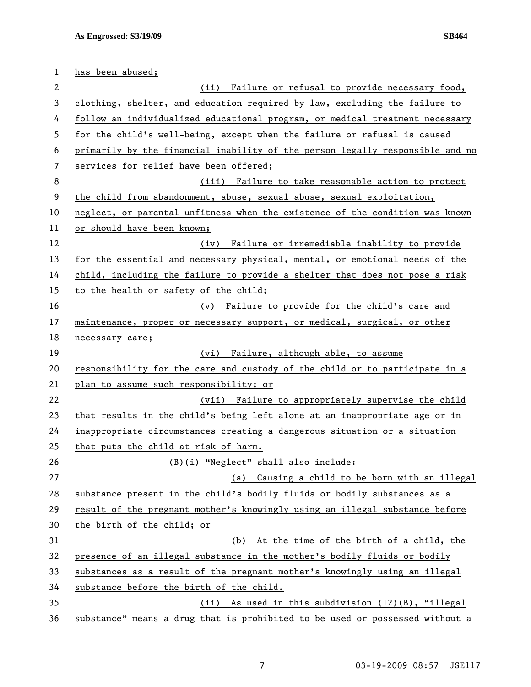1 has been abused;

| 2  | (ii) Failure or refusal to provide necessary food,                            |
|----|-------------------------------------------------------------------------------|
| 3  | clothing, shelter, and education required by law, excluding the failure to    |
| 4  | follow an individualized educational program, or medical treatment necessary  |
| 5  | for the child's well-being, except when the failure or refusal is caused      |
| 6  | primarily by the financial inability of the person legally responsible and no |
| 7  | services for relief have been offered;                                        |
| 8  | (iii) Failure to take reasonable action to protect                            |
| 9  | the child from abandonment, abuse, sexual abuse, sexual exploitation,         |
| 10 | neglect, or parental unfitness when the existence of the condition was known  |
| 11 | or should have been known;                                                    |
| 12 | (iv) Failure or irremediable inability to provide                             |
| 13 | for the essential and necessary physical, mental, or emotional needs of the   |
| 14 | child, including the failure to provide a shelter that does not pose a risk   |
| 15 | to the health or safety of the child;                                         |
| 16 | (v) Failure to provide for the child's care and                               |
| 17 | maintenance, proper or necessary support, or medical, surgical, or other      |
| 18 | necessary care;                                                               |
| 19 | (vi) Failure, although able, to assume                                        |
| 20 | responsibility for the care and custody of the child or to participate in a   |
| 21 | plan to assume such responsibility; or                                        |
| 22 | (vii) Failure to appropriately supervise the child                            |
| 23 | that results in the child's being left alone at an inappropriate age or in    |
| 24 | inappropriate circumstances creating a dangerous situation or a situation     |
| 25 | that puts the child at risk of harm.                                          |
| 26 | (B)(i) "Neglect" shall also include:                                          |
| 27 | (a) Causing a child to be born with an illegal                                |
| 28 | substance present in the child's bodily fluids or bodily substances as a      |
| 29 | result of the pregnant mother's knowingly using an illegal substance before   |
| 30 | the birth of the child; or                                                    |
| 31 | (b) At the time of the birth of a child, the                                  |
| 32 | presence of an illegal substance in the mother's bodily fluids or bodily      |
| 33 | substances as a result of the pregnant mother's knowingly using an illegal    |
| 34 | substance before the birth of the child.                                      |
| 35 | As used in this subdivision (12)(B), "illegal<br>(ii)                         |
| 36 | substance" means a drug that is prohibited to be used or possessed without a  |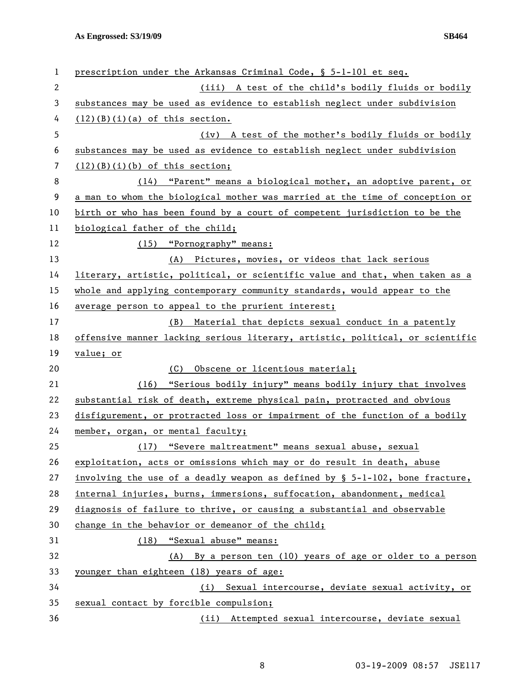| $\mathbf{1}$   | prescription under the Arkansas Criminal Code, § 5-1-101 et seq.                |
|----------------|---------------------------------------------------------------------------------|
| $\overline{2}$ | (iii) A test of the child's bodily fluids or bodily                             |
| 3              | substances may be used as evidence to establish neglect under subdivision       |
| 4              | $(12)(B)(i)(a)$ of this section.                                                |
| 5              | (iv) A test of the mother's bodily fluids or bodily                             |
| 6              | substances may be used as evidence to establish neglect under subdivision       |
| 7              | $(12)$ $(\underline{B})(i)$ $(b)$ of this section;                              |
| 8              | (14) "Parent" means a biological mother, an adoptive parent, or                 |
| 9              | a man to whom the biological mother was married at the time of conception or    |
| 10             | birth or who has been found by a court of competent jurisdiction to be the      |
| 11             | biological father of the child;                                                 |
| 12             | (15) "Pornography" means:                                                       |
| 13             | (A) Pictures, movies, or videos that lack serious                               |
| 14             | literary, artistic, political, or scientific value and that, when taken as a    |
| 15             | whole and applying contemporary community standards, would appear to the        |
| 16             | average person to appeal to the prurient interest;                              |
| 17             | (B) Material that depicts sexual conduct in a patently                          |
| 18             | offensive manner lacking serious literary, artistic, political, or scientific   |
|                |                                                                                 |
| 19             | value; or                                                                       |
| 20             | Obscene or licentious material;<br>(C)                                          |
| 21             | (16) "Serious bodily injury" means bodily injury that involves                  |
| 22             | substantial risk of death, extreme physical pain, protracted and obvious        |
| 23             | disfigurement, or protracted loss or impairment of the function of a bodily     |
| 24             | member, organ, or mental faculty;                                               |
| 25             | (17) "Severe maltreatment" means sexual abuse, sexual                           |
| 26             | exploitation, acts or omissions which may or do result in death, abuse          |
| 27             | involving the use of a deadly weapon as defined by $\S$ 5-1-102, bone fracture, |
| 28             | internal injuries, burns, immersions, suffocation, abandonment, medical         |
| 29             | diagnosis of failure to thrive, or causing a substantial and observable         |
| 30             | change in the behavior or demeanor of the child;                                |
| 31             | (18) "Sexual abuse" means:                                                      |
| 32             | (A) By a person ten (10) years of age or older to a person                      |
| 33             | younger than eighteen (18) years of age:                                        |
| 34             | (i) Sexual intercourse, deviate sexual activity, or                             |
| 35             | sexual contact by forcible compulsion;                                          |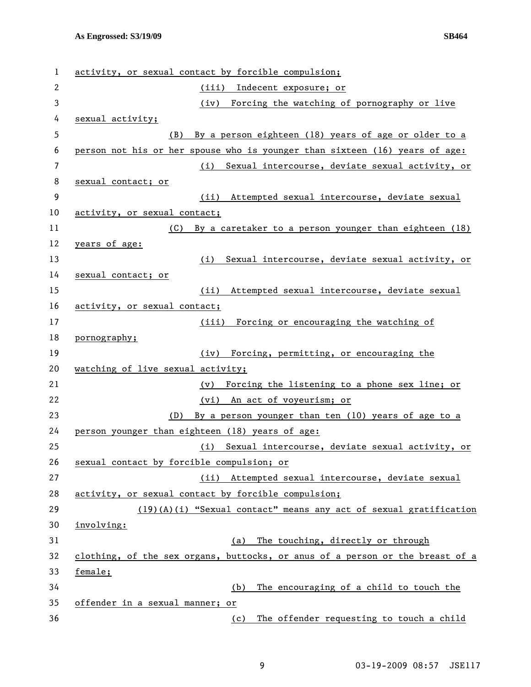| 1            | activity, or sexual contact by forcible compulsion;                           |
|--------------|-------------------------------------------------------------------------------|
| $\mathbf{2}$ | (iii)<br>Indecent exposure; or                                                |
| 3            | Forcing the watching of pornography or live<br>(iv)                           |
| 4            | sexual activity;                                                              |
| 5            | By a person eighteen (18) years of age or older to a<br>(B)                   |
| 6            | person not his or her spouse who is younger than sixteen (16) years of age:   |
| 7            | (i) Sexual intercourse, deviate sexual activity, or                           |
| 8            | sexual contact; or                                                            |
| 9            | (ii)<br>Attempted sexual intercourse, deviate sexual                          |
| 10           | activity, or sexual contact;                                                  |
| 11           | By a caretaker to a person younger than eighteen (18)<br>(C)                  |
| 12           | years of age:                                                                 |
| 13           | Sexual intercourse, deviate sexual activity, or<br>(i)                        |
| 14           | sexual contact; or                                                            |
| 15           | (ii)<br>Attempted sexual intercourse, deviate sexual                          |
| 16           | activity, or sexual contact;                                                  |
| 17           | Forcing or encouraging the watching of<br>(iii)                               |
| 18           | pornography;                                                                  |
| 19           | Forcing, permitting, or encouraging the<br>(iv)                               |
|              |                                                                               |
| 20           | watching of live sexual activity;                                             |
| 21           | Forcing the listening to a phone sex line; or<br>(v)                          |
| 22           | (vi) An act of voyeurism; or                                                  |
| 23           | By a person younger than ten (10) years of age to a<br>(D)                    |
| 24           | person younger than eighteen (18) years of age:                               |
| 25           | (i) Sexual intercourse, deviate sexual activity, or                           |
| 26           | sexual contact by forcible compulsion; or                                     |
| 27           | Attempted sexual intercourse, deviate sexual<br>(ii)                          |
| 28           | activity, or sexual contact by forcible compulsion;                           |
| 29           | $(19)(A)(i)$ "Sexual contact" means any act of sexual gratification           |
| 30           | involving:                                                                    |
| 31           | The touching, directly or through<br>(a)                                      |
| 32           | clothing, of the sex organs, buttocks, or anus of a person or the breast of a |
| 33           | female;                                                                       |
| 34           | The encouraging of a child to touch the<br>(b)                                |
| 35           | offender in a sexual manner; or                                               |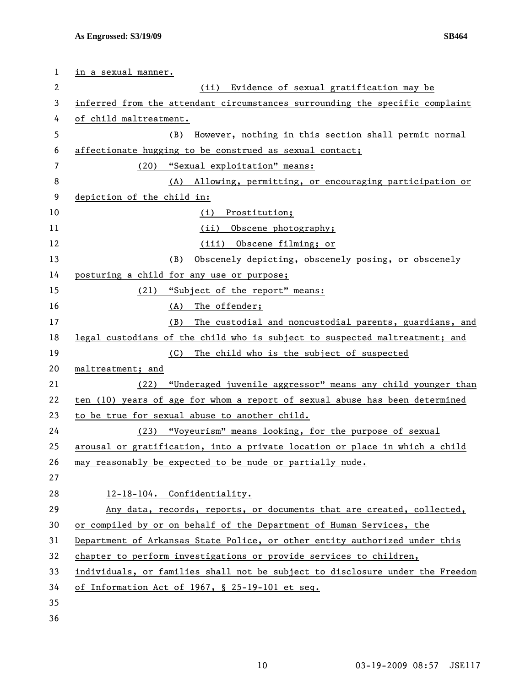| 1  | in a sexual manner.                                                           |
|----|-------------------------------------------------------------------------------|
| 2  | (ii) Evidence of sexual gratification may be                                  |
| 3  | inferred from the attendant circumstances surrounding the specific complaint  |
| 4  | of child maltreatment.                                                        |
| 5  | However, nothing in this section shall permit normal<br>(B)                   |
| 6  | affectionate hugging to be construed as sexual contact;                       |
| 7  | (20) "Sexual exploitation" means:                                             |
| 8  | (A) Allowing, permitting, or encouraging participation or                     |
| 9  | depiction of the child in:                                                    |
| 10 | Prostitution;<br>(i)                                                          |
| 11 | (ii) Obscene photography;                                                     |
| 12 | (iii) Obscene filming; or                                                     |
| 13 | Obscenely depicting, obscenely posing, or obscenely<br>(B)                    |
| 14 | posturing a child for any use or purpose;                                     |
| 15 | (21) "Subject of the report" means:                                           |
| 16 | (A)<br>The offender;                                                          |
| 17 | The custodial and noncustodial parents, guardians, and<br>(B)                 |
| 18 | legal custodians of the child who is subject to suspected maltreatment; and   |
| 19 | The child who is the subject of suspected<br>(C)                              |
| 20 | maltreatment; and                                                             |
| 21 | (22) "Underaged juvenile aggressor" means any child younger than              |
| 22 | ten (10) years of age for whom a report of sexual abuse has been determined   |
| 23 | to be true for sexual abuse to another child.                                 |
| 24 | (23) "Voyeurism" means looking, for the purpose of sexual                     |
| 25 | arousal or gratification, into a private location or place in which a child   |
| 26 | may reasonably be expected to be nude or partially nude.                      |
| 27 |                                                                               |
| 28 | 12-18-104. Confidentiality.                                                   |
| 29 | Any data, records, reports, or documents that are created, collected,         |
| 30 | or compiled by or on behalf of the Department of Human Services, the          |
| 31 | Department of Arkansas State Police, or other entity authorized under this    |
| 32 | chapter to perform investigations or provide services to children,            |
| 33 | individuals, or families shall not be subject to disclosure under the Freedom |
| 34 | of Information Act of 1967, § 25-19-101 et seq.                               |
| 35 |                                                                               |
| 36 |                                                                               |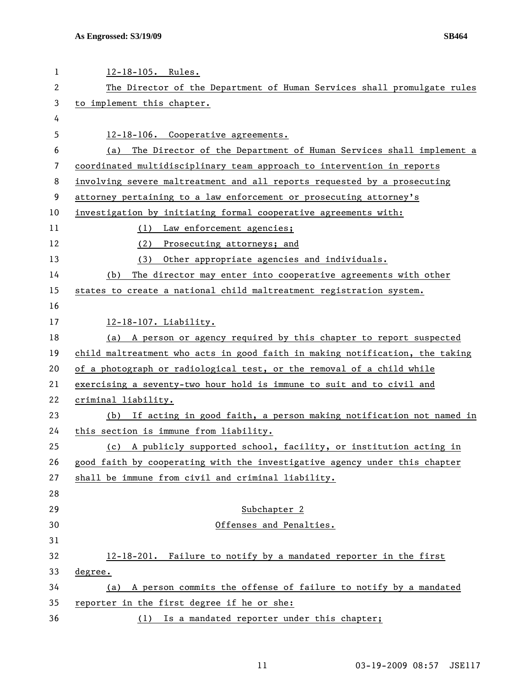| $\mathbf 1$ | 12-18-105. Rules.                                                            |
|-------------|------------------------------------------------------------------------------|
| 2           | The Director of the Department of Human Services shall promulgate rules      |
| 3           | to implement this chapter.                                                   |
| 4           |                                                                              |
| 5           | 12-18-106. Cooperative agreements.                                           |
| 6           | The Director of the Department of Human Services shall implement a<br>(a)    |
| 7           | coordinated multidisciplinary team approach to intervention in reports       |
| 8           | involving severe maltreatment and all reports requested by a prosecuting     |
| 9           | attorney pertaining to a law enforcement or prosecuting attorney's           |
| 10          | investigation by initiating formal cooperative agreements with:              |
| 11          | (1) Law enforcement agencies;                                                |
| 12          | (2)<br>Prosecuting attorneys; and                                            |
| 13          | Other appropriate agencies and individuals.<br>(3)                           |
| 14          | The director may enter into cooperative agreements with other<br>(b)         |
| 15          | states to create a national child maltreatment registration system.          |
| 16          |                                                                              |
| 17          | 12-18-107. Liability.                                                        |
| 18          | (a) A person or agency required by this chapter to report suspected          |
| 19          | child maltreatment who acts in good faith in making notification, the taking |
| 20          | of a photograph or radiological test, or the removal of a child while        |
| 21          | exercising a seventy-two hour hold is immune to suit and to civil and        |
| 22          | criminal liability.                                                          |
| 23          | (b) If acting in good faith, a person making notification not named in       |
| 24          | this section is immune from liability.                                       |
| 25          | (c) A publicly supported school, facility, or institution acting in          |
| 26          | good faith by cooperating with the investigative agency under this chapter   |
| 27          | shall be immune from civil and criminal liability.                           |
| 28          |                                                                              |
| 29          | Subchapter 2                                                                 |
| 30          | Offenses and Penalties.                                                      |
| 31          |                                                                              |
| 32          | 12-18-201. Failure to notify by a mandated reporter in the first             |
| 33          | degree.                                                                      |
| 34          | (a) A person commits the offense of failure to notify by a mandated          |
| 35          | reporter in the first degree if he or she:                                   |
| 36          | Is a mandated reporter under this chapter;<br>(1)                            |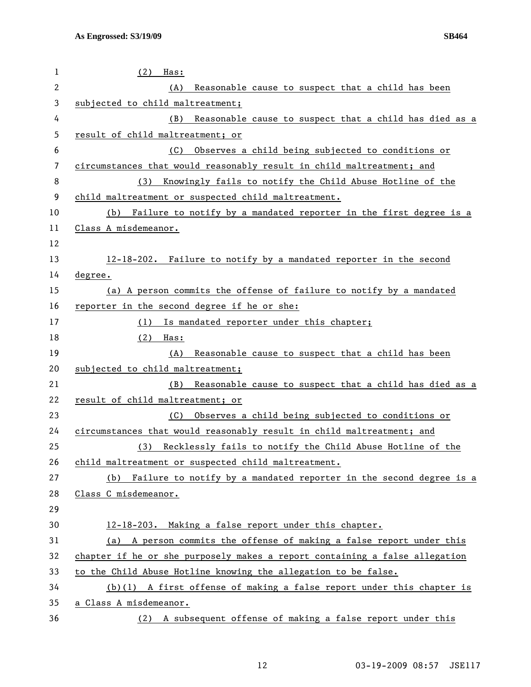| 1  | (2)<br>Has:                                                                 |
|----|-----------------------------------------------------------------------------|
| 2  | Reasonable cause to suspect that a child has been<br>(A)                    |
| 3  | subjected to child maltreatment;                                            |
| 4  | Reasonable cause to suspect that a child has died as a<br>(B)               |
| 5  | result of child maltreatment; or                                            |
| 6  | Observes a child being subjected to conditions or<br>(C)                    |
| 7  | circumstances that would reasonably result in child maltreatment; and       |
| 8  | Knowingly fails to notify the Child Abuse Hotline of the<br>(3)             |
| 9  | child maltreatment or suspected child maltreatment.                         |
| 10 | Failure to notify by a mandated reporter in the first degree is a<br>(b)    |
| 11 | Class A misdemeanor.                                                        |
| 12 |                                                                             |
| 13 | 12-18-202. Failure to notify by a mandated reporter in the second           |
| 14 | degree.                                                                     |
| 15 | (a) A person commits the offense of failure to notify by a mandated         |
| 16 | reporter in the second degree if he or she:                                 |
| 17 | Is mandated reporter under this chapter;<br>(1)                             |
| 18 | (2)<br>Has:                                                                 |
| 19 | Reasonable cause to suspect that a child has been<br>(A)                    |
| 20 | subjected to child maltreatment;                                            |
| 21 | Reasonable cause to suspect that a child has died as a<br>(B)               |
| 22 | result of child maltreatment; or                                            |
| 23 | Observes a child being subjected to conditions or<br>(C)                    |
| 24 | circumstances that would reasonably result in child maltreatment; and       |
| 25 | Recklessly fails to notify the Child Abuse Hotline of the<br>(3)            |
| 26 | child maltreatment or suspected child maltreatment.                         |
| 27 | Failure to notify by a mandated reporter in the second degree is a<br>(b)   |
| 28 | Class C misdemeanor.                                                        |
| 29 |                                                                             |
| 30 | 12-18-203. Making a false report under this chapter.                        |
| 31 | A person commits the offense of making a false report under this<br>(a)     |
| 32 | chapter if he or she purposely makes a report containing a false allegation |
| 33 | to the Child Abuse Hotline knowing the allegation to be false.              |
| 34 | $(b)(1)$ A first offense of making a false report under this chapter is     |
| 35 | a Class A misdemeanor.                                                      |
| 36 | (2) A subsequent offense of making a false report under this                |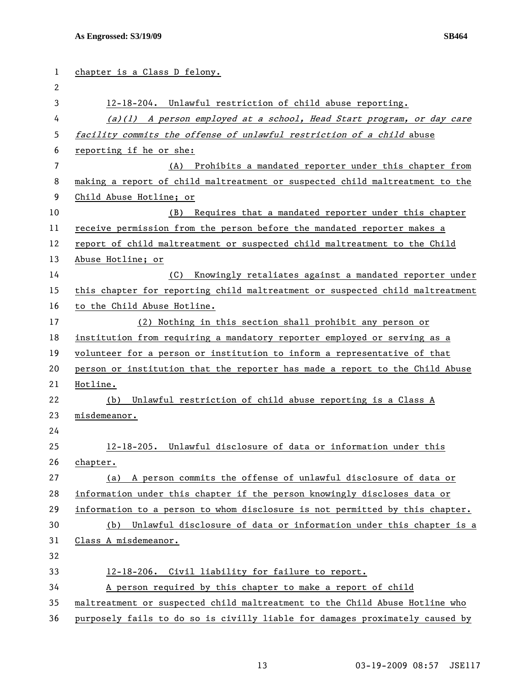| 1              | chapter is a Class D felony.                                                  |
|----------------|-------------------------------------------------------------------------------|
| 2              |                                                                               |
| 3              | 12-18-204. Unlawful restriction of child abuse reporting.                     |
| 4              | $(a)(1)$ A person employed at a school, Head Start program, or day care       |
| 5              | facility commits the offense of unlawful restriction of a child abuse         |
| 6              | reporting if he or she:                                                       |
| $\overline{7}$ | Prohibits a mandated reporter under this chapter from<br>(A)                  |
| 8              | making a report of child maltreatment or suspected child maltreatment to the  |
| 9              | Child Abuse Hotline; or                                                       |
| 10             | Requires that a mandated reporter under this chapter<br>(B)                   |
| 11             | receive permission from the person before the mandated reporter makes a       |
| 12             | report of child maltreatment or suspected child maltreatment to the Child     |
| 13             | Abuse Hotline; or                                                             |
| 14             | Knowingly retaliates against a mandated reporter under<br>(C)                 |
| 15             | this chapter for reporting child maltreatment or suspected child maltreatment |
| 16             | to the Child Abuse Hotline.                                                   |
| 17             | (2) Nothing in this section shall prohibit any person or                      |
| 18             | institution from requiring a mandatory reporter employed or serving as a      |
| 19             | volunteer for a person or institution to inform a representative of that      |
| 20             | person or institution that the reporter has made a report to the Child Abuse  |
| 21             | Hotline.                                                                      |
| 22             | Unlawful restriction of child abuse reporting is a Class A<br>(b)             |
| 23             | misdemeanor.                                                                  |
| 24             |                                                                               |
| 25             | 12-18-205. Unlawful disclosure of data or information under this              |
| 26             | chapter.                                                                      |
| 27             | A person commits the offense of unlawful disclosure of data or<br>(a)         |
| 28             | information under this chapter if the person knowingly discloses data or      |
| 29             | information to a person to whom disclosure is not permitted by this chapter.  |
| 30             | Unlawful disclosure of data or information under this chapter is a<br>(b)     |
| 31             | Class A misdemeanor.                                                          |
| 32             |                                                                               |
| 33             | 12-18-206. Civil liability for failure to report.                             |
| 34             | A person required by this chapter to make a report of child                   |
| 35             | maltreatment or suspected child maltreatment to the Child Abuse Hotline who   |
| 36             | purposely fails to do so is civilly liable for damages proximately caused by  |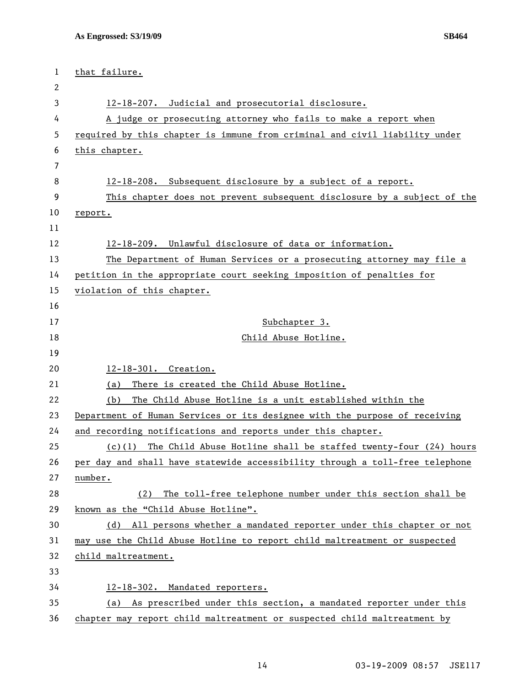| 1  | that failure.                                                                |
|----|------------------------------------------------------------------------------|
| 2  |                                                                              |
| 3  | 12-18-207. Judicial and prosecutorial disclosure.                            |
| 4  | A judge or prosecuting attorney who fails to make a report when              |
| 5  | required by this chapter is immune from criminal and civil liability under   |
| 6  | this chapter.                                                                |
| 7  |                                                                              |
| 8  | 12-18-208. Subsequent disclosure by a subject of a report.                   |
| 9  | This chapter does not prevent subsequent disclosure by a subject of the      |
| 10 | report.                                                                      |
| 11 |                                                                              |
| 12 | 12-18-209. Unlawful disclosure of data or information.                       |
| 13 | The Department of Human Services or a prosecuting attorney may file a        |
| 14 | petition in the appropriate court seeking imposition of penalties for        |
| 15 | violation of this chapter.                                                   |
| 16 |                                                                              |
| 17 | Subchapter 3.                                                                |
| 18 | Child Abuse Hotline.                                                         |
| 19 |                                                                              |
| 20 | 12-18-301. Creation.                                                         |
| 21 | There is created the Child Abuse Hotline.<br>(a)                             |
| 22 | The Child Abuse Hotline is a unit established within the<br>(b)              |
| 23 | Department of Human Services or its designee with the purpose of receiving   |
| 24 | and recording notifications and reports under this chapter.                  |
| 25 | $(c)(1)$ The Child Abuse Hotline shall be staffed twenty-four (24) hours     |
| 26 | per day and shall have statewide accessibility through a toll-free telephone |
| 27 | number.                                                                      |
| 28 | The toll-free telephone number under this section shall be<br>(2)            |
| 29 | known as the "Child Abuse Hotline".                                          |
| 30 | All persons whether a mandated reporter under this chapter or not<br>(d)     |
| 31 | may use the Child Abuse Hotline to report child maltreatment or suspected    |
| 32 | child maltreatment.                                                          |
| 33 |                                                                              |
| 34 | 12-18-302. Mandated reporters.                                               |
| 35 | As prescribed under this section, a mandated reporter under this<br>(a)      |
| 36 | chapter may report child maltreatment or suspected child maltreatment by     |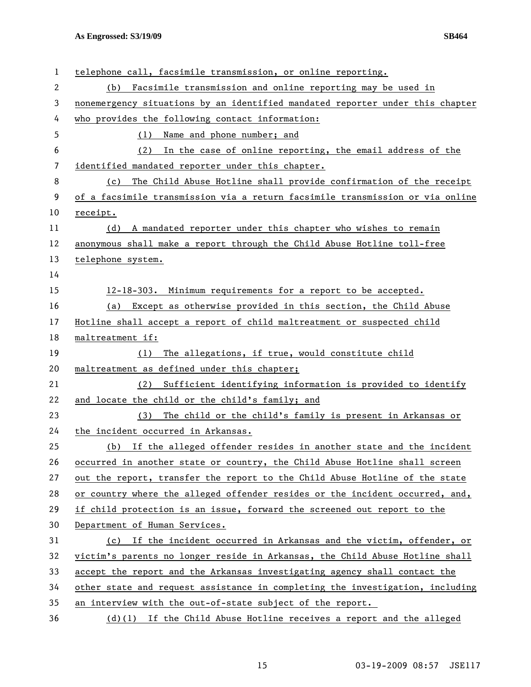| 1  | telephone call, facsimile transmission, or online reporting.                  |
|----|-------------------------------------------------------------------------------|
| 2  | (b) Facsimile transmission and online reporting may be used in                |
| 3  | nonemergency situations by an identified mandated reporter under this chapter |
| 4  | who provides the following contact information:                               |
| 5  | Name and phone number; and<br>(1)                                             |
| 6  | In the case of online reporting, the email address of the<br>(2)              |
| 7  | identified mandated reporter under this chapter.                              |
| 8  | The Child Abuse Hotline shall provide confirmation of the receipt<br>(c)      |
| 9  | of a facsimile transmission via a return facsimile transmission or via online |
| 10 | receipt.                                                                      |
| 11 | (d) A mandated reporter under this chapter who wishes to remain               |
| 12 | anonymous shall make a report through the Child Abuse Hotline toll-free       |
| 13 | telephone system.                                                             |
| 14 |                                                                               |
| 15 | 12-18-303. Minimum requirements for a report to be accepted.                  |
| 16 | (a) Except as otherwise provided in this section, the Child Abuse             |
| 17 | Hotline shall accept a report of child maltreatment or suspected child        |
| 18 | maltreatment if:                                                              |
| 19 | The allegations, if true, would constitute child<br>(1)                       |
| 20 | maltreatment as defined under this chapter;                                   |
| 21 | Sufficient identifying information is provided to identify<br>(2)             |
| 22 | and locate the child or the child's family; and                               |
| 23 | (3) The child or the child's family is present in Arkansas or                 |
| 24 | the incident occurred in Arkansas.                                            |
| 25 | (b) If the alleged offender resides in another state and the incident         |
| 26 | occurred in another state or country, the Child Abuse Hotline shall screen    |
| 27 | out the report, transfer the report to the Child Abuse Hotline of the state   |
| 28 | or country where the alleged offender resides or the incident occurred, and,  |
| 29 | if child protection is an issue, forward the screened out report to the       |
| 30 | Department of Human Services.                                                 |
| 31 | If the incident occurred in Arkansas and the victim, offender, or<br>(c)      |
| 32 | victim's parents no longer reside in Arkansas, the Child Abuse Hotline shall  |
| 33 | accept the report and the Arkansas investigating agency shall contact the     |
| 34 | other state and request assistance in completing the investigation, including |
| 35 | an interview with the out-of-state subject of the report.                     |
| 36 | $(d)(1)$ If the Child Abuse Hotline receives a report and the alleged         |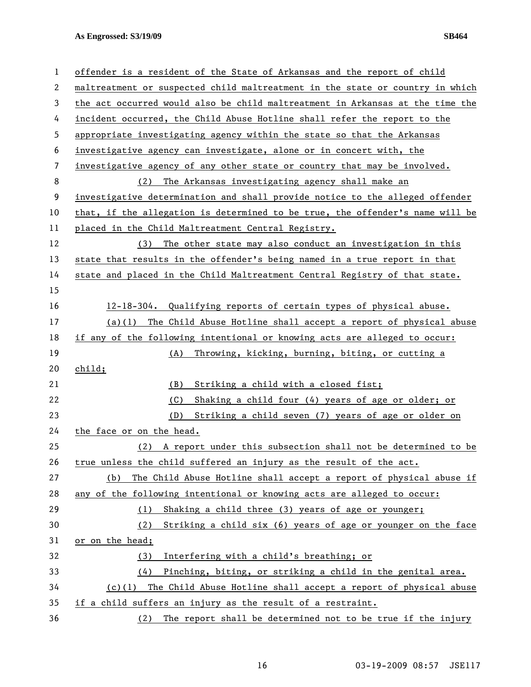| 1  | offender is a resident of the State of Arkansas and the report of child       |
|----|-------------------------------------------------------------------------------|
| 2  | maltreatment or suspected child maltreatment in the state or country in which |
| 3  | the act occurred would also be child maltreatment in Arkansas at the time the |
| 4  | incident occurred, the Child Abuse Hotline shall refer the report to the      |
| 5  | appropriate investigating agency within the state so that the Arkansas        |
| 6  | investigative agency can investigate, alone or in concert with, the           |
| 7  | investigative agency of any other state or country that may be involved.      |
| 8  | The Arkansas investigating agency shall make an<br>(2)                        |
| 9  | investigative determination and shall provide notice to the alleged offender  |
| 10 | that, if the allegation is determined to be true, the offender's name will be |
| 11 | placed in the Child Maltreatment Central Registry.                            |
| 12 | The other state may also conduct an investigation in this<br>(3)              |
| 13 | state that results in the offender's being named in a true report in that     |
| 14 | state and placed in the Child Maltreatment Central Registry of that state.    |
| 15 |                                                                               |
| 16 | 12-18-304. Qualifying reports of certain types of physical abuse.             |
| 17 | The Child Abuse Hotline shall accept a report of physical abuse<br>(a)(1)     |
| 18 | if any of the following intentional or knowing acts are alleged to occur:     |
| 19 | Throwing, kicking, burning, biting, or cutting a<br>(A)                       |
| 20 | child;                                                                        |
| 21 | Striking a child with a closed fist;<br>(B)                                   |
| 22 | (C)<br>Shaking a child four (4) years of age or older; or                     |
| 23 | Striking a child seven (7) years of age or older on<br>(D)                    |
| 24 | the face or on the head.                                                      |
| 25 | (2) A report under this subsection shall not be determined to be              |
| 26 | true unless the child suffered an injury as the result of the act.            |
| 27 | The Child Abuse Hotline shall accept a report of physical abuse if<br>(b)     |
| 28 | any of the following intentional or knowing acts are alleged to occur:        |
| 29 | Shaking a child three (3) years of age or younger;<br>(1)                     |
| 30 | Striking a child six (6) years of age or younger on the face<br>(2)           |
| 31 | or on the head;                                                               |
| 32 | Interfering with a child's breathing; or<br>(3)                               |
| 33 | Pinching, biting, or striking a child in the genital area.<br>(4)             |
| 34 | The Child Abuse Hotline shall accept a report of physical abuse<br>(c)(1)     |
| 35 | if a child suffers an injury as the result of a restraint.                    |
| 36 | The report shall be determined not to be true if the injury<br>(2)            |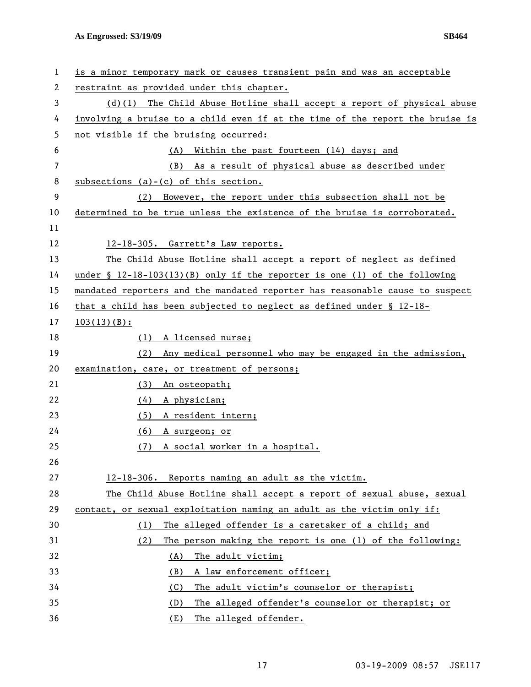| 1  | is a minor temporary mark or causes transient pain and was an acceptable      |
|----|-------------------------------------------------------------------------------|
| 2  | restraint as provided under this chapter.                                     |
| 3  | $(d)(1)$ The Child Abuse Hotline shall accept a report of physical abuse      |
| 4  | involving a bruise to a child even if at the time of the report the bruise is |
| 5  | not visible if the bruising occurred:                                         |
| 6  | Within the past fourteen (14) days; and<br>(A)                                |
| 7  | As a result of physical abuse as described under<br>(B)                       |
| 8  | subsections $(a)-(c)$ of this section.                                        |
| 9  | However, the report under this subsection shall not be<br>(2)                 |
| 10 | determined to be true unless the existence of the bruise is corroborated.     |
| 11 |                                                                               |
| 12 | 12-18-305. Garrett's Law reports.                                             |
| 13 | The Child Abuse Hotline shall accept a report of neglect as defined           |
| 14 | under $\S$ 12-18-103(13)(B) only if the reporter is one (1) of the following  |
| 15 | mandated reporters and the mandated reporter has reasonable cause to suspect  |
| 16 | that a child has been subjected to neglect as defined under $\S$ 12-18-       |
| 17 | $103(13)(B)$ :                                                                |
| 18 | (1) A licensed nurse;                                                         |
| 19 | Any medical personnel who may be engaged in the admission,<br>(2)             |
| 20 | examination, care, or treatment of persons;                                   |
| 21 | An osteopath;<br>(3)                                                          |
| 22 | (4)<br>A physician;                                                           |
| 23 | A resident intern;<br>(5)                                                     |
| 24 | $(6)$ A surgeon; or                                                           |
| 25 | (7) A social worker in a hospital.                                            |
| 26 |                                                                               |
| 27 | 12-18-306. Reports naming an adult as the victim.                             |
| 28 | The Child Abuse Hotline shall accept a report of sexual abuse, sexual         |
| 29 | contact, or sexual exploitation naming an adult as the victim only if:        |
| 30 | The alleged offender is a caretaker of a child; and<br>(1)                    |
| 31 | The person making the report is one $(1)$ of the following:<br>(2)            |
| 32 | The adult victim;<br>(A)                                                      |
| 33 | A law enforcement officer;<br>(B)                                             |
| 34 | The adult victim's counselor or therapist;<br>(C)                             |
| 35 | The alleged offender's counselor or therapist; or<br>(D)                      |
| 36 | The alleged offender.<br>(E)                                                  |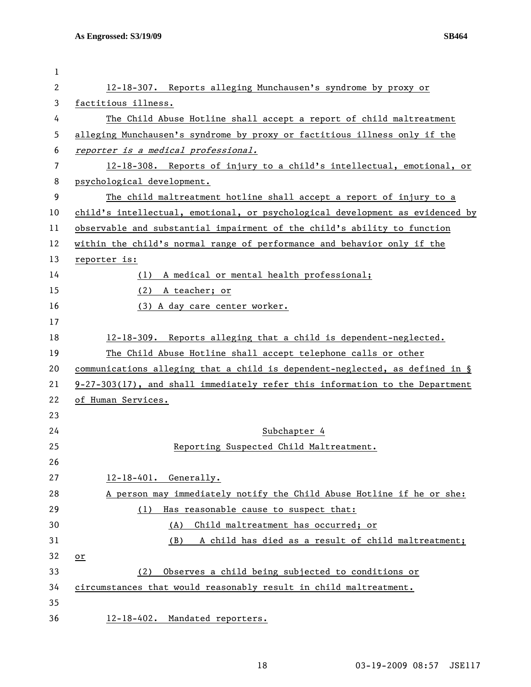| 1  |                                                                               |
|----|-------------------------------------------------------------------------------|
| 2  | 12-18-307. Reports alleging Munchausen's syndrome by proxy or                 |
| 3  | factitious illness.                                                           |
| 4  | The Child Abuse Hotline shall accept a report of child maltreatment           |
| 5  | alleging Munchausen's syndrome by proxy or factitious illness only if the     |
| 6  | reporter is a medical professional.                                           |
| 7  | 12-18-308. Reports of injury to a child's intellectual, emotional, or         |
| 8  | psychological development.                                                    |
| 9  | The child maltreatment hotline shall accept a report of injury to a           |
| 10 | child's intellectual, emotional, or psychological development as evidenced by |
| 11 | observable and substantial impairment of the child's ability to function      |
| 12 | within the child's normal range of performance and behavior only if the       |
| 13 | reporter is:                                                                  |
| 14 | A medical or mental health professional;<br>(1)                               |
| 15 | (2) A teacher; or                                                             |
| 16 | (3) A day care center worker.                                                 |
| 17 |                                                                               |
| 18 | 12-18-309. Reports alleging that a child is dependent-neglected.              |
| 19 | The Child Abuse Hotline shall accept telephone calls or other                 |
| 20 | communications alleging that a child is dependent-neglected, as defined in §  |
| 21 | 9-27-303(17), and shall immediately refer this information to the Department  |
| 22 | of Human Services.                                                            |
| 23 |                                                                               |
| 24 | Subchapter 4                                                                  |
| 25 | Reporting Suspected Child Maltreatment.                                       |
| 26 |                                                                               |
| 27 | $12 - 18 - 401$ . Generally.                                                  |
| 28 | A person may immediately notify the Child Abuse Hotline if he or she:         |
| 29 | Has reasonable cause to suspect that:<br>(1)                                  |
| 30 | Child maltreatment has occurred; or<br>(A)                                    |
| 31 | A child has died as a result of child maltreatment;<br>(B)                    |
| 32 | or                                                                            |
| 33 | Observes a child being subjected to conditions or<br>(2)                      |
| 34 | circumstances that would reasonably result in child maltreatment.             |
| 35 |                                                                               |
| 36 | 12-18-402. Mandated reporters.                                                |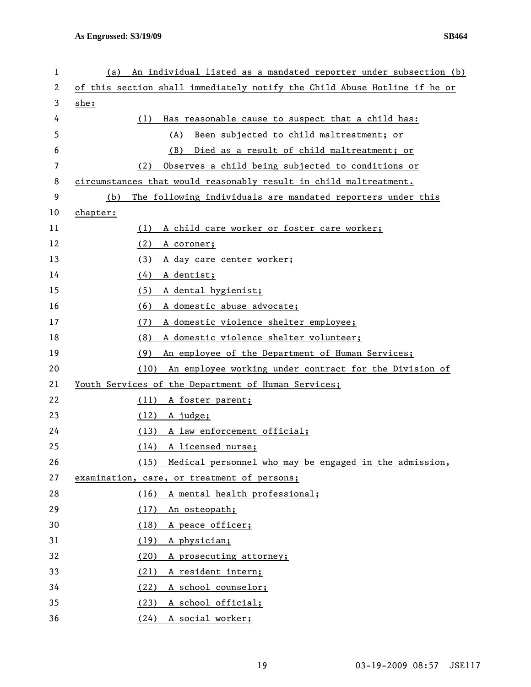| 1  | An individual listed as a mandated reporter under subsection (b)<br>(a)   |
|----|---------------------------------------------------------------------------|
| 2  | of this section shall immediately notify the Child Abuse Hotline if he or |
| 3  | she:                                                                      |
| 4  | Has reasonable cause to suspect that a child has:<br>(1)                  |
| 5  | Been subjected to child maltreatment; or<br>(A)                           |
| 6  | Died as a result of child maltreatment; or<br>(B)                         |
| 7  | Observes a child being subjected to conditions or<br>(2)                  |
| 8  | circumstances that would reasonably result in child maltreatment.         |
| 9  | The following individuals are mandated reporters under this<br>(b)        |
| 10 | chapter:                                                                  |
| 11 | A child care worker or foster care worker;<br>(1)                         |
| 12 | (2)<br>A coroner;                                                         |
| 13 | A day care center worker;<br>(3)                                          |
| 14 | (4)<br>A dentist;                                                         |
| 15 | A dental hygienist;<br>(5)                                                |
| 16 | A domestic abuse advocate;<br>(6)                                         |
| 17 | A domestic violence shelter employee;<br>(7)                              |
| 18 | A domestic violence shelter volunteer;<br>(8)                             |
| 19 | An employee of the Department of Human Services;<br>(9)                   |
| 20 | An employee working under contract for the Division of<br>(10)            |
| 21 | Youth Services of the Department of Human Services;                       |
| 22 | A foster parent;<br>(11)                                                  |
| 23 | A judge;<br>(12)                                                          |
| 24 | A law enforcement official;<br>(13)                                       |
| 25 | (14) A licensed nurse;                                                    |
| 26 | Medical personnel who may be engaged in the admission,<br>(15)            |
| 27 | examination, care, or treatment of persons;                               |
| 28 | A mental health professional;<br>(16)                                     |
| 29 | (17)<br>An osteopath;                                                     |
| 30 | A peace officer;<br>(18)                                                  |
| 31 | (19)<br>A physician;                                                      |
| 32 | (20)<br>A prosecuting attorney;                                           |
| 33 | A resident intern;<br>(21)                                                |
| 34 | A school counselor;<br>(22)                                               |
| 35 | A school official;<br>(23)                                                |
| 36 | (24) A social worker;                                                     |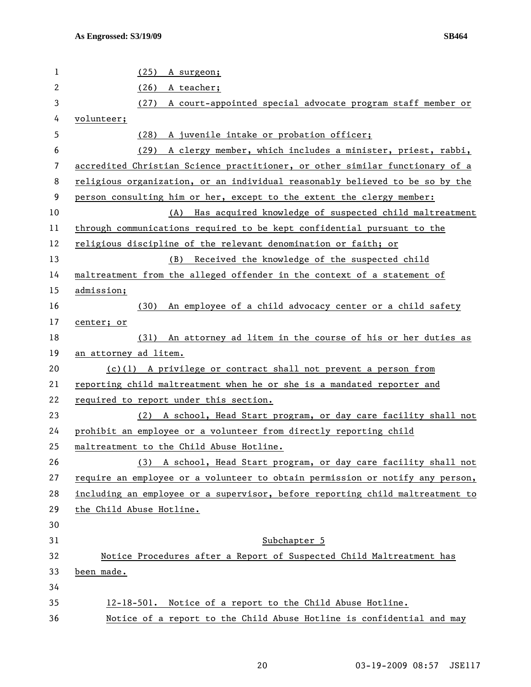| 1  | (25)<br>A surgeon;                                                            |
|----|-------------------------------------------------------------------------------|
| 2  | (26)<br>A teacher;                                                            |
| 3  | A court-appointed special advocate program staff member or<br>(27)            |
| 4  | volunteer;                                                                    |
| 5  | A juvenile intake or probation officer;<br>(28)                               |
| 6  | A clergy member, which includes a minister, priest, rabbi,<br>(29)            |
| 7  | accredited Christian Science practitioner, or other similar functionary of a  |
| 8  | religious organization, or an individual reasonably believed to be so by the  |
| 9  | person consulting him or her, except to the extent the clergy member:         |
| 10 | Has acquired knowledge of suspected child maltreatment<br>(A)                 |
| 11 | through communications required to be kept confidential pursuant to the       |
| 12 | religious discipline of the relevant denomination or faith; or                |
| 13 | Received the knowledge of the suspected child<br>(B)                          |
| 14 | maltreatment from the alleged offender in the context of a statement of       |
| 15 | admission;                                                                    |
| 16 | An employee of a child advocacy center or a child safety<br>(30)              |
| 17 | center; or                                                                    |
| 18 | (31) An attorney ad litem in the course of his or her duties as               |
| 19 | an attorney ad litem.                                                         |
| 20 | $(c)(1)$ A privilege or contract shall not prevent a person from              |
| 21 | reporting child maltreatment when he or she is a mandated reporter and        |
| 22 | required to report under this section.                                        |
| 23 | (2) A school, Head Start program, or day care facility shall not              |
| 24 | prohibit an employee or a volunteer from directly reporting child             |
| 25 | maltreatment to the Child Abuse Hotline.                                      |
| 26 | A school, Head Start program, or day care facility shall not<br>(3)           |
| 27 | require an employee or a volunteer to obtain permission or notify any person, |
| 28 | including an employee or a supervisor, before reporting child maltreatment to |
| 29 | the Child Abuse Hotline.                                                      |
| 30 |                                                                               |
| 31 | Subchapter 5                                                                  |
| 32 | Notice Procedures after a Report of Suspected Child Maltreatment has          |
| 33 | been made.                                                                    |
| 34 |                                                                               |
| 35 | 12-18-501. Notice of a report to the Child Abuse Hotline.                     |
| 36 | Notice of a report to the Child Abuse Hotline is confidential and may         |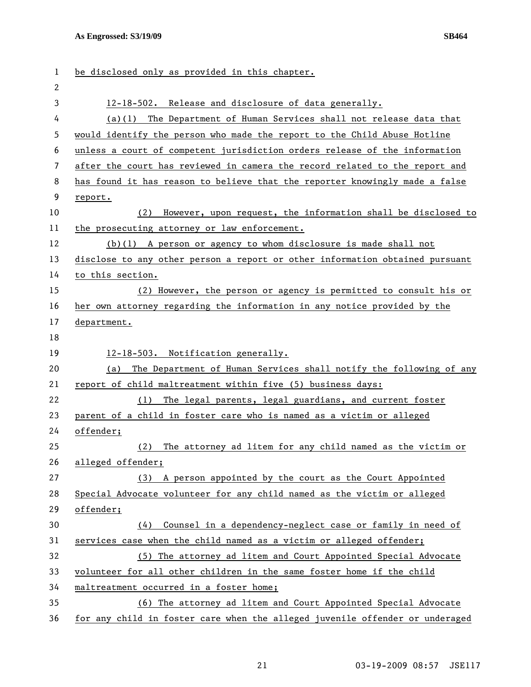| 1  | be disclosed only as provided in this chapter.                               |
|----|------------------------------------------------------------------------------|
| 2  |                                                                              |
| 3  | 12-18-502. Release and disclosure of data generally.                         |
| 4  | $(a)(1)$ The Department of Human Services shall not release data that        |
| 5  | would identify the person who made the report to the Child Abuse Hotline     |
| 6  | unless a court of competent jurisdiction orders release of the information   |
| 7  | after the court has reviewed in camera the record related to the report and  |
| 8  | has found it has reason to believe that the reporter knowingly made a false  |
| 9  | report.                                                                      |
| 10 | However, upon request, the information shall be disclosed to<br>(2)          |
| 11 | the prosecuting attorney or law enforcement.                                 |
| 12 | $(b)(1)$ A person or agency to whom disclosure is made shall not             |
| 13 | disclose to any other person a report or other information obtained pursuant |
| 14 | to this section.                                                             |
| 15 | (2) However, the person or agency is permitted to consult his or             |
| 16 | her own attorney regarding the information in any notice provided by the     |
| 17 | department.                                                                  |
| 18 |                                                                              |
| 19 | 12-18-503. Notification generally.                                           |
| 20 | The Department of Human Services shall notify the following of any<br>(a)    |
| 21 | report of child maltreatment within five (5) business days:                  |
| 22 | The legal parents, legal guardians, and current foster<br>(1)                |
| 23 | parent of a child in foster care who is named as a victim or alleged         |
| 24 | offender;                                                                    |
| 25 | The attorney ad litem for any child named as the victim or<br>(2)            |
| 26 | alleged offender;                                                            |
| 27 | A person appointed by the court as the Court Appointed<br>(3)                |
| 28 | Special Advocate volunteer for any child named as the victim or alleged      |
| 29 | offender;                                                                    |
| 30 | Counsel in a dependency-neglect case or family in need of<br>(4)             |
| 31 | services case when the child named as a victim or alleged offender;          |
| 32 | (5) The attorney ad litem and Court Appointed Special Advocate               |
| 33 | volunteer for all other children in the same foster home if the child        |
| 34 | maltreatment occurred in a foster home;                                      |
| 35 |                                                                              |
|    | (6) The attorney ad litem and Court Appointed Special Advocate               |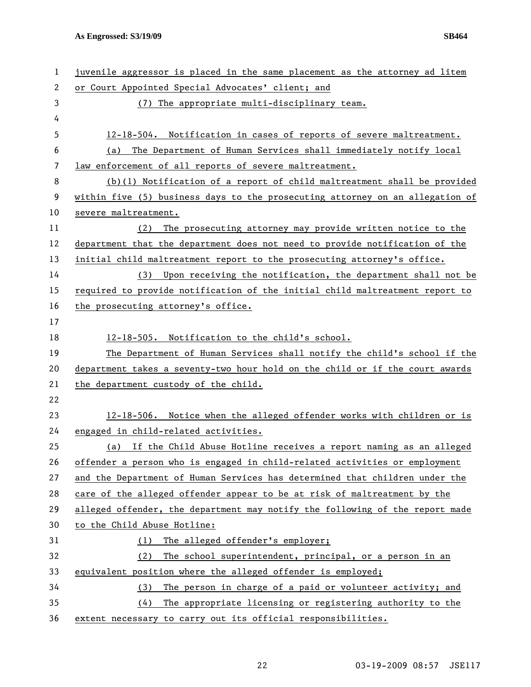| 1  | juvenile aggressor is placed in the same placement as the attorney ad litem   |
|----|-------------------------------------------------------------------------------|
| 2  | or Court Appointed Special Advocates' client; and                             |
| 3  | (7) The appropriate multi-disciplinary team.                                  |
| 4  |                                                                               |
| 5  | 12-18-504. Notification in cases of reports of severe maltreatment.           |
| 6  | The Department of Human Services shall immediately notify local<br>(a)        |
| 7  | law enforcement of all reports of severe maltreatment.                        |
| 8  | $(b)(1)$ Notification of a report of child maltreatment shall be provided     |
| 9  | within five (5) business days to the prosecuting attorney on an allegation of |
| 10 | severe maltreatment.                                                          |
| 11 | The prosecuting attorney may provide written notice to the<br>(2)             |
| 12 | department that the department does not need to provide notification of the   |
| 13 | initial child maltreatment report to the prosecuting attorney's office.       |
| 14 | Upon receiving the notification, the department shall not be<br>(3)           |
| 15 | required to provide notification of the initial child maltreatment report to  |
| 16 | the prosecuting attorney's office.                                            |
| 17 |                                                                               |
| 18 | 12-18-505. Notification to the child's school.                                |
| 19 | The Department of Human Services shall notify the child's school if the       |
| 20 | department takes a seventy-two hour hold on the child or if the court awards  |
| 21 | the department custody of the child.                                          |
| 22 |                                                                               |
| 23 | 12-18-506. Notice when the alleged offender works with children or is         |
| 24 | engaged in child-related activities.                                          |
| 25 | (a) If the Child Abuse Hotline receives a report naming as an alleged         |
| 26 | offender a person who is engaged in child-related activities or employment    |
| 27 | and the Department of Human Services has determined that children under the   |
| 28 | care of the alleged offender appear to be at risk of maltreatment by the      |
| 29 | alleged offender, the department may notify the following of the report made  |
| 30 | to the Child Abuse Hotline:                                                   |
| 31 | The alleged offender's employer;<br>(1)                                       |
| 32 | (2)<br>The school superintendent, principal, or a person in an                |
| 33 | equivalent position where the alleged offender is employed;                   |
| 34 | The person in charge of a paid or volunteer activity; and<br>(3)              |
| 35 | The appropriate licensing or registering authority to the<br>(4)              |
| 36 | extent necessary to carry out its official responsibilities.                  |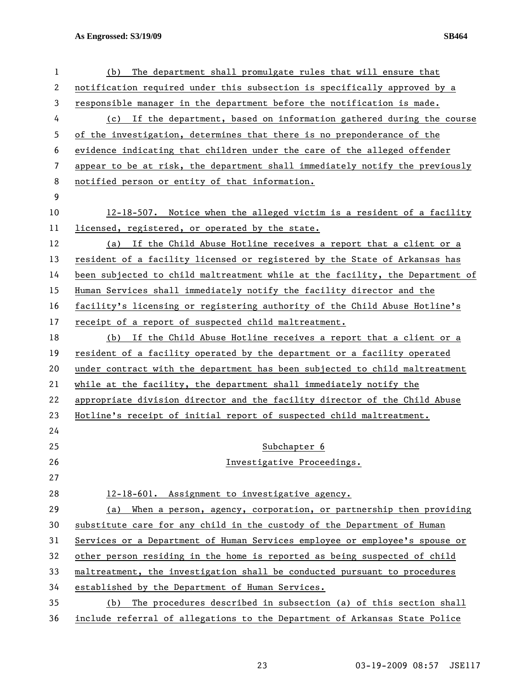| 1  | The department shall promulgate rules that will ensure that<br>(b)            |
|----|-------------------------------------------------------------------------------|
| 2  | notification required under this subsection is specifically approved by a     |
| 3  | responsible manager in the department before the notification is made.        |
| 4  | If the department, based on information gathered during the course<br>(c)     |
| 5  | of the investigation, determines that there is no preponderance of the        |
| 6  | evidence indicating that children under the care of the alleged offender      |
| 7  | appear to be at risk, the department shall immediately notify the previously  |
| 8  | notified person or entity of that information.                                |
| 9  |                                                                               |
| 10 | 12-18-507. Notice when the alleged victim is a resident of a facility         |
| 11 | licensed, registered, or operated by the state.                               |
| 12 | (a) If the Child Abuse Hotline receives a report that a client or a           |
| 13 | resident of a facility licensed or registered by the State of Arkansas has    |
| 14 | been subjected to child maltreatment while at the facility, the Department of |
| 15 | Human Services shall immediately notify the facility director and the         |
| 16 | facility's licensing or registering authority of the Child Abuse Hotline's    |
| 17 | receipt of a report of suspected child maltreatment.                          |
| 18 | If the Child Abuse Hotline receives a report that a client or a<br>(b)        |
| 19 | resident of a facility operated by the department or a facility operated      |
| 20 | under contract with the department has been subjected to child maltreatment   |
| 21 | while at the facility, the department shall immediately notify the            |
| 22 | appropriate division director and the facility director of the Child Abuse    |
| 23 | Hotline's receipt of initial report of suspected child maltreatment.          |
| 24 |                                                                               |
| 25 | Subchapter 6                                                                  |
| 26 | Investigative Proceedings.                                                    |
| 27 |                                                                               |
| 28 | 12-18-601. Assignment to investigative agency.                                |
| 29 | When a person, agency, corporation, or partnership then providing<br>(a)      |
| 30 | substitute care for any child in the custody of the Department of Human       |
| 31 | Services or a Department of Human Services employee or employee's spouse or   |
| 32 | other person residing in the home is reported as being suspected of child     |
| 33 | maltreatment, the investigation shall be conducted pursuant to procedures     |
| 34 | established by the Department of Human Services.                              |
| 35 | The procedures described in subsection (a) of this section shall<br>(b)       |
| 36 | include referral of allegations to the Department of Arkansas State Police    |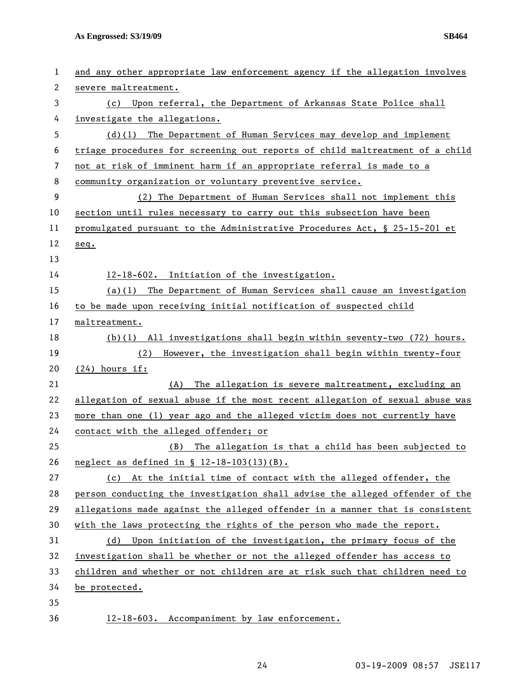| 1  | and any other appropriate law enforcement agency if the allegation involves  |
|----|------------------------------------------------------------------------------|
| 2  | severe maltreatment.                                                         |
| 3  | (c) Upon referral, the Department of Arkansas State Police shall             |
| 4  | investigate the allegations.                                                 |
| 5  | (d)(1) The Department of Human Services may develop and implement            |
| 6  | triage procedures for screening out reports of child maltreatment of a child |
| 7  | not at risk of imminent harm if an appropriate referral is made to a         |
| 8  | community organization or voluntary preventive service.                      |
| 9  | (2) The Department of Human Services shall not implement this                |
| 10 | section until rules necessary to carry out this subsection have been         |
| 11 | promulgated pursuant to the Administrative Procedures Act, § 25-15-201 et    |
| 12 | seq.                                                                         |
| 13 |                                                                              |
| 14 | 12-18-602. Initiation of the investigation.                                  |
| 15 | $(a)(1)$ The Department of Human Services shall cause an investigation       |
| 16 | to be made upon receiving initial notification of suspected child            |
| 17 | maltreatment.                                                                |
| 18 | $(b)(1)$ All investigations shall begin within seventy-two (72) hours.       |
| 19 | (2)<br>However, the investigation shall begin within twenty-four             |
| 20 | $(24)$ hours if:                                                             |
| 21 | The allegation is severe maltreatment, excluding an<br>(A)                   |
| 22 | allegation of sexual abuse if the most recent allegation of sexual abuse was |
| 23 | more than one (1) year ago and the alleged victim does not currently have    |
| 24 | contact with the alleged offender; or                                        |
| 25 | (B) The allegation is that a child has been subjected to                     |
| 26 | neglect as defined in $\S$ 12-18-103(13)(B).                                 |
| 27 | At the initial time of contact with the alleged offender, the<br>(c)         |
| 28 | person conducting the investigation shall advise the alleged offender of the |
| 29 | allegations made against the alleged offender in a manner that is consistent |
| 30 | with the laws protecting the rights of the person who made the report.       |
| 31 | Upon initiation of the investigation, the primary focus of the<br>(d)        |
| 32 | investigation shall be whether or not the alleged offender has access to     |
| 33 | children and whether or not children are at risk such that children need to  |
| 34 | be protected.                                                                |
| 35 |                                                                              |
| 36 | 12-18-603. Accompaniment by law enforcement.                                 |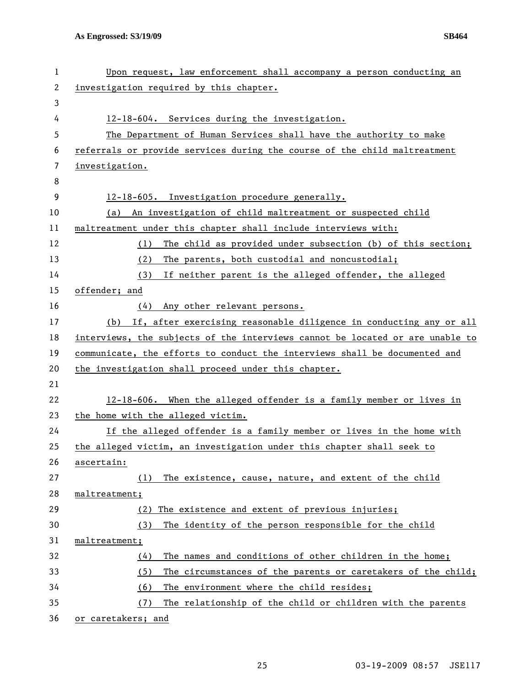| 1  | Upon request, law enforcement shall accompany a person conducting an          |
|----|-------------------------------------------------------------------------------|
| 2  | investigation required by this chapter.                                       |
| 3  |                                                                               |
| 4  | 12-18-604. Services during the investigation.                                 |
| 5  | The Department of Human Services shall have the authority to make             |
| 6  | referrals or provide services during the course of the child maltreatment     |
| 7  | investigation.                                                                |
| 8  |                                                                               |
| 9  | 12-18-605. Investigation procedure generally.                                 |
| 10 | (a) An investigation of child maltreatment or suspected child                 |
| 11 | maltreatment under this chapter shall include interviews with:                |
| 12 | The child as provided under subsection (b) of this section;<br>(1)            |
| 13 | (2)<br>The parents, both custodial and noncustodial;                          |
| 14 | If neither parent is the alleged offender, the alleged<br>(3)                 |
| 15 | offender; and                                                                 |
| 16 | Any other relevant persons.<br>(4)                                            |
| 17 | (b) If, after exercising reasonable diligence in conducting any or all        |
| 18 | interviews, the subjects of the interviews cannot be located or are unable to |
| 19 | communicate, the efforts to conduct the interviews shall be documented and    |
| 20 | the investigation shall proceed under this chapter.                           |
| 21 |                                                                               |
| 22 | 12-18-606. When the alleged offender is a family member or lives in           |
| 23 | the home with the alleged victim.                                             |
| 24 | If the alleged offender is a family member or lives in the home with          |
| 25 | the alleged victim, an investigation under this chapter shall seek to         |
| 26 | ascertain:                                                                    |
| 27 | (1)<br>The existence, cause, nature, and extent of the child                  |
| 28 | maltreatment;                                                                 |
| 29 | (2) The existence and extent of previous injuries;                            |
| 30 | The identity of the person responsible for the child<br>(3)                   |
| 31 | maltreatment;                                                                 |
| 32 | The names and conditions of other children in the home;<br>(4)                |
| 33 | The circumstances of the parents or caretakers of the child;<br>(5)           |
| 34 | (6)<br>The environment where the child resides;                               |
| 35 | (7)<br>The relationship of the child or children with the parents             |
| 36 | or caretakers; and                                                            |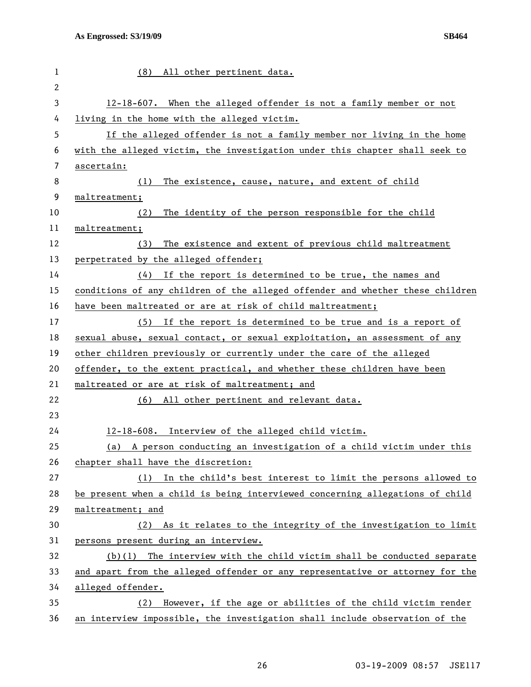| 1  | (8) All other pertinent data.                                                 |
|----|-------------------------------------------------------------------------------|
| 2  |                                                                               |
| 3  | 12-18-607. When the alleged offender is not a family member or not            |
| 4  | living in the home with the alleged victim.                                   |
| 5  | If the alleged offender is not a family member nor living in the home         |
| 6  | with the alleged victim, the investigation under this chapter shall seek to   |
| 7  | ascertain:                                                                    |
| 8  | The existence, cause, nature, and extent of child<br>(1)                      |
| 9  | maltreatment;                                                                 |
| 10 | The identity of the person responsible for the child<br>(2)                   |
| 11 | maltreatment;                                                                 |
| 12 | The existence and extent of previous child maltreatment<br>(3)                |
| 13 | perpetrated by the alleged offender;                                          |
| 14 | If the report is determined to be true, the names and<br>(4)                  |
| 15 | conditions of any children of the alleged offender and whether these children |
| 16 | have been maltreated or are at risk of child maltreatment;                    |
| 17 | If the report is determined to be true and is a report of<br>(5)              |
| 18 | sexual abuse, sexual contact, or sexual exploitation, an assessment of any    |
| 19 | other children previously or currently under the care of the alleged          |
| 20 | offender, to the extent practical, and whether these children have been       |
| 21 | maltreated or are at risk of maltreatment; and                                |
| 22 | (6) All other pertinent and relevant data.                                    |
| 23 |                                                                               |
| 24 | 12-18-608. Interview of the alleged child victim.                             |
| 25 | (a) A person conducting an investigation of a child victim under this         |
| 26 | chapter shall have the discretion:                                            |
| 27 | In the child's best interest to limit the persons allowed to<br>(1)           |
| 28 | be present when a child is being interviewed concerning allegations of child  |
| 29 | maltreatment; and                                                             |
| 30 | As it relates to the integrity of the investigation to limit<br>(2)           |
| 31 | persons present during an interview.                                          |
| 32 | (b)(1) The interview with the child victim shall be conducted separate        |
| 33 | and apart from the alleged offender or any representative or attorney for the |
| 34 | alleged offender.                                                             |
| 35 | However, if the age or abilities of the child victim render<br>(2)            |
| 36 | an interview impossible, the investigation shall include observation of the   |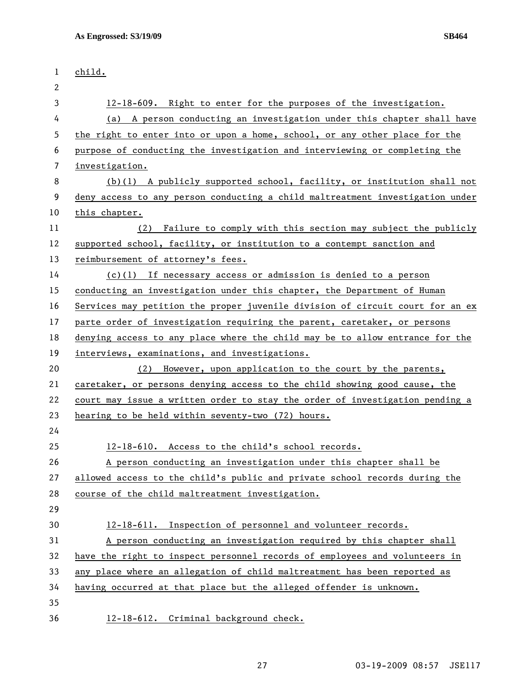| 1  | child.                                                                        |
|----|-------------------------------------------------------------------------------|
| 2  |                                                                               |
| 3  | 12-18-609. Right to enter for the purposes of the investigation.              |
| 4  | (a) A person conducting an investigation under this chapter shall have        |
| 5  | the right to enter into or upon a home, school, or any other place for the    |
| 6  | purpose of conducting the investigation and interviewing or completing the    |
| 7  | investigation.                                                                |
| 8  | $(b)(1)$ A publicly supported school, facility, or institution shall not      |
| 9  | deny access to any person conducting a child maltreatment investigation under |
| 10 | this chapter.                                                                 |
| 11 | Failure to comply with this section may subject the publicly<br>(2)           |
| 12 | supported school, facility, or institution to a contempt sanction and         |
| 13 | reimbursement of attorney's fees.                                             |
| 14 | $(c)(1)$ If necessary access or admission is denied to a person               |
| 15 | conducting an investigation under this chapter, the Department of Human       |
| 16 | Services may petition the proper juvenile division of circuit court for an ex |
| 17 | parte order of investigation requiring the parent, caretaker, or persons      |
| 18 | denying access to any place where the child may be to allow entrance for the  |
| 19 | interviews, examinations, and investigations.                                 |
| 20 | However, upon application to the court by the parents,<br>(2)                 |
| 21 | caretaker, or persons denying access to the child showing good cause, the     |
| 22 | court may issue a written order to stay the order of investigation pending a  |
| 23 | hearing to be held within seventy-two (72) hours.                             |
| 24 |                                                                               |
| 25 | 12-18-610. Access to the child's school records.                              |
| 26 | A person conducting an investigation under this chapter shall be              |
| 27 | allowed access to the child's public and private school records during the    |
| 28 | course of the child maltreatment investigation.                               |
| 29 |                                                                               |
| 30 | 12-18-611. Inspection of personnel and volunteer records.                     |
| 31 | A person conducting an investigation required by this chapter shall           |
| 32 | have the right to inspect personnel records of employees and volunteers in    |
| 33 | any place where an allegation of child maltreatment has been reported as      |
| 34 | having occurred at that place but the alleged offender is unknown.            |
| 35 |                                                                               |
| 36 | 12-18-612. Criminal background check.                                         |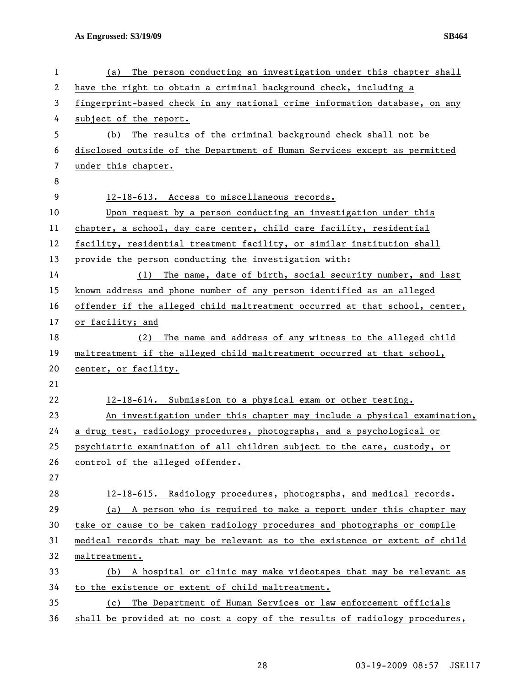| $\mathbf 1$ | The person conducting an investigation under this chapter shall<br>(a)      |
|-------------|-----------------------------------------------------------------------------|
| 2           | have the right to obtain a criminal background check, including a           |
| 3           | fingerprint-based check in any national crime information database, on any  |
| 4           | subject of the report.                                                      |
| 5           | (b) The results of the criminal background check shall not be               |
| 6           | disclosed outside of the Department of Human Services except as permitted   |
| 7           | under this chapter.                                                         |
| 8           |                                                                             |
| 9           | 12-18-613. Access to miscellaneous records.                                 |
| 10          | Upon request by a person conducting an investigation under this             |
| 11          | chapter, a school, day care center, child care facility, residential        |
| 12          | facility, residential treatment facility, or similar institution shall      |
| 13          | provide the person conducting the investigation with:                       |
| 14          | The name, date of birth, social security number, and last<br>(1)            |
| 15          | known address and phone number of any person identified as an alleged       |
| 16          | offender if the alleged child maltreatment occurred at that school, center, |
| 17          | or facility; and                                                            |
| 18          | The name and address of any witness to the alleged child<br>(2)             |
| 19          | maltreatment if the alleged child maltreatment occurred at that school,     |
| 20          | center, or facility.                                                        |
| 21          |                                                                             |
| 22          | 12-18-614. Submission to a physical exam or other testing.                  |
| 23          | An investigation under this chapter may include a physical examination,     |
| 24          | a drug test, radiology procedures, photographs, and a psychological or      |
| 25          | psychiatric examination of all children subject to the care, custody, or    |
| 26          | control of the alleged offender.                                            |
| 27          |                                                                             |
| 28          | 12-18-615. Radiology procedures, photographs, and medical records.          |
| 29          | (a) A person who is required to make a report under this chapter may        |
| 30          | take or cause to be taken radiology procedures and photographs or compile   |
| 31          | medical records that may be relevant as to the existence or extent of child |
| 32          | maltreatment.                                                               |
| 33          | (b) A hospital or clinic may make videotapes that may be relevant as        |
| 34          | to the existence or extent of child maltreatment.                           |
| 35          | The Department of Human Services or law enforcement officials<br>(c)        |
| 36          | shall be provided at no cost a copy of the results of radiology procedures, |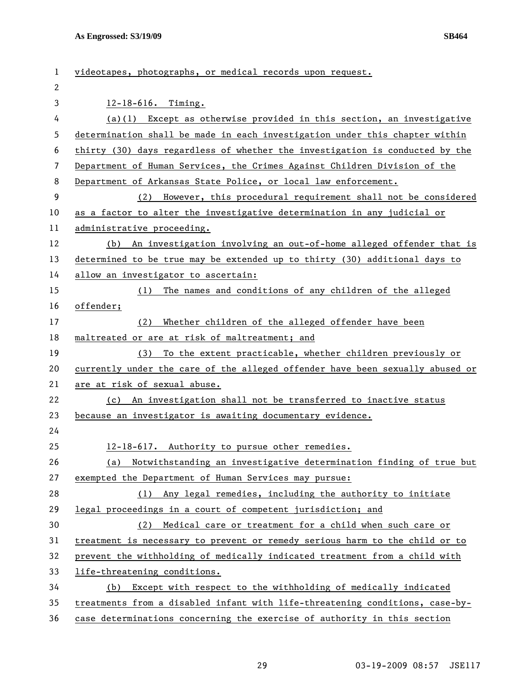| 1            | videotapes, photographs, or medical records upon request.                     |
|--------------|-------------------------------------------------------------------------------|
| $\mathbf{2}$ |                                                                               |
| 3            | $12 - 18 - 616$ . Timing.                                                     |
| 4            | $(a)(1)$ Except as otherwise provided in this section, an investigative       |
| 5            | determination shall be made in each investigation under this chapter within   |
| 6            | thirty (30) days regardless of whether the investigation is conducted by the  |
| 7            | Department of Human Services, the Crimes Against Children Division of the     |
| 8            | Department of Arkansas State Police, or local law enforcement.                |
| 9            | However, this procedural requirement shall not be considered<br>(2)           |
| 10           | as a factor to alter the investigative determination in any judicial or       |
| 11           | administrative proceeding.                                                    |
| 12           | (b) An investigation involving an out-of-home alleged offender that is        |
| 13           | determined to be true may be extended up to thirty (30) additional days to    |
| 14           | allow an investigator to ascertain:                                           |
| 15           | The names and conditions of any children of the alleged<br>(1)                |
| 16           | offender;                                                                     |
| 17           | (2)<br>Whether children of the alleged offender have been                     |
| 18           | maltreated or are at risk of maltreatment; and                                |
| 19           | To the extent practicable, whether children previously or<br>(3)              |
| 20           | currently under the care of the alleged offender have been sexually abused or |
| 21           | are at risk of sexual abuse.                                                  |
| 22           | (c) An investigation shall not be transferred to inactive status              |
| 23           | because an investigator is awaiting documentary evidence.                     |
| 24           |                                                                               |
| 25           | 12-18-617. Authority to pursue other remedies.                                |
| 26           | Notwithstanding an investigative determination finding of true but<br>(a)     |
| 27           | exempted the Department of Human Services may pursue:                         |
| 28           | (1) Any legal remedies, including the authority to initiate                   |
| 29           | legal proceedings in a court of competent jurisdiction; and                   |
| 30           | Medical care or treatment for a child when such care or<br>(2)                |
| 31           | treatment is necessary to prevent or remedy serious harm to the child or to   |
| 32           | prevent the withholding of medically indicated treatment from a child with    |
| 33           | life-threatening conditions.                                                  |
| 34           | (b) Except with respect to the withholding of medically indicated             |
| 35           | treatments from a disabled infant with life-threatening conditions, case-by-  |
| 36           | case determinations concerning the exercise of authority in this section      |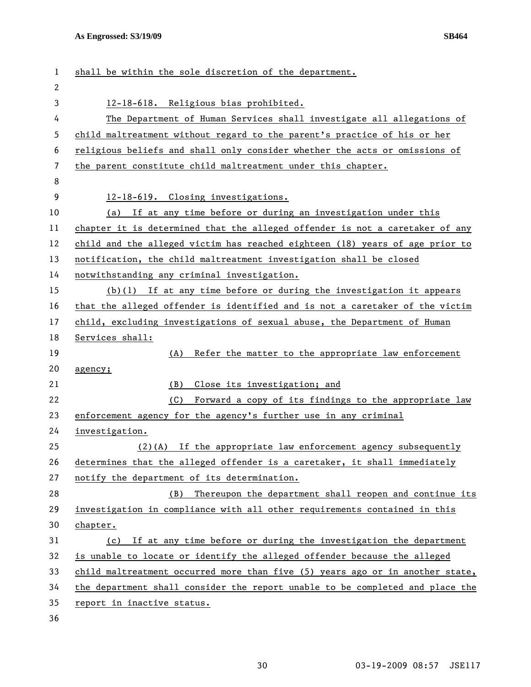| 1  | shall be within the sole discretion of the department.                        |
|----|-------------------------------------------------------------------------------|
| 2  |                                                                               |
| 3  | 12-18-618. Religious bias prohibited.                                         |
| 4  | The Department of Human Services shall investigate all allegations of         |
| 5  | child maltreatment without regard to the parent's practice of his or her      |
| 6  | religious beliefs and shall only consider whether the acts or omissions of    |
| 7  | the parent constitute child maltreatment under this chapter.                  |
| 8  |                                                                               |
| 9  | 12-18-619. Closing investigations.                                            |
| 10 | (a) If at any time before or during an investigation under this               |
| 11 | chapter it is determined that the alleged offender is not a caretaker of any  |
| 12 | child and the alleged victim has reached eighteen (18) years of age prior to  |
| 13 | notification, the child maltreatment investigation shall be closed            |
| 14 | notwithstanding any criminal investigation.                                   |
| 15 | $(b)(1)$ If at any time before or during the investigation it appears         |
| 16 | that the alleged offender is identified and is not a caretaker of the victim  |
| 17 | child, excluding investigations of sexual abuse, the Department of Human      |
| 18 | Services shall:                                                               |
| 19 | Refer the matter to the appropriate law enforcement<br>(A)                    |
| 20 | agency;                                                                       |
| 21 | (B)<br>Close its investigation; and                                           |
| 22 | (C)<br>Forward a copy of its findings to the appropriate law                  |
| 23 | enforcement agency for the agency's further use in any criminal               |
| 24 | investigation.                                                                |
| 25 | $(2)(A)$ If the appropriate law enforcement agency subsequently               |
| 26 | determines that the alleged offender is a caretaker, it shall immediately     |
| 27 | notify the department of its determination.                                   |
| 28 | Thereupon the department shall reopen and continue its<br>(B)                 |
| 29 | investigation in compliance with all other requirements contained in this     |
| 30 | chapter.                                                                      |
| 31 | If at any time before or during the investigation the department<br>(c)       |
| 32 | is unable to locate or identify the alleged offender because the alleged      |
| 33 | child maltreatment occurred more than five (5) years ago or in another state, |
| 34 | the department shall consider the report unable to be completed and place the |
| 35 | report in inactive status.                                                    |
| 36 |                                                                               |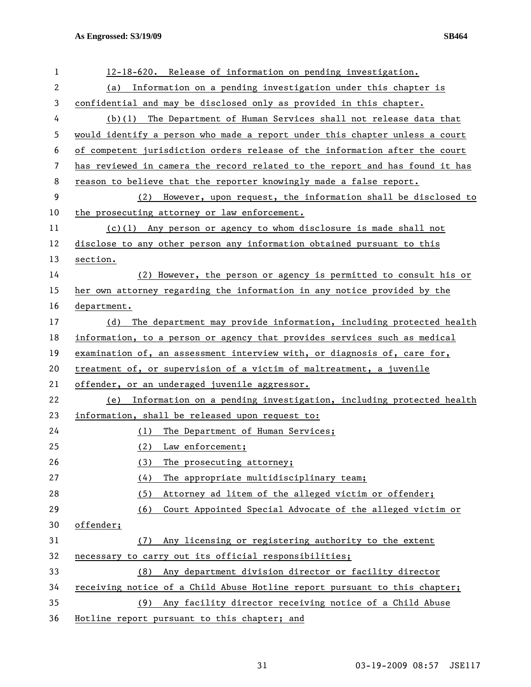| 1  | 12-18-620. Release of information on pending investigation.                  |
|----|------------------------------------------------------------------------------|
| 2  | Information on a pending investigation under this chapter is<br>(a)          |
| 3  | confidential and may be disclosed only as provided in this chapter.          |
| 4  | (b)(1) The Department of Human Services shall not release data that          |
| 5  | would identify a person who made a report under this chapter unless a court  |
| 6  | of competent jurisdiction orders release of the information after the court  |
| 7  | has reviewed in camera the record related to the report and has found it has |
| 8  | reason to believe that the reporter knowingly made a false report.           |
| 9  | (2) However, upon request, the information shall be disclosed to             |
| 10 | the prosecuting attorney or law enforcement.                                 |
| 11 | $(c)(1)$ Any person or agency to whom disclosure is made shall not           |
| 12 | disclose to any other person any information obtained pursuant to this       |
| 13 | section.                                                                     |
| 14 | (2) However, the person or agency is permitted to consult his or             |
| 15 | her own attorney regarding the information in any notice provided by the     |
| 16 | department.                                                                  |
| 17 | (d) The department may provide information, including protected health       |
| 18 | information, to a person or agency that provides services such as medical    |
| 19 | examination of, an assessment interview with, or diagnosis of, care for,     |
| 20 | treatment of, or supervision of a victim of maltreatment, a juvenile         |
| 21 | offender, or an underaged juvenile aggressor.                                |
| 22 | Information on a pending investigation, including protected health<br>(e)    |
| 23 | information, shall be released upon request to:                              |
| 24 | (1)<br>The Department of Human Services;                                     |
| 25 | (2) Law enforcement;                                                         |
| 26 | (3)<br>The prosecuting attorney;                                             |
| 27 | (4)<br>The appropriate multidisciplinary team;                               |
| 28 | Attorney ad litem of the alleged victim or offender;<br>(5)                  |
| 29 | (6)<br>Court Appointed Special Advocate of the alleged victim or             |
| 30 | offender;                                                                    |
| 31 | Any licensing or registering authority to the extent<br>(7)                  |
| 32 | necessary to carry out its official responsibilities;                        |
| 33 | Any department division director or facility director<br>(8)                 |
| 34 | receiving notice of a Child Abuse Hotline report pursuant to this chapter;   |
| 35 | Any facility director receiving notice of a Child Abuse<br>(9)               |
| 36 | Hotline report pursuant to this chapter; and                                 |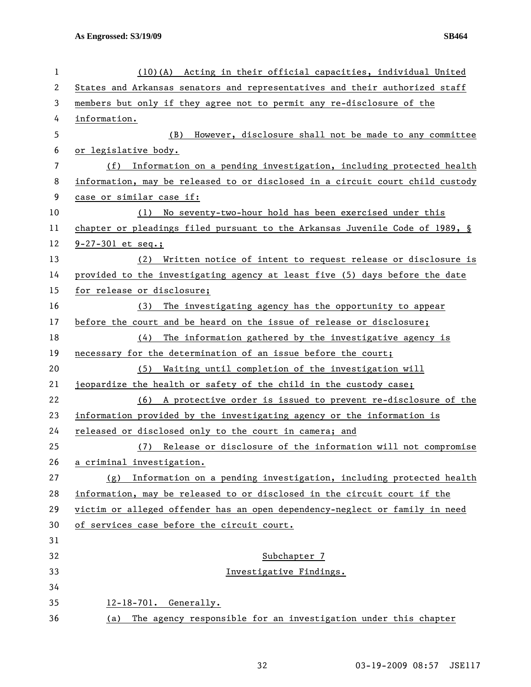| 1  | (10)(A) Acting in their official capacities, individual United                |
|----|-------------------------------------------------------------------------------|
| 2  | States and Arkansas senators and representatives and their authorized staff   |
| 3  | members but only if they agree not to permit any re-disclosure of the         |
| 4  | information.                                                                  |
| 5  | (B) However, disclosure shall not be made to any committee                    |
| 6  | or legislative body.                                                          |
| 7  | Information on a pending investigation, including protected health<br>(f)     |
| 8  | information, may be released to or disclosed in a circuit court child custody |
| 9  | case or similar case if:                                                      |
| 10 | No seventy-two-hour hold has been exercised under this<br>(1)                 |
| 11 | chapter or pleadings filed pursuant to the Arkansas Juvenile Code of 1989, §  |
| 12 | $9-27-301$ et seq.;                                                           |
| 13 | Written notice of intent to request release or disclosure is<br>(2)           |
| 14 | provided to the investigating agency at least five (5) days before the date   |
| 15 | for release or disclosure;                                                    |
| 16 | The investigating agency has the opportunity to appear<br>(3)                 |
| 17 | before the court and be heard on the issue of release or disclosure;          |
| 18 | (4)<br>The information gathered by the investigative agency is                |
| 19 | necessary for the determination of an issue before the court;                 |
| 20 | Waiting until completion of the investigation will<br>(5)                     |
| 21 | jeopardize the health or safety of the child in the custody case;             |
| 22 | A protective order is issued to prevent re-disclosure of the<br>(6)           |
| 23 | information provided by the investigating agency or the information is        |
| 24 | released or disclosed only to the court in camera; and                        |
| 25 | Release or disclosure of the information will not compromise<br>(7)           |
| 26 | a criminal investigation.                                                     |
| 27 | Information on a pending investigation, including protected health<br>(g)     |
| 28 | information, may be released to or disclosed in the circuit court if the      |
| 29 | victim or alleged offender has an open dependency-neglect or family in need   |
| 30 | of services case before the circuit court.                                    |
| 31 |                                                                               |
| 32 | Subchapter 7                                                                  |
| 33 | Investigative Findings.                                                       |
| 34 |                                                                               |
| 35 | 12-18-701. Generally.                                                         |
| 36 | The agency responsible for an investigation under this chapter<br>(a)         |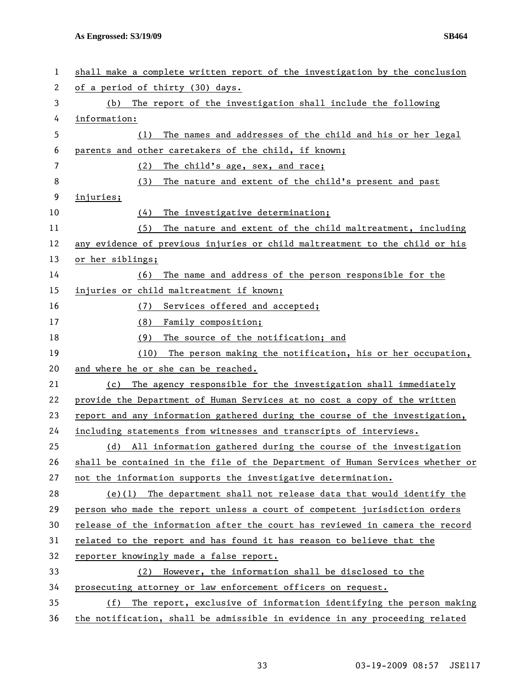| 1  | shall make a complete written report of the investigation by the conclusion   |
|----|-------------------------------------------------------------------------------|
| 2  | of a period of thirty (30) days.                                              |
| 3  | (b) The report of the investigation shall include the following               |
| 4  | information:                                                                  |
| 5  | The names and addresses of the child and his or her legal<br>(1)              |
| 6  | parents and other caretakers of the child, if known;                          |
| 7  | The child's age, sex, and race;<br>(2)                                        |
| 8  | (3)<br>The nature and extent of the child's present and past                  |
| 9  | injuries;                                                                     |
| 10 | The investigative determination;<br>(4)                                       |
| 11 | The nature and extent of the child maltreatment, including<br>(5)             |
| 12 | any evidence of previous injuries or child maltreatment to the child or his   |
| 13 | or her siblings;                                                              |
| 14 | The name and address of the person responsible for the<br>(6)                 |
| 15 | injuries or child maltreatment if known;                                      |
| 16 | Services offered and accepted;<br>(7)                                         |
| 17 | Family composition;<br>(8)                                                    |
| 18 | (9)<br>The source of the notification; and                                    |
| 19 | (10)<br>The person making the notification, his or her occupation,            |
| 20 | and where he or she can be reached.                                           |
| 21 | The agency responsible for the investigation shall immediately<br>(c)         |
| 22 | provide the Department of Human Services at no cost a copy of the written     |
| 23 | report and any information gathered during the course of the investigation,   |
| 24 | including statements from witnesses and transcripts of interviews.            |
| 25 | All information gathered during the course of the investigation<br>(d)        |
| 26 | shall be contained in the file of the Department of Human Services whether or |
| 27 | not the information supports the investigative determination.                 |
| 28 | $(e)(1)$ The department shall not release data that would identify the        |
| 29 | person who made the report unless a court of competent jurisdiction orders    |
| 30 | release of the information after the court has reviewed in camera the record  |
| 31 | related to the report and has found it has reason to believe that the         |
| 32 | reporter knowingly made a false report.                                       |
| 33 | (2) However, the information shall be disclosed to the                        |
| 34 | prosecuting attorney or law enforcement officers on request.                  |
| 35 | The report, exclusive of information identifying the person making<br>(f)     |
| 36 | the notification, shall be admissible in evidence in any proceeding related   |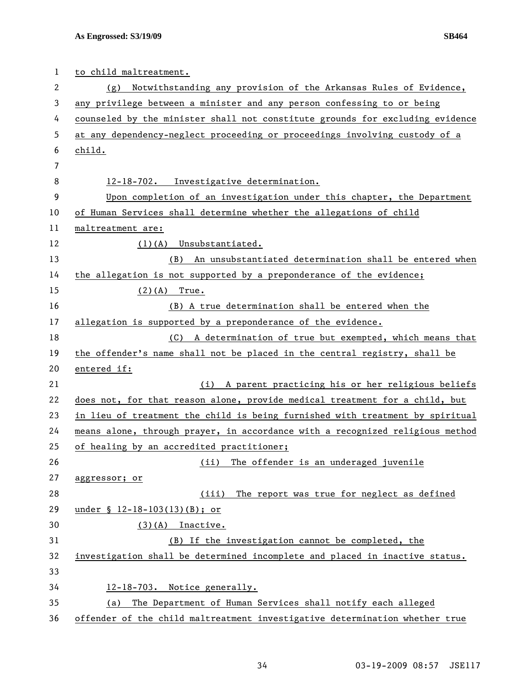| 1              | to child maltreatment.                                                        |
|----------------|-------------------------------------------------------------------------------|
| 2              | Notwithstanding any provision of the Arkansas Rules of Evidence,<br>(g)       |
| 3              | any privilege between a minister and any person confessing to or being        |
| 4              | counseled by the minister shall not constitute grounds for excluding evidence |
| 5              | at any dependency-neglect proceeding or proceedings involving custody of a    |
| 6              | child.                                                                        |
| $\overline{7}$ |                                                                               |
| 8              | 12-18-702. Investigative determination.                                       |
| 9              | Upon completion of an investigation under this chapter, the Department        |
| 10             | of Human Services shall determine whether the allegations of child            |
| 11             | maltreatment are:                                                             |
| 12             | $(1)$ (A) Unsubstantiated.                                                    |
| 13             | An unsubstantiated determination shall be entered when<br>(B)                 |
| 14             | the allegation is not supported by a preponderance of the evidence;           |
| 15             | $(2)(A)$ True.                                                                |
| 16             | (B) A true determination shall be entered when the                            |
| 17             | allegation is supported by a preponderance of the evidence.                   |
| 18             | (C) A determination of true but exempted, which means that                    |
| 19             | the offender's name shall not be placed in the central registry, shall be     |
| 20             | entered if:                                                                   |
| 21             | (i) A parent practicing his or her religious beliefs                          |
| 22             | does not, for that reason alone, provide medical treatment for a child, but   |
| 23             | in lieu of treatment the child is being furnished with treatment by spiritual |
| 24             | means alone, through prayer, in accordance with a recognized religious method |
| 25             | of healing by an accredited practitioner;                                     |
| 26             | (i)<br>The offender is an underaged juvenile                                  |
| 27             | aggressor; or                                                                 |
| 28             | The report was true for neglect as defined<br>(iii)                           |
| 29             | under § 12-18-103(13)(B); or                                                  |
| 30             | $(3)(A)$ Inactive.                                                            |
| 31             | (B) If the investigation cannot be completed, the                             |
| 32             | investigation shall be determined incomplete and placed in inactive status.   |
| 33             |                                                                               |
| 34             | 12-18-703. Notice generally.                                                  |
| 35             | The Department of Human Services shall notify each alleged<br>(a)             |
| 36             | offender of the child maltreatment investigative determination whether true   |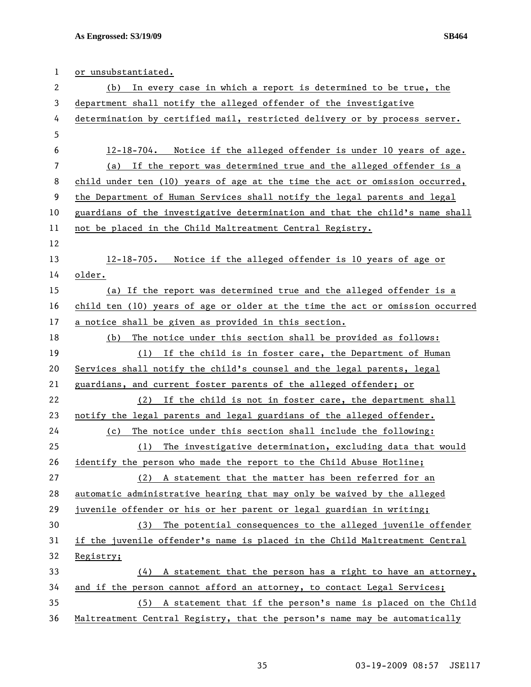| 1  | or unsubstantiated.                                                           |
|----|-------------------------------------------------------------------------------|
| 2  | In every case in which a report is determined to be true, the<br>(b)          |
| 3  | department shall notify the alleged offender of the investigative             |
| 4  | determination by certified mail, restricted delivery or by process server.    |
| 5  |                                                                               |
| 6  | 12-18-704. Notice if the alleged offender is under 10 years of age.           |
| 7  | (a) If the report was determined true and the alleged offender is a           |
| 8  | child under ten (10) years of age at the time the act or omission occurred,   |
| 9  | the Department of Human Services shall notify the legal parents and legal     |
| 10 | guardians of the investigative determination and that the child's name shall  |
| 11 | not be placed in the Child Maltreatment Central Registry.                     |
| 12 |                                                                               |
| 13 | 12-18-705. Notice if the alleged offender is 10 years of age or               |
| 14 | older.                                                                        |
| 15 | (a) If the report was determined true and the alleged offender is a           |
| 16 | child ten (10) years of age or older at the time the act or omission occurred |
| 17 | a notice shall be given as provided in this section.                          |
| 18 | The notice under this section shall be provided as follows:<br>(b)            |
| 19 | If the child is in foster care, the Department of Human<br>(1)                |
| 20 | Services shall notify the child's counsel and the legal parents, legal        |
| 21 | guardians, and current foster parents of the alleged offender; or             |
| 22 | (2) If the child is not in foster care, the department shall                  |
| 23 | notify the legal parents and legal guardians of the alleged offender.         |
| 24 | The notice under this section shall include the following:<br>(c)             |
| 25 | The investigative determination, excluding data that would<br>(1)             |
| 26 | identify the person who made the report to the Child Abuse Hotline;           |
| 27 | (2) A statement that the matter has been referred for an                      |
| 28 | automatic administrative hearing that may only be waived by the alleged       |
| 29 | juvenile offender or his or her parent or legal guardian in writing;          |
| 30 | The potential consequences to the alleged juvenile offender<br>(3)            |
| 31 | if the juvenile offender's name is placed in the Child Maltreatment Central   |
| 32 | Registry;                                                                     |
| 33 | A statement that the person has a right to have an attorney,<br>(4)           |
| 34 | and if the person cannot afford an attorney, to contact Legal Services;       |
| 35 | (5) A statement that if the person's name is placed on the Child              |
| 36 | Maltreatment Central Registry, that the person's name may be automatically    |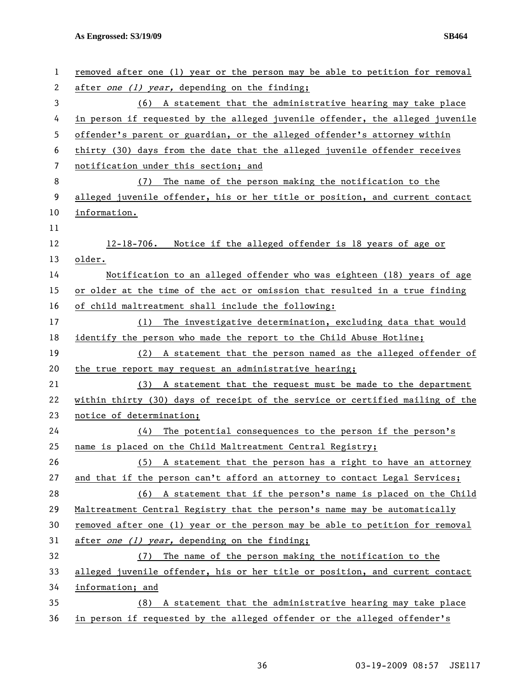| 1  | removed after one (1) year or the person may be able to petition for removal  |
|----|-------------------------------------------------------------------------------|
| 2  | after one (1) year, depending on the finding;                                 |
| 3  | (6) A statement that the administrative hearing may take place                |
| 4  | in person if requested by the alleged juvenile offender, the alleged juvenile |
| 5  | offender's parent or guardian, or the alleged offender's attorney within      |
| 6  | thirty (30) days from the date that the alleged juvenile offender receives    |
| 7  | notification under this section; and                                          |
| 8  | The name of the person making the notification to the<br>(7)                  |
| 9  | alleged juvenile offender, his or her title or position, and current contact  |
| 10 | information.                                                                  |
| 11 |                                                                               |
| 12 | 12-18-706. Notice if the alleged offender is 18 years of age or               |
| 13 | older.                                                                        |
| 14 | Notification to an alleged offender who was eighteen (18) years of age        |
| 15 | or older at the time of the act or omission that resulted in a true finding   |
| 16 | of child maltreatment shall include the following:                            |
| 17 | (1) The investigative determination, excluding data that would                |
| 18 | identify the person who made the report to the Child Abuse Hotline;           |
| 19 | (2) A statement that the person named as the alleged offender of              |
| 20 | the true report may request an administrative hearing;                        |
| 21 | (3) A statement that the request must be made to the department               |
| 22 | within thirty (30) days of receipt of the service or certified mailing of the |
| 23 | notice of determination;                                                      |
| 24 | (4) The potential consequences to the person if the person's                  |
| 25 | name is placed on the Child Maltreatment Central Registry;                    |
| 26 | (5) A statement that the person has a right to have an attorney               |
| 27 | and that if the person can't afford an attorney to contact Legal Services;    |
| 28 | (6) A statement that if the person's name is placed on the Child              |
| 29 | Maltreatment Central Registry that the person's name may be automatically     |
| 30 | removed after one (1) year or the person may be able to petition for removal  |
| 31 | after one (1) year, depending on the finding;                                 |
| 32 | The name of the person making the notification to the<br>(7)                  |
| 33 | alleged juvenile offender, his or her title or position, and current contact  |
| 34 | information; and                                                              |
| 35 | (8) A statement that the administrative hearing may take place                |
| 36 | in person if requested by the alleged offender or the alleged offender's      |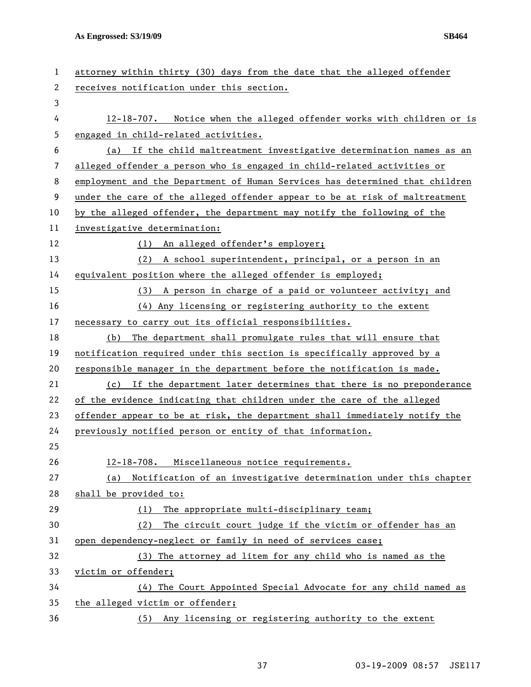| 1  | attorney within thirty (30) days from the date that the alleged offender        |
|----|---------------------------------------------------------------------------------|
| 2  | receives notification under this section.                                       |
| 3  |                                                                                 |
| 4  | Notice when the alleged offender works with children or is<br>$12 - 18 - 707$ . |
| 5  | engaged in child-related activities.                                            |
| 6  | (a) If the child maltreatment investigative determination names as an           |
| 7  | alleged offender a person who is engaged in child-related activities or         |
| 8  | employment and the Department of Human Services has determined that children    |
| 9  | under the care of the alleged offender appear to be at risk of maltreatment     |
| 10 | by the alleged offender, the department may notify the following of the         |
| 11 | investigative determination:                                                    |
| 12 | (1) An alleged offender's employer;                                             |
| 13 | (2) A school superintendent, principal, or a person in an                       |
| 14 | equivalent_position_where_the_alleged_offender_is_employed;                     |
| 15 | (3) A person in charge of a paid or volunteer activity; and                     |
| 16 | (4) Any licensing or registering authority to the extent                        |
| 17 | necessary to carry out its official responsibilities.                           |
| 18 | The department shall promulgate rules that will ensure that<br>(b)              |
| 19 | notification required under this section is specifically approved by a          |
| 20 | responsible manager in the department before the notification is made.          |
| 21 | (c) If the department later determines that there is no preponderance           |
| 22 | of the evidence indicating that children under the care of the alleged          |
| 23 | offender appear to be at risk, the department shall immediately notify the      |
| 24 | previously notified person or entity of that information.                       |
| 25 |                                                                                 |
| 26 | $12 - 18 - 708.$<br>Miscellaneous notice requirements.                          |
| 27 | Notification of an investigative determination under this chapter<br>(a)        |
| 28 | shall be provided to:                                                           |
| 29 | The appropriate multi-disciplinary team;<br>(1)                                 |
| 30 | The circuit court judge if the victim or offender has an<br>(2)                 |
| 31 | open dependency-neglect or family in need of services case;                     |
| 32 | (3) The attorney ad litem for any child who is named as the                     |
| 33 | victim or offender;                                                             |
| 34 | (4) The Court Appointed Special Advocate for any child named as                 |
| 35 | the alleged victim or offender;                                                 |
| 36 | (5) Any licensing or registering authority to the extent                        |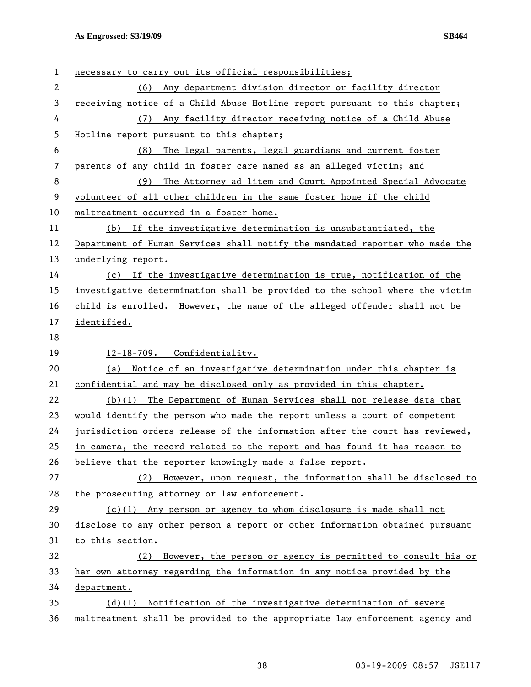| 1  | necessary to carry out its official responsibilities;                        |
|----|------------------------------------------------------------------------------|
| 2  | Any department division director or facility director<br>(6)                 |
| 3  | receiving notice of a Child Abuse Hotline report pursuant to this chapter;   |
| 4  | Any facility director receiving notice of a Child Abuse<br>(7)               |
| 5  | Hotline report pursuant to this chapter;                                     |
| 6  | The legal parents, legal guardians and current foster<br>(8)                 |
| 7  | parents of any child in foster care named as an alleged victim; and          |
| 8  | The Attorney ad litem and Court Appointed Special Advocate<br>(9)            |
| 9  | volunteer of all other children in the same foster home if the child         |
| 10 | maltreatment occurred in a foster home.                                      |
| 11 | (b) If the investigative determination is unsubstantiated, the               |
| 12 | Department of Human Services shall notify the mandated reporter who made the |
| 13 | underlying report.                                                           |
| 14 | (c) If the investigative determination is true, notification of the          |
| 15 | investigative determination shall be provided to the school where the victim |
| 16 | child is enrolled. However, the name of the alleged offender shall not be    |
| 17 | identified.                                                                  |
| 18 |                                                                              |
| 19 | 12-18-709. Confidentiality.                                                  |
| 20 | Notice of an investigative determination under this chapter is<br>(a)        |
| 21 | confidential and may be disclosed only as provided in this chapter.          |
| 22 | (b)(1) The Department of Human Services shall not release data that          |
| 23 | would identify the person who made the report unless a court of competent    |
| 24 | jurisdiction orders release of the information after the court has reviewed, |
| 25 | in camera, the record related to the report and has found it has reason to   |
| 26 | believe that the reporter knowingly made a false report.                     |
| 27 | However, upon request, the information shall be disclosed to<br>(2)          |
| 28 | the prosecuting attorney or law enforcement.                                 |
| 29 | $(c)(1)$ Any person or agency to whom disclosure is made shall not           |
| 30 | disclose to any other person a report or other information obtained pursuant |
| 31 | to this section.                                                             |
| 32 | However, the person or agency is permitted to consult his or<br>(2)          |
| 33 | her own attorney regarding the information in any notice provided by the     |
| 34 | department.                                                                  |
| 35 | Notification of the investigative determination of severe<br>$(d)$ (1)       |
| 36 | maltreatment shall be provided to the appropriate law enforcement agency and |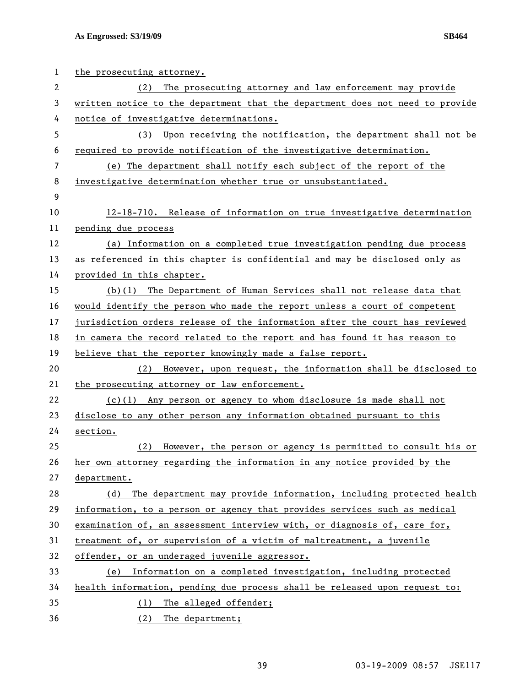| $\mathbf{1}$   | the prosecuting attorney.                                                     |
|----------------|-------------------------------------------------------------------------------|
| 2              | (2) The prosecuting attorney and law enforcement may provide                  |
| 3              | written notice to the department that the department does not need to provide |
| 4              | notice of investigative determinations.                                       |
| 5              | Upon receiving the notification, the department shall not be<br>(3)           |
| 6              | required to provide notification of the investigative determination.          |
| $\overline{7}$ | (e) The department shall notify each subject of the report of the             |
| 8              | investigative determination whether true or unsubstantiated.                  |
| 9              |                                                                               |
| 10             | 12-18-710. Release of information on true investigative determination         |
| 11             | pending due process                                                           |
| 12             | (a) Information on a completed true investigation pending due process         |
| 13             | as referenced in this chapter is confidential and may be disclosed only as    |
| 14             | provided in this chapter.                                                     |
| 15             | (b)(1) The Department of Human Services shall not release data that           |
| 16             | would identify the person who made the report unless a court of competent     |
| 17             | jurisdiction orders release of the information after the court has reviewed   |
| 18             | in camera the record related to the report and has found it has reason to     |
| 19             | believe that the reporter knowingly made a false report.                      |
| 20             | (2) However, upon request, the information shall be disclosed to              |
| 21             | the prosecuting attorney or law enforcement.                                  |
| 22             | $(c)(1)$ Any person or agency to whom disclosure is made shall not            |
| 23             | disclose to any other person any information obtained pursuant to this        |
| 24             | section.                                                                      |
| 25             | However, the person or agency is permitted to consult his or<br>(2)           |
| 26             | her own attorney regarding the information in any notice provided by the      |
| 27             | department.                                                                   |
| 28             | The department may provide information, including protected health<br>(d)     |
| 29             | information, to a person or agency that provides services such as medical     |
| 30             | examination of, an assessment interview with, or diagnosis of, care for,      |
| 31             | treatment of, or supervision of a victim of maltreatment, a juvenile          |
| 32             | offender, or an underaged juvenile aggressor.                                 |
| 33             | Information on a completed investigation, including protected<br>(e)          |
| 34             | health information, pending due process shall be released upon request to:    |
| 35             | The alleged offender;<br>(1)                                                  |
| 36             | (2)<br>The department;                                                        |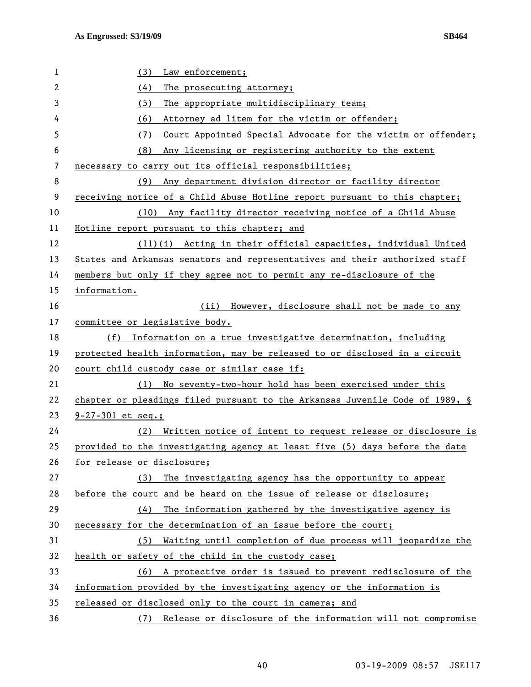| 1  | Law enforcement;<br>(3)                                                      |
|----|------------------------------------------------------------------------------|
| 2  | (4)<br>The prosecuting attorney;                                             |
| 3  | (5)<br>The appropriate multidisciplinary team;                               |
| 4  | (6)<br>Attorney ad litem for the victim or offender;                         |
| 5  | Court Appointed Special Advocate for the victim or offender;<br>(7)          |
| 6  | Any licensing or registering authority to the extent<br>(8)                  |
| 7  | necessary to carry out its official responsibilities;                        |
| 8  | Any department division director or facility director<br>(9)                 |
| 9  | receiving notice of a Child Abuse Hotline report pursuant to this chapter;   |
| 10 | Any facility director receiving notice of a Child Abuse<br>(10)              |
| 11 | Hotline report pursuant to this chapter; and                                 |
| 12 | (11)(i) Acting in their official capacities, individual United               |
| 13 | States and Arkansas senators and representatives and their authorized staff  |
| 14 | members but only if they agree not to permit any re-disclosure of the        |
| 15 | information.                                                                 |
| 16 | (ii)<br>However, disclosure shall not be made to any                         |
| 17 | committee or legislative body.                                               |
| 18 | Information on a true investigative determination, including<br>(f)          |
| 19 | protected health information, may be released to or disclosed in a circuit   |
| 20 | court child custody case or similar case if:                                 |
| 21 | No seventy-two-hour hold has been exercised under this<br>(1)                |
| 22 | chapter or pleadings filed pursuant to the Arkansas Juvenile Code of 1989, § |
| 23 | $9 - 27 - 301$ et seq.;                                                      |
| 24 | Written notice of intent to request release or disclosure is<br>(2)          |
| 25 | provided to the investigating agency at least five (5) days before the date  |
| 26 | for release or disclosure;                                                   |
| 27 | (3)<br>The investigating agency has the opportunity to appear                |
| 28 | before the court and be heard on the issue of release or disclosure;         |
| 29 | The information gathered by the investigative agency is<br>(4)               |
| 30 | necessary for the determination of an issue before the court;                |
| 31 | Waiting until completion of due process will jeopardize the<br>(5)           |
| 32 | health or safety of the child in the custody case;                           |
| 33 | (6) A protective order is issued to prevent redisclosure of the              |
| 34 | information provided by the investigating agency or the information is       |
| 35 | released or disclosed only to the court in camera; and                       |
| 36 | Release or disclosure of the information will not compromise<br>(7)          |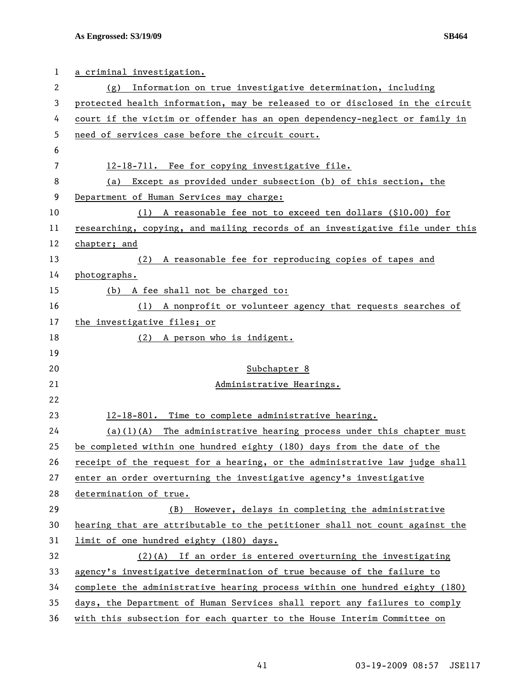| 1  | a criminal investigation.                                                     |
|----|-------------------------------------------------------------------------------|
| 2  | Information on true investigative determination, including<br>(g)             |
| 3  | protected health information, may be released to or disclosed in the circuit  |
| 4  | court if the victim or offender has an open dependency-neglect or family in   |
| 5  | need of services case before the circuit court.                               |
| 6  |                                                                               |
| 7  | 12-18-711. Fee for copying investigative file.                                |
| 8  | Except as provided under subsection (b) of this section, the<br>(a)           |
| 9  | Department of Human Services may charge:                                      |
| 10 | A reasonable fee not to exceed ten dollars (\$10.00) for<br>(1)               |
| 11 | researching, copying, and mailing records of an investigative file under this |
| 12 | chapter; and                                                                  |
| 13 | A reasonable fee for reproducing copies of tapes and<br>(2)                   |
| 14 | photographs.                                                                  |
| 15 | (b) A fee shall not be charged to:                                            |
| 16 | A nonprofit or volunteer agency that requests searches of<br>(1)              |
| 17 | the investigative files; or                                                   |
| 18 | (2) A person who is indigent.                                                 |
| 19 |                                                                               |
| 20 | Subchapter 8                                                                  |
| 21 | Administrative Hearings.                                                      |
| 22 |                                                                               |
| 23 | 12-18-801. Time to complete administrative hearing.                           |
| 24 | $(a)(1)(A)$ The administrative hearing process under this chapter must        |
| 25 | be completed within one hundred eighty (180) days from the date of the        |
| 26 | receipt of the request for a hearing, or the administrative law judge shall   |
| 27 | enter an order overturning the investigative agency's investigative           |
| 28 | determination of true.                                                        |
| 29 | (B) However, delays in completing the administrative                          |
| 30 | hearing that are attributable to the petitioner shall not count against the   |
| 31 | limit of one hundred eighty (180) days.                                       |
| 32 | $(2)$ (A) If an order is entered overturning the investigating                |
| 33 | agency's investigative determination of true because of the failure to        |
| 34 | complete the administrative hearing process within one hundred eighty (180)   |
| 35 | days, the Department of Human Services shall report any failures to comply    |
| 36 | with this subsection for each quarter to the House Interim Committee on       |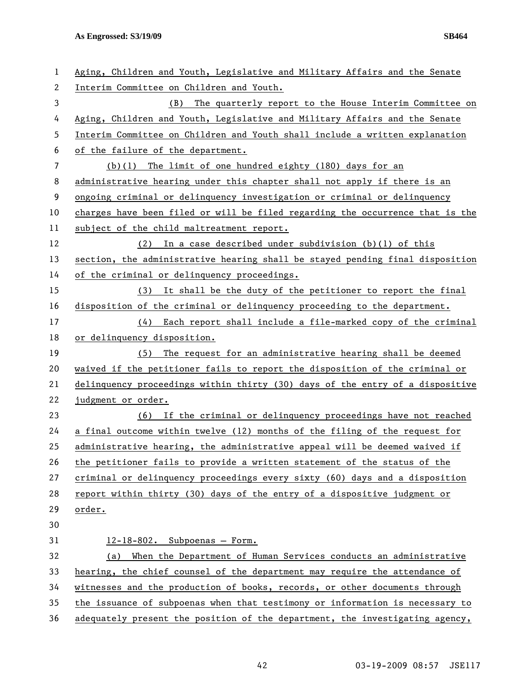| 1  | Aging, Children and Youth, Legislative and Military Affairs and the Senate    |
|----|-------------------------------------------------------------------------------|
| 2  | Interim Committee on Children and Youth.                                      |
| 3  | (B) The quarterly report to the House Interim Committee on                    |
| 4  | Aging, Children and Youth, Legislative and Military Affairs and the Senate    |
| 5  | Interim Committee on Children and Youth shall include a written explanation   |
| 6  | of the failure of the department.                                             |
| 7  | $(b)(1)$ The limit of one hundred eighty (180) days for an                    |
| 8  | administrative hearing under this chapter shall not apply if there is an      |
| 9  | ongoing criminal or delinquency investigation or criminal or delinquency      |
| 10 | charges have been filed or will be filed regarding the occurrence that is the |
| 11 | subject of the child maltreatment report.                                     |
| 12 | In a case described under subdivision $(b)(1)$ of this<br>(2)                 |
| 13 | section, the administrative hearing shall be stayed pending final disposition |
| 14 | of the criminal or delinquency proceedings.                                   |
| 15 | (3) It shall be the duty of the petitioner to report the final                |
| 16 | disposition of the criminal or delinquency proceeding to the department.      |
| 17 | (4) Each report shall include a file-marked copy of the criminal              |
| 18 | or delinquency disposition.                                                   |
| 19 | The request for an administrative hearing shall be deemed<br>(5)              |
| 20 | waived if the petitioner fails to report the disposition of the criminal or   |
| 21 | delinquency proceedings within thirty (30) days of the entry of a dispositive |
| 22 | judgment or order.                                                            |
| 23 | If the criminal or delinquency proceedings have not reached<br>(6)            |
| 24 | a final outcome within twelve (12) months of the filing of the request for    |
| 25 | administrative hearing, the administrative appeal will be deemed waived if    |
| 26 | the petitioner fails to provide a written statement of the status of the      |
| 27 | criminal or delinquency proceedings every sixty (60) days and a disposition   |
| 28 | report within thirty (30) days of the entry of a dispositive judgment or      |
| 29 | order.                                                                        |
| 30 |                                                                               |
| 31 | $12 - 18 - 802$ . Subpoenas - Form.                                           |
| 32 | When the Department of Human Services conducts an administrative<br>(a)       |
| 33 | hearing, the chief counsel of the department may require the attendance of    |
| 34 | witnesses and the production of books, records, or other documents through    |
| 35 | the issuance of subpoenas when that testimony or information is necessary to  |
| 36 | adequately present the position of the department, the investigating agency,  |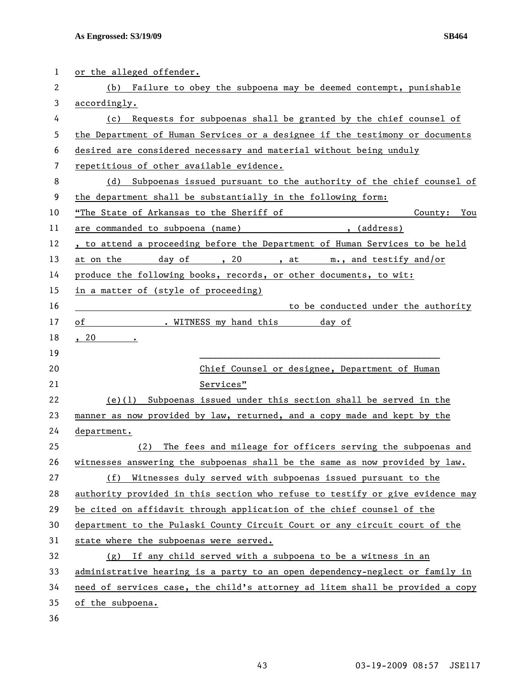| 1  | or the alleged offender.                                                      |
|----|-------------------------------------------------------------------------------|
| 2  | (b) Failure to obey the subpoena may be deemed contempt, punishable           |
| 3  | accordingly.                                                                  |
| 4  | Requests for subpoenas shall be granted by the chief counsel of<br>(c)        |
| 5  | the Department of Human Services or a designee if the testimony or documents  |
| 6  | desired are considered necessary and material without being unduly            |
| 7  | repetitious of other available evidence.                                      |
| 8  | Subpoenas issued pursuant to the authority of the chief counsel of<br>(d)     |
| 9  | the department shall be substantially in the following form:                  |
| 10 | "The State of Arkansas to the Sheriff of<br><u>Cou</u> nty: You               |
| 11 | are commanded to subpoena (name) , (address)                                  |
| 12 | , to attend a proceeding before the Department of Human Services to be held   |
| 13 | at on the day of , 20 , at m., and testify and/or                             |
| 14 | produce the following books, records, or other documents, to wit:             |
| 15 | in a matter of (style of proceeding)                                          |
| 16 | to be conducted under the authority                                           |
| 17 | of<br>. WITNESS my hand this day of                                           |
| 18 | $, 20$ .                                                                      |
| 19 |                                                                               |
| 20 | Chief Counsel or designee, Department of Human                                |
| 21 | Services"                                                                     |
| 22 | $(e)(1)$ Subpoenas issued under this section shall be served in the           |
| 23 | manner as now provided by law, returned, and a copy made and kept by the      |
| 24 | department.                                                                   |
| 25 | The fees and mileage for officers serving the subpoenas and<br>(2)            |
| 26 | witnesses answering the subpoenas shall be the same as now provided by law.   |
| 27 | Witnesses duly served with subpoenas issued pursuant to the<br>(f)            |
| 28 | authority provided in this section who refuse to testify or give evidence may |
| 29 | be cited on affidavit through application of the chief counsel of the         |
| 30 | department to the Pulaski County Circuit Court or any circuit court of the    |
| 31 | state where the subpoenas were served.                                        |
| 32 | (g) If any child served with a subpoena to be a witness in an                 |
| 33 | administrative hearing is a party to an open dependency-neglect or family in  |
| 34 | need of services case, the child's attorney ad litem shall be provided a copy |
| 35 | of the subpoena.                                                              |
| 36 |                                                                               |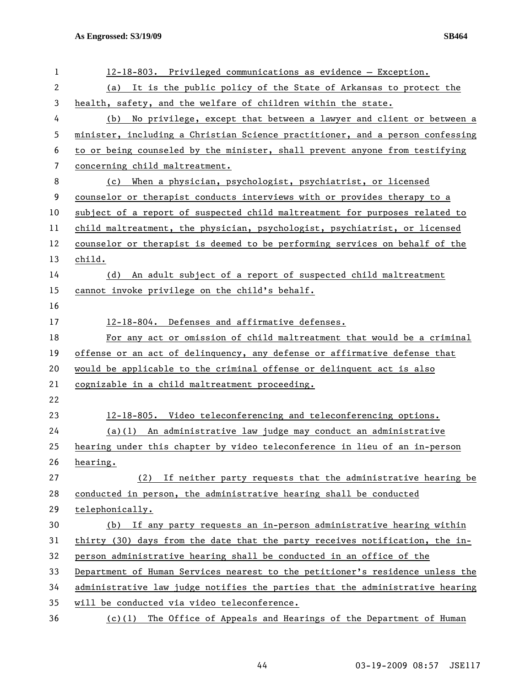| $\mathbf 1$    | 12-18-803. Privileged communications as evidence - Exception.                 |
|----------------|-------------------------------------------------------------------------------|
| 2              | (a) It is the public policy of the State of Arkansas to protect the           |
| 3              | health, safety, and the welfare of children within the state.                 |
| 4              | No privilege, except that between a lawyer and client or between a<br>(b)     |
| 5              | minister, including a Christian Science practitioner, and a person confessing |
| 6              | to or being counseled by the minister, shall prevent anyone from testifying   |
| $\overline{7}$ | concerning child maltreatment.                                                |
| 8              | When a physician, psychologist, psychiatrist, or licensed<br>(c)              |
| 9              | counselor or therapist conducts interviews with or provides therapy to a      |
| 10             | subject of a report of suspected child maltreatment for purposes related to   |
| 11             | child maltreatment, the physician, psychologist, psychiatrist, or licensed    |
| 12             | counselor or therapist is deemed to be performing services on behalf of the   |
| 13             | child.                                                                        |
| 14             | An adult subject of a report of suspected child maltreatment<br>(d)           |
| 15             | cannot invoke privilege on the child's behalf.                                |
| 16             |                                                                               |
| 17             | 12-18-804. Defenses and affirmative defenses.                                 |
| 18             | For any act or omission of child maltreatment that would be a criminal        |
| 19             | offense or an act of delinquency, any defense or affirmative defense that     |
| 20             | would be applicable to the criminal offense or delinquent act is also         |
| 21             | cognizable in a child maltreatment proceeding.                                |
| 22             |                                                                               |
| 23             | 12-18-805. Video teleconferencing and teleconferencing options.               |
| 24             | $(a)(1)$ An administrative law judge may conduct an administrative            |
| 25             | hearing under this chapter by video teleconference in lieu of an in-person    |
| 26             | hearing.                                                                      |
| 27             | (2) If neither party requests that the administrative hearing be              |
| 28             | conducted in person, the administrative hearing shall be conducted            |
| 29             | telephonically.                                                               |
| 30             | (b) If any party requests an in-person administrative hearing within          |
| 31             | thirty (30) days from the date that the party receives notification, the in-  |
| 32             | person administrative hearing shall be conducted in an office of the          |
| 33             | Department of Human Services nearest to the petitioner's residence unless the |
| 34             | administrative law judge notifies the parties that the administrative hearing |
| 35             | will be conducted via video teleconference.                                   |
| 36             | $(c)(1)$ The Office of Appeals and Hearings of the Department of Human        |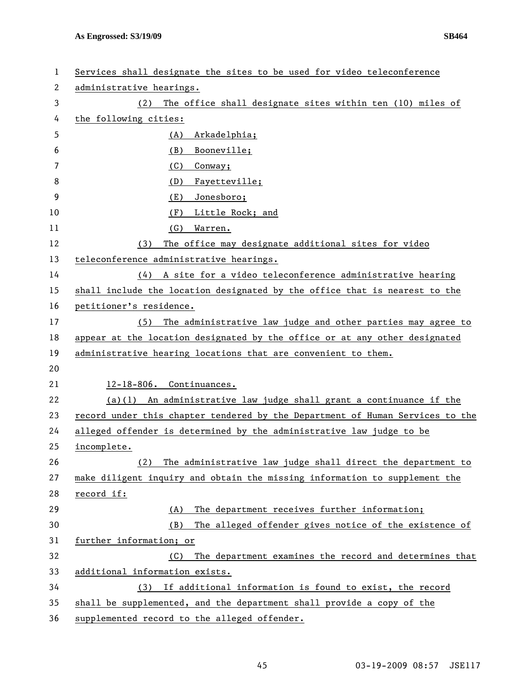| 1        | Services shall designate the sites to be used for video teleconference                   |
|----------|------------------------------------------------------------------------------------------|
| 2        | administrative hearings.                                                                 |
| 3        | The office shall designate sites within ten (10) miles of<br>(2)                         |
| 4        | the following cities:                                                                    |
| 5        | Arkadelphia;<br>(A)                                                                      |
| 6        | Booneville;<br>(B)                                                                       |
| 7        | (C)<br>Conway;                                                                           |
| 8        | (D)<br>Fayetteville;                                                                     |
| 9        | (E)<br>Jonesboro;                                                                        |
| 10       | (F)<br>Little Rock; and                                                                  |
| 11       | (G)<br>Warren.                                                                           |
| 12       | The office may designate additional sites for video<br>(3)                               |
| 13       | teleconference administrative hearings.                                                  |
| 14       | A site for a video teleconference administrative hearing<br>(4)                          |
| 15       | shall include the location designated by the office that is nearest to the               |
| 16       | petitioner's residence.                                                                  |
| 17       | The administrative law judge and other parties may agree to<br>(5)                       |
| 18       | appear at the location designated by the office or at any other designated               |
| 19       | administrative hearing locations that are convenient to them.                            |
| 20       |                                                                                          |
| 21       | 12-18-806. Continuances.                                                                 |
| 22       | (a)(1) An administrative law judge shall grant a continuance if the                      |
| 23       | record under this chapter tendered by the Department of Human Services to the            |
| 24       | alleged offender is determined by the administrative law judge to be                     |
| 25       | incomplete.                                                                              |
| 26       | The administrative law judge shall direct the department to<br>(2)                       |
| 27       | make diligent inquiry and obtain the missing information to supplement the               |
| 28       | record if:                                                                               |
| 29       | The department receives further information;<br>(A)                                      |
| 30       | The alleged offender gives notice of the existence of<br>(B)                             |
| 31<br>32 | further information; or<br>(C)<br>The department examines the record and determines that |
| 33       | additional information exists.                                                           |
| 34       | If additional information is found to exist, the record<br>(3)                           |
| 35       | shall be supplemented, and the department shall provide a copy of the                    |
| 36       | supplemented record to the alleged offender.                                             |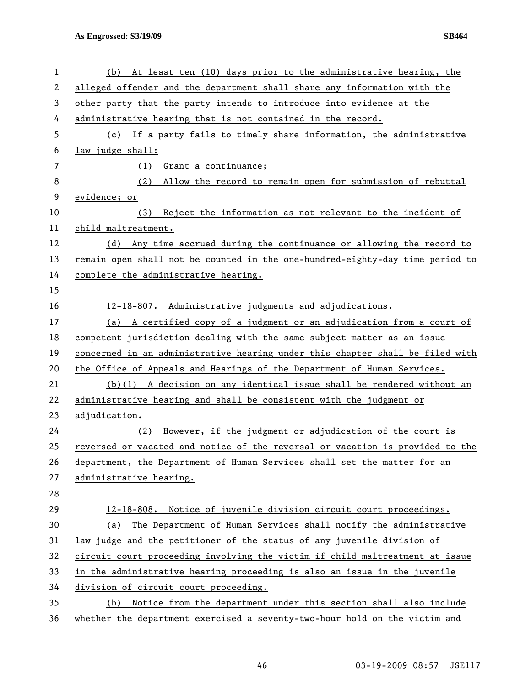| $\mathbf{1}$   | At least ten (10) days prior to the administrative hearing, the<br>(b)        |
|----------------|-------------------------------------------------------------------------------|
| 2              | alleged offender and the department shall share any information with the      |
| 3              | other party that the party intends to introduce into evidence at the          |
| 4              | administrative hearing that is not contained in the record.                   |
| 5              | (c) If a party fails to timely share information, the administrative          |
| 6              | law judge shall:                                                              |
| $\overline{7}$ | (1)<br>Grant a continuance;                                                   |
| 8              | (2)<br>Allow the record to remain open for submission of rebuttal             |
| 9              | evidence; or                                                                  |
| 10             | Reject the information as not relevant to the incident of<br>(3)              |
| 11             | child maltreatment.                                                           |
| 12             | Any time accrued during the continuance or allowing the record to<br>(d)      |
| 13             | remain open shall not be counted in the one-hundred-eighty-day time period to |
| 14             | complete the administrative hearing.                                          |
| 15             |                                                                               |
| 16             | 12-18-807. Administrative judgments and adjudications.                        |
| 17             | (a) A certified copy of a judgment or an adjudication from a court of         |
| 18             | competent jurisdiction dealing with the same subject matter as an issue       |
| 19             | concerned in an administrative hearing under this chapter shall be filed with |
| 20             | the Office of Appeals and Hearings of the Department of Human Services.       |
| 21             | $(b)(1)$ A decision on any identical issue shall be rendered without an       |
| 22             | administrative hearing and shall be consistent with the judgment or           |
| 23             | adjudication.                                                                 |
| 24             | However, if the judgment or adjudication of the court is<br>(2)               |
| 25             | reversed or vacated and notice of the reversal or vacation is provided to the |
| 26             | department, the Department of Human Services shall set the matter for an      |
| 27             | administrative hearing.                                                       |
| 28             |                                                                               |
| 29             | 12-18-808. Notice of juvenile division circuit court proceedings.             |
| 30             | The Department of Human Services shall notify the administrative<br>(a)       |
| 31             | law judge and the petitioner of the status of any juvenile division of        |
| 32             | circuit court proceeding involving the victim if child maltreatment at issue  |
| 33             | in the administrative hearing proceeding is also an issue in the juvenile     |
| 34             | division of circuit court proceeding.                                         |
| 35             | Notice from the department under this section shall also include<br>(b)       |
| 36             | whether the department exercised a seventy-two-hour hold on the victim and    |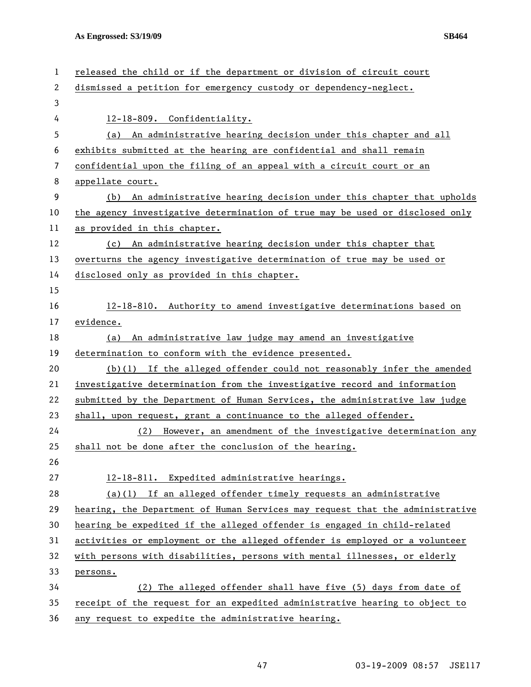| 1  | released the child or if the department or division of circuit court          |
|----|-------------------------------------------------------------------------------|
| 2  | dismissed a petition for emergency custody or dependency-neglect.             |
| 3  |                                                                               |
| 4  | 12-18-809. Confidentiality.                                                   |
| 5  | (a) An administrative hearing decision under this chapter and all             |
| 6  | exhibits submitted at the hearing are confidential and shall remain           |
| 7  | confidential upon the filing of an appeal with a circuit court or an          |
| 8  | appellate court.                                                              |
| 9  | An administrative hearing decision under this chapter that upholds<br>(b)     |
| 10 | the agency investigative determination of true may be used or disclosed only  |
| 11 | as provided in this chapter.                                                  |
| 12 | (c) An administrative hearing decision under this chapter that                |
| 13 | overturns the agency investigative determination of true may be used or       |
| 14 | disclosed only as provided in this chapter.                                   |
| 15 |                                                                               |
| 16 | 12-18-810. Authority to amend investigative determinations based on           |
| 17 | evidence.                                                                     |
| 18 | An administrative law judge may amend an investigative<br>(a)                 |
| 19 | determination to conform with the evidence presented.                         |
| 20 | $(b)(1)$ If the alleged offender could not reasonably infer the amended       |
| 21 | investigative determination from the investigative record and information     |
| 22 | submitted by the Department of Human Services, the administrative law judge   |
| 23 | shall, upon request, grant a continuance to the alleged offender.             |
| 24 | However, an amendment of the investigative determination any<br>(2)           |
| 25 | shall not be done after the conclusion of the hearing.                        |
| 26 |                                                                               |
| 27 | 12-18-811. Expedited administrative hearings.                                 |
| 28 | $(a)(1)$ If an alleged offender timely requests an administrative             |
| 29 | hearing, the Department of Human Services may request that the administrative |
| 30 | hearing be expedited if the alleged offender is engaged in child-related      |
| 31 | activities or employment or the alleged offender is employed or a volunteer   |
| 32 | with persons with disabilities, persons with mental illnesses, or elderly     |
| 33 | persons.                                                                      |
| 34 | (2) The alleged offender shall have five (5) days from date of                |
| 35 | receipt of the request for an expedited administrative hearing to object to   |
| 36 | any request to expedite the administrative hearing.                           |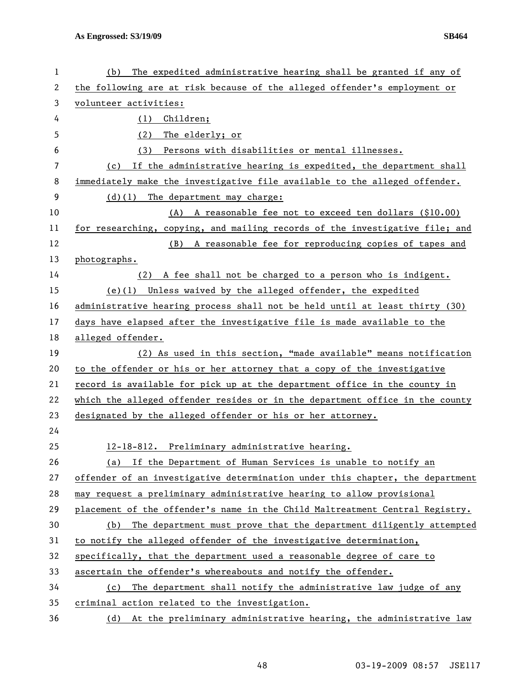| 1  | The expedited administrative hearing shall be granted if any of<br>(b)        |
|----|-------------------------------------------------------------------------------|
| 2  | the following are at risk because of the alleged offender's employment or     |
| 3  | volunteer activities:                                                         |
| 4  | Children;<br>(1)                                                              |
| 5  | The elderly; or<br>(2)                                                        |
| 6  | Persons with disabilities or mental illnesses.<br>(3)                         |
| 7  | If the administrative hearing is expedited, the department shall<br>(c)       |
| 8  | immediately make the investigative file available to the alleged offender.    |
| 9  | $(d)(1)$ The department may charge:                                           |
| 10 | A reasonable fee not to exceed ten dollars (\$10.00)<br>(A)                   |
| 11 | for researching, copying, and mailing records of the investigative file; and  |
| 12 | A reasonable fee for reproducing copies of tapes and<br>(B)                   |
| 13 | photographs.                                                                  |
| 14 | A fee shall not be charged to a person who is indigent.<br>(2)                |
| 15 | (e)(1) Unless waived by the alleged offender, the expedited                   |
| 16 | administrative hearing process shall not be held until at least thirty (30)   |
| 17 | days have elapsed after the investigative file is made available to the       |
| 18 | alleged offender.                                                             |
| 19 | (2) As used in this section, "made available" means notification              |
| 20 | to the offender or his or her attorney that a copy of the investigative       |
| 21 | record is available for pick up at the department office in the county in     |
| 22 | which the alleged offender resides or in the department office in the county  |
| 23 | designated by the alleged offender or his or her attorney.                    |
| 24 |                                                                               |
| 25 | 12-18-812. Preliminary administrative hearing.                                |
| 26 | (a) If the Department of Human Services is unable to notify an                |
| 27 | offender of an investigative determination under this chapter, the department |
| 28 | may request a preliminary administrative hearing to allow provisional         |
| 29 | placement of the offender's name in the Child Maltreatment Central Registry.  |
| 30 | (b) The department must prove that the department diligently attempted        |
| 31 | to notify the alleged offender of the investigative determination,            |
| 32 | specifically, that the department used a reasonable degree of care to         |
| 33 | ascertain the offender's whereabouts and notify the offender.                 |
| 34 | The department shall notify the administrative law judge of any<br>(c)        |
| 35 | criminal action related to the investigation.                                 |
| 36 | (d) At the preliminary administrative hearing, the administrative law         |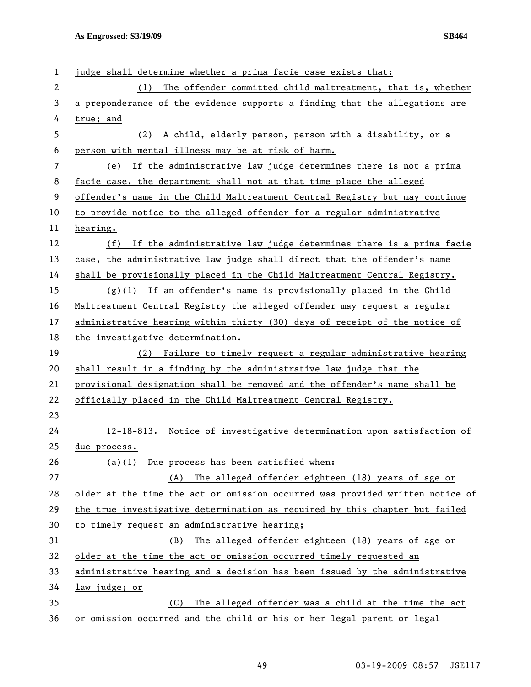| 1  | judge shall determine whether a prima facie case exists that:                 |
|----|-------------------------------------------------------------------------------|
| 2  | The offender committed child maltreatment, that is, whether<br>(1)            |
| 3  | a preponderance of the evidence supports a finding that the allegations are   |
| 4  | true; and                                                                     |
| 5  | (2) A child, elderly person, person with a disability, or a                   |
| 6  | person with mental illness may be at risk of harm.                            |
| 7  | (e) If the administrative law judge determines there is not a prima           |
| 8  | facie case, the department shall not at that time place the alleged           |
| 9  | offender's name in the Child Maltreatment Central Registry but may continue   |
| 10 | to provide notice to the alleged offender for a regular administrative        |
| 11 | hearing.                                                                      |
| 12 | If the administrative law judge determines there is a prima facie<br>(f)      |
| 13 | case, the administrative law judge shall direct that the offender's name      |
| 14 | shall be provisionally placed in the Child Maltreatment Central Registry.     |
| 15 | $(g)(1)$ If an offender's name is provisionally placed in the Child           |
| 16 | Maltreatment Central Registry the alleged offender may request a regular      |
| 17 | administrative hearing within thirty (30) days of receipt of the notice of    |
| 18 | the investigative determination.                                              |
| 19 | Failure to timely request a regular administrative hearing<br>(2)             |
| 20 | shall result in a finding by the administrative law judge that the            |
| 21 | provisional designation shall be removed and the offender's name shall be     |
| 22 | officially placed in the Child Maltreatment Central Registry.                 |
| 23 |                                                                               |
| 24 | 12-18-813. Notice of investigative determination upon satisfaction of         |
| 25 | due process.                                                                  |
| 26 | (a)(1) Due process has been satisfied when:                                   |
| 27 | The alleged offender eighteen (18) years of age or<br>(A)                     |
| 28 | older at the time the act or omission occurred was provided written notice of |
| 29 | the true investigative determination as required by this chapter but failed   |
| 30 | to timely request an administrative hearing;                                  |
| 31 | The alleged offender eighteen (18) years of age or<br>(B)                     |
| 32 | older at the time the act or omission occurred timely requested an            |
| 33 | administrative hearing and a decision has been issued by the administrative   |
| 34 | law judge; or                                                                 |
| 35 | The alleged offender was a child at the time the act<br>(C)                   |
| 36 | or omission occurred and the child or his or her legal parent or legal        |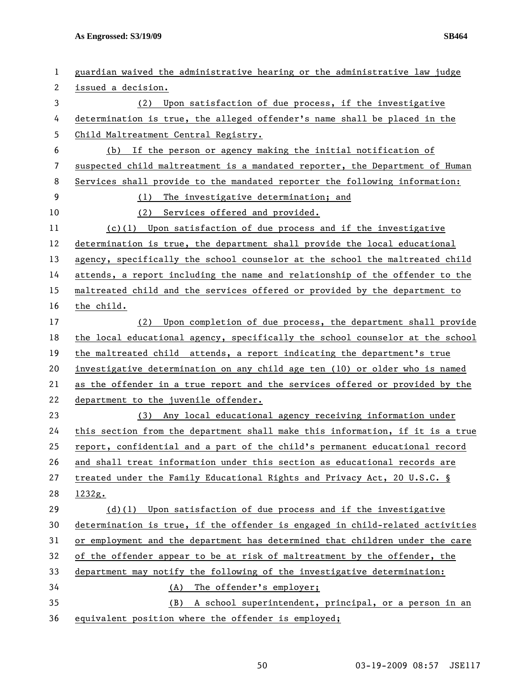| 1              | guardian waived the administrative hearing or the administrative law judge    |
|----------------|-------------------------------------------------------------------------------|
| $\overline{2}$ | issued a decision.                                                            |
| 3              | (2) Upon satisfaction of due process, if the investigative                    |
| 4              | determination is true, the alleged offender's name shall be placed in the     |
| 5              | Child Maltreatment Central Registry.                                          |
| 6              | (b) If the person or agency making the initial notification of                |
| 7              | suspected child maltreatment is a mandated reporter, the Department of Human  |
| 8              | Services shall provide to the mandated reporter the following information:    |
| 9              | (1) The investigative determination; and                                      |
| 10             | (2) Services offered and provided.                                            |
| 11             | $(c)(1)$ Upon satisfaction of due process and if the investigative            |
| 12             | determination is true, the department shall provide the local educational     |
| 13             | agency, specifically the school counselor at the school the maltreated child  |
| 14             | attends, a report including the name and relationship of the offender to the  |
| 15             | maltreated child and the services offered or provided by the department to    |
| 16             | the child.                                                                    |
| 17             | Upon completion of due process, the department shall provide<br>(2)           |
| 18             | the local educational agency, specifically the school counselor at the school |
| 19             | the maltreated child attends, a report indicating the department's true       |
| 20             | investigative determination on any child age ten (10) or older who is named   |
| 21             | as the offender in a true report and the services offered or provided by the  |
| 22             | department to the juvenile offender.                                          |
| 23             | (3) Any local educational agency receiving information under                  |
| 24             | this section from the department shall make this information, if it is a true |
| 25             | report, confidential and a part of the child's permanent educational record   |
| 26             | and shall treat information under this section as educational records are     |
| 27             | treated under the Family Educational Rights and Privacy Act, 20 U.S.C. §      |
| 28             | 1232g.                                                                        |
| 29             | Upon satisfaction of due process and if the investigative<br>$(d)$ (1)        |
| 30             | determination is true, if the offender is engaged in child-related activities |
| 31             | or employment and the department has determined that children under the care  |
| 32             | of the offender appear to be at risk of maltreatment by the offender, the     |
| 33             | department may notify the following of the investigative determination:       |
| 34             | The offender's employer;<br>(A)                                               |
| 35             | A school superintendent, principal, or a person in an<br>(B)                  |
| 36             | equivalent position where the offender is employed;                           |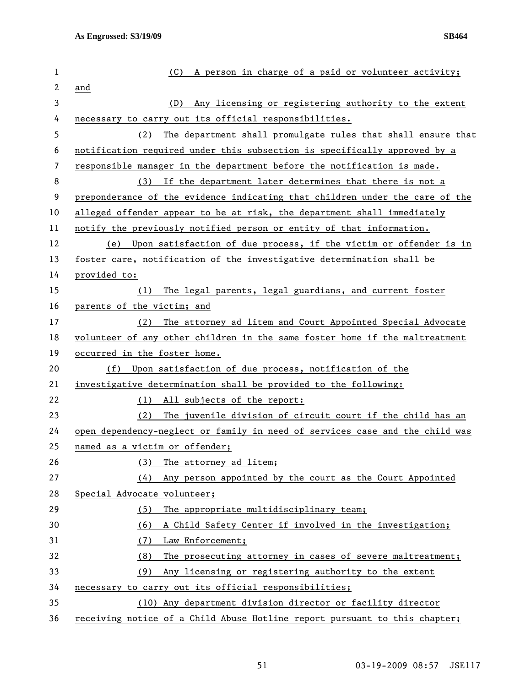| 1              | (C) A person in charge of a paid or volunteer activity;                      |
|----------------|------------------------------------------------------------------------------|
| $\overline{2}$ | and                                                                          |
| 3              | Any licensing or registering authority to the extent<br>(D)                  |
| 4              | necessary to carry out its official responsibilities.                        |
| 5              | The department shall promulgate rules that shall ensure that<br>(2)          |
| 6              | notification required under this subsection is specifically approved by a    |
| 7              | responsible manager in the department before the notification is made.       |
| 8              | (3) If the department later determines that there is not a                   |
| 9              | preponderance of the evidence indicating that children under the care of the |
| 10             | alleged offender appear to be at risk, the department shall immediately      |
| 11             | notify the previously notified person or entity of that information.         |
| 12             | (e) Upon satisfaction of due process, if the victim or offender is in        |
| 13             | foster care, notification of the investigative determination shall be        |
| 14             | provided to:                                                                 |
| 15             | The legal parents, legal guardians, and current foster<br>(1)                |
| 16             | parents of the victim; and                                                   |
| 17             | The attorney ad litem and Court Appointed Special Advocate<br>(2)            |
| 18             | volunteer of any other children in the same foster home if the maltreatment  |
| 19             | occurred in the foster home.                                                 |
| 20             | (f) Upon satisfaction of due process, notification of the                    |
| 21             | investigative determination shall be provided to the following:              |
| 22             | (1) All subjects of the report:                                              |
| 23             | The juvenile division of circuit court if the child has an<br>(2)            |
| 24             | open dependency-neglect or family in need of services case and the child was |
| 25             | named as a victim or offender;                                               |
| 26             | The attorney ad litem;<br>(3)                                                |
| 27             | Any person appointed by the court as the Court Appointed<br>(4)              |
| 28             | Special Advocate volunteer;                                                  |
| 29             | (5)<br>The appropriate multidisciplinary team;                               |
| 30             | (6)<br>A Child Safety Center if involved in the investigation;               |
| 31             | Law Enforcement;<br>(7)                                                      |
| 32             | The prosecuting attorney in cases of severe maltreatment;<br>(8)             |
| 33             | Any licensing or registering authority to the extent<br>(9)                  |
| 34             | necessary to carry out its official responsibilities;                        |
| 35             | (10) Any department division director or facility director                   |
| 36             | receiving notice of a Child Abuse Hotline report pursuant to this chapter;   |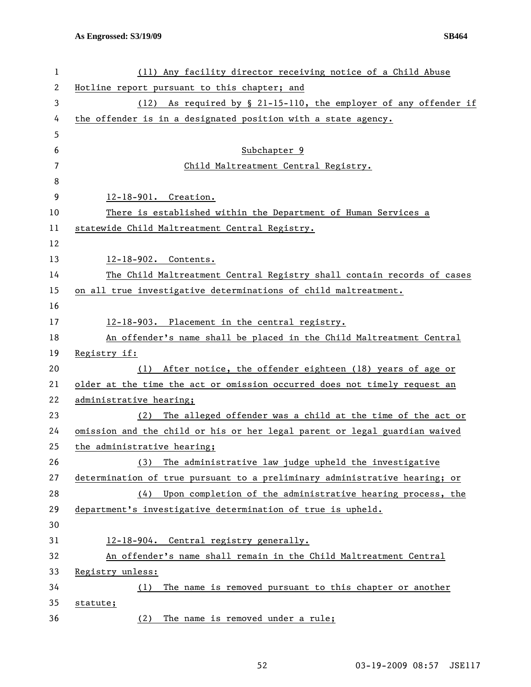| $\mathbf 1$ | (11) Any facility director receiving notice of a Child Abuse               |
|-------------|----------------------------------------------------------------------------|
| 2           | Hotline report pursuant to this chapter; and                               |
| 3           | (12) As required by $\S$ 21-15-110, the employer of any offender if        |
| 4           | the offender is in a designated position with a state agency.              |
| 5           |                                                                            |
| 6           | Subchapter 9                                                               |
| 7           | Child Maltreatment Central Registry.                                       |
| 8           |                                                                            |
| 9           | 12-18-901. Creation.                                                       |
| 10          | There is established within the Department of Human Services a             |
| 11          | statewide Child Maltreatment Central Registry.                             |
| 12          |                                                                            |
| 13          | 12-18-902. Contents.                                                       |
| 14          | The Child Maltreatment Central Registry shall contain records of cases     |
| 15          | on all true investigative determinations of child maltreatment.            |
| 16          |                                                                            |
| 17          | 12-18-903. Placement in the central registry.                              |
| 18          | An offender's name shall be placed in the Child Maltreatment Central       |
| 19          | Registry if:                                                               |
| 20          | After notice, the offender eighteen (18) years of age or<br>(1)            |
| 21          | older at the time the act or omission occurred does not timely request an  |
| 22          | administrative hearing;                                                    |
| 23          | The alleged offender was a child at the time of the act or<br>(2)          |
| 24          | omission and the child or his or her legal parent or legal guardian waived |
| 25          | the administrative hearing;                                                |
| 26          | The administrative law judge upheld the investigative<br>(3)               |
| 27          | determination of true pursuant to a preliminary administrative hearing; or |
| 28          | Upon completion of the administrative hearing process, the<br>(4)          |
| 29          | department's investigative determination of true is upheld.                |
| 30          |                                                                            |
| 31          | 12-18-904. Central registry generally.                                     |
| 32          | An offender's name shall remain in the Child Maltreatment Central          |
| 33          | Registry unless:                                                           |
| 34          | The name is removed pursuant to this chapter or another<br>(1)             |
| 35          | statute;                                                                   |
| 36          | (2)<br>The name is removed under a rule;                                   |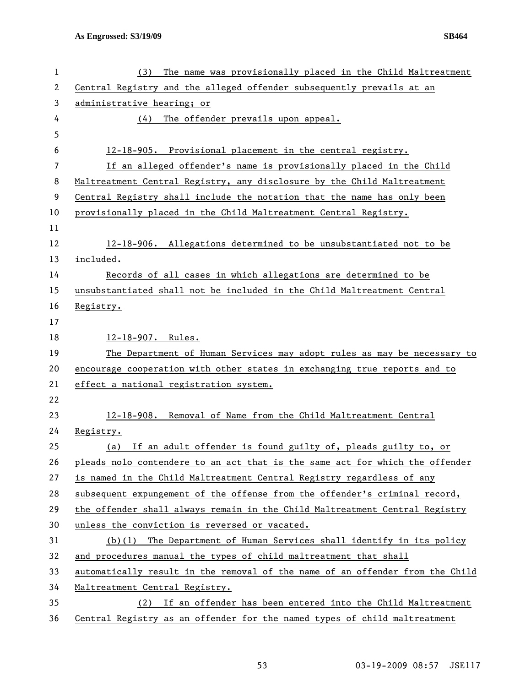| $\mathbf{1}$ | The name was provisionally placed in the Child Maltreatment<br>(3)            |
|--------------|-------------------------------------------------------------------------------|
| $\mathbf{2}$ | Central Registry and the alleged offender subsequently prevails at an         |
| 3            | administrative hearing; or                                                    |
| 4            | (4)<br>The offender prevails upon appeal.                                     |
| 5            |                                                                               |
| 6            | 12-18-905. Provisional placement in the central registry.                     |
| 7            | If an alleged offender's name is provisionally placed in the Child            |
| 8            | Maltreatment Central Registry, any disclosure by the Child Maltreatment       |
| 9            | Central Registry shall include the notation that the name has only been       |
| 10           | provisionally placed in the Child Maltreatment Central Registry.              |
| 11           |                                                                               |
| 12           | 12-18-906. Allegations determined to be unsubstantiated not to be             |
| 13           | included.                                                                     |
| 14           | Records of all cases in which allegations are determined to be                |
| 15           | unsubstantiated shall not be included in the Child Maltreatment Central       |
| 16           | Registry.                                                                     |
| 17           |                                                                               |
| 18           | 12-18-907. Rules.                                                             |
| 19           | The Department of Human Services may adopt rules as may be necessary to       |
| 20           | encourage cooperation with other states in exchanging true reports and to     |
| 21           | effect a national registration system.                                        |
| 22           |                                                                               |
| 23           | 12-18-908. Removal of Name from the Child Maltreatment Central                |
| 24           | Registry.                                                                     |
| 25           | If an adult offender is found guilty of, pleads guilty to, or<br>(a)          |
| 26           | pleads nolo contendere to an act that is the same act for which the offender  |
| 27           | is named in the Child Maltreatment Central Registry regardless of any         |
| 28           | subsequent expungement of the offense from the offender's criminal record,    |
| 29           | the offender shall always remain in the Child Maltreatment Central Registry   |
| 30           | unless the conviction is reversed or vacated.                                 |
| 31           | (b)(1) The Department of Human Services shall identify in its policy          |
| 32           | and procedures manual the types of child maltreatment that shall              |
| 33           | automatically result in the removal of the name of an offender from the Child |
| 34           | Maltreatment Central Registry.                                                |
| 35           | (2) If an offender has been entered into the Child Maltreatment               |
| 36           | Central Registry as an offender for the named types of child maltreatment     |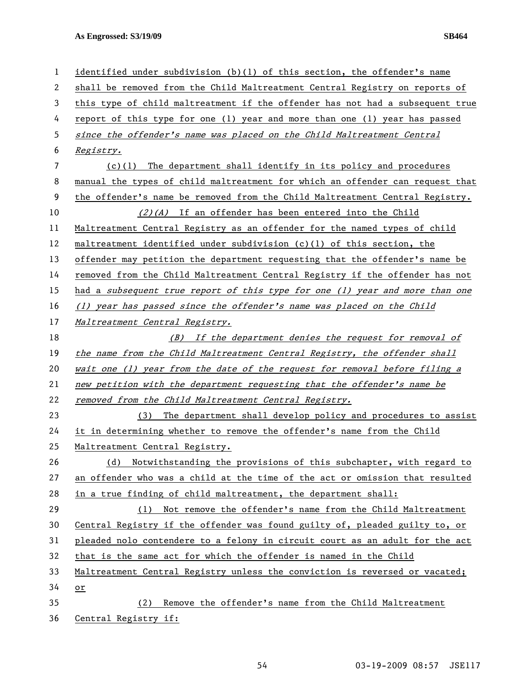| 1              | identified under subdivision $(b)(1)$ of this section, the offender's name    |
|----------------|-------------------------------------------------------------------------------|
| 2              | shall be removed from the Child Maltreatment Central Registry on reports of   |
| 3              | this type of child maltreatment if the offender has not had a subsequent true |
| 4              | report of this type for one (1) year and more than one (1) year has passed    |
| 5              | since the offender's name was placed on the Child Maltreatment Central        |
| 6              | Registry.                                                                     |
| $\overline{7}$ | $(c)(1)$ The department shall identify in its policy and procedures           |
| 8              | manual the types of child maltreatment for which an offender can request that |
| 9              | the offender's name be removed from the Child Maltreatment Central Registry.  |
| 10             | $(2)(A)$ If an offender has been entered into the Child                       |
| 11             | Maltreatment Central Registry as an offender for the named types of child     |
| 12             | maltreatment identified under subdivision (c)(1) of this section, the         |
| 13             | offender may petition the department requesting that the offender's name be   |
| 14             | removed from the Child Maltreatment Central Registry if the offender has not  |
| 15             | had a subsequent true report of this type for one (1) year and more than one  |
| 16             | (1) year has passed since the offender's name was placed on the Child         |
| 17             | Maltreatment Central Registry.                                                |
| 18             | (B) If the department denies the request for removal of                       |
| 19             | the name from the Child Maltreatment Central Registry, the offender shall     |
| 20             | wait one (1) year from the date of the request for removal before filing a    |
| 21             | new petition with the department requesting that the offender's name be       |
| 22             | removed from the Child Maltreatment Central Registry.                         |
| 23             | (3) The department shall develop policy and procedures to assist              |
| 24             | it in determining whether to remove the offender's name from the Child        |
| 25             | Maltreatment Central Registry.                                                |
| 26             | Notwithstanding the provisions of this subchapter, with regard to<br>(d)      |
| 27             | an offender who was a child at the time of the act or omission that resulted  |
| 28             | in a true finding of child maltreatment, the department shall:                |
| 29             | Not remove the offender's name from the Child Maltreatment<br>(1)             |
| 30             | Central Registry if the offender was found guilty of, pleaded guilty to, or   |
| 31             | pleaded nolo contendere to a felony in circuit court as an adult for the act  |
| 32             | that is the same act for which the offender is named in the Child             |
| 33             | Maltreatment Central Registry unless the conviction is reversed or vacated;   |
| 34             | $or$                                                                          |
| 35             | Remove the offender's name from the Child Maltreatment<br>(2)                 |
| 36             | Central Registry if:                                                          |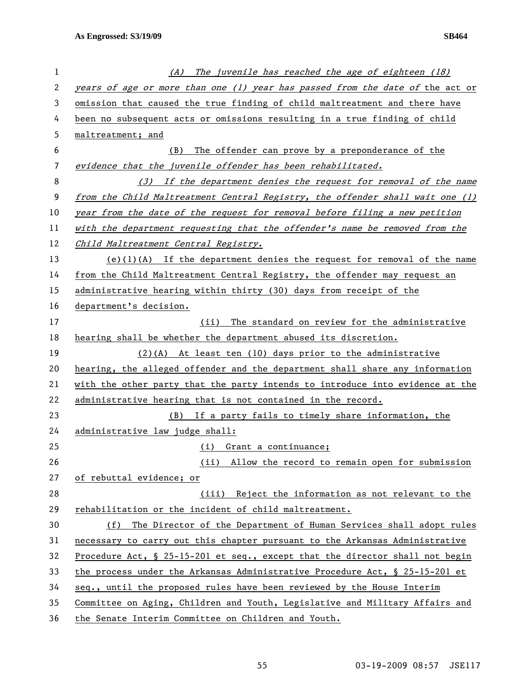| 1              | The juvenile has reached the age of eighteen (18)<br>(A)                      |
|----------------|-------------------------------------------------------------------------------|
| 2              | years of age or more than one (1) year has passed from the date of the act or |
| 3              | omission that caused the true finding of child maltreatment and there have    |
| 4              | been no subsequent acts or omissions resulting in a true finding of child     |
| 5              | maltreatment; and                                                             |
| 6              | The offender can prove by a preponderance of the<br>(B)                       |
| $\overline{7}$ | evidence that the juvenile offender has been rehabilitated.                   |
| 8              | (3) If the department denies the request for removal of the name              |
| 9              | from the Child Maltreatment Central Registry, the offender shall wait one (1) |
| 10             | year from the date of the request for removal before filing a new petition    |
| 11             | with the department requesting that the offender's name be removed from the   |
| 12             | Child Maltreatment Central Registry.                                          |
| 13             | $(e)(1)(A)$ If the department denies the request for removal of the name      |
| 14             | from the Child Maltreatment Central Registry, the offender may request an     |
| 15             | administrative hearing within thirty (30) days from receipt of the            |
| 16             | department's decision.                                                        |
| 17             | (ii) The standard on review for the administrative                            |
| 18             | hearing shall be whether the department abused its discretion.                |
| 19             | $(2)(A)$ At least ten (10) days prior to the administrative                   |
| 20             | hearing, the alleged offender and the department shall share any information  |
| 21             | with the other party that the party intends to introduce into evidence at the |
| 22             | administrative hearing that is not contained in the record.                   |
| 23             | (B) If a party fails to timely share information, the                         |
| 24             | administrative law judge shall:                                               |
| 25             | (i) Grant a continuance;                                                      |
| 26             | (ii) Allow the record to remain open for submission                           |
| 27             | of rebuttal evidence; or                                                      |
| 28             | (iii) Reject the information as not relevant to the                           |
| 29             | rehabilitation or the incident of child maltreatment.                         |
| 30             | The Director of the Department of Human Services shall adopt rules<br>(f)     |
| 31             | necessary to carry out this chapter pursuant to the Arkansas Administrative   |
| 32             | Procedure Act, § 25-15-201 et seq., except that the director shall not begin  |
| 33             | the process under the Arkansas Administrative Procedure Act, § 25-15-201 et   |
| 34             | seq., until the proposed rules have been reviewed by the House Interim        |
| 35             | Committee on Aging, Children and Youth, Legislative and Military Affairs and  |
| 36             | the Senate Interim Committee on Children and Youth.                           |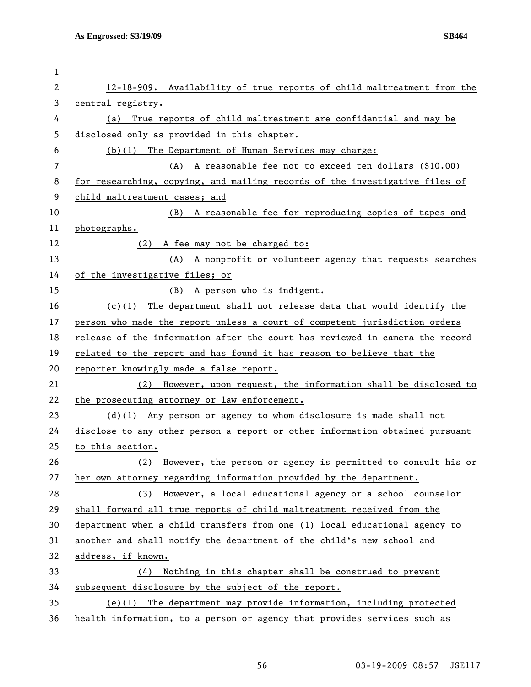| 1  |                                                                              |
|----|------------------------------------------------------------------------------|
| 2  | 12-18-909. Availability of true reports of child maltreatment from the       |
| 3  | central registry.                                                            |
| 4  | True reports of child maltreatment are confidential and may be<br>(a)        |
| 5  | disclosed only as provided in this chapter.                                  |
| 6  | (b)(1) The Department of Human Services may charge:                          |
| 7  | (A) A reasonable fee not to exceed ten dollars (\$10.00)                     |
| 8  | for researching, copying, and mailing records of the investigative files of  |
| 9  | child maltreatment cases; and                                                |
| 10 | A reasonable fee for reproducing copies of tapes and<br>(B)                  |
| 11 | photographs.                                                                 |
| 12 | (2) A fee may not be charged to:                                             |
| 13 | (A) A nonprofit or volunteer agency that requests searches                   |
| 14 | of the investigative files; or                                               |
| 15 | (B) A person who is indigent.                                                |
| 16 | $(c)(1)$ The department shall not release data that would identify the       |
| 17 | person who made the report unless a court of competent jurisdiction orders   |
| 18 | release of the information after the court has reviewed in camera the record |
| 19 | related to the report and has found it has reason to believe that the        |
| 20 | reporter knowingly made a false report.                                      |
| 21 | (2) However, upon request, the information shall be disclosed to             |
| 22 | the prosecuting attorney or law enforcement.                                 |
| 23 | $(d)(1)$ Any person or agency to whom disclosure is made shall not           |
| 24 | disclose to any other person a report or other information obtained pursuant |
| 25 | to this section.                                                             |
| 26 | However, the person or agency is permitted to consult his or<br>(2)          |
| 27 | her own attorney regarding information provided by the department.           |
| 28 | However, a local educational agency or a school counselor<br>(3)             |
| 29 | shall forward all true reports of child maltreatment received from the       |
| 30 | department when a child transfers from one (1) local educational agency to   |
| 31 | another and shall notify the department of the child's new school and        |
| 32 | address, if known.                                                           |
| 33 | Nothing in this chapter shall be construed to prevent<br>(4)                 |
| 34 | subsequent disclosure by the subject of the report.                          |
| 35 | $(e)(1)$ The department may provide information, including protected         |
| 36 | health information, to a person or agency that provides services such as     |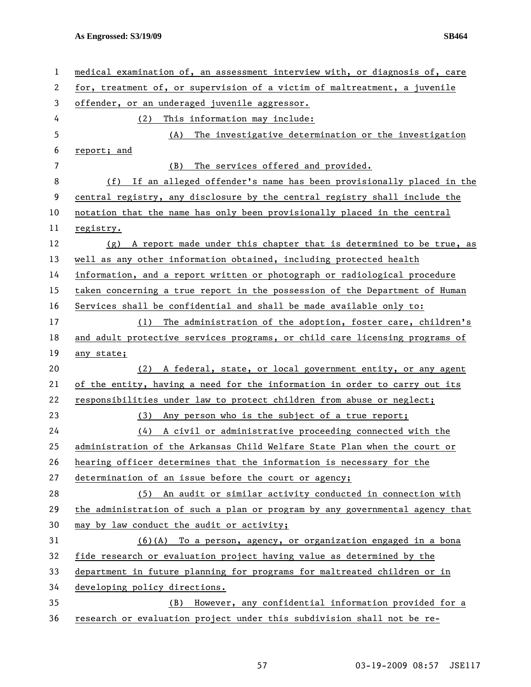| 1  | medical examination of, an assessment interview with, or diagnosis of, care  |
|----|------------------------------------------------------------------------------|
| 2  | for, treatment of, or supervision of a victim of maltreatment, a juvenile    |
| 3  | offender, or an underaged juvenile aggressor.                                |
| 4  | This information may include:<br>(2)                                         |
| 5  | The investigative determination or the investigation<br>(A)                  |
| 6  | report; and                                                                  |
| 7  | The services offered and provided.<br>(B)                                    |
| 8  | If an alleged offender's name has been provisionally placed in the<br>(f)    |
| 9  | central registry, any disclosure by the central registry shall include the   |
| 10 | notation that the name has only been provisionally placed in the central     |
| 11 | registry.                                                                    |
| 12 | (g) A report made under this chapter that is determined to be true, as       |
| 13 | well as any other information obtained, including protected health           |
| 14 | information, and a report written or photograph or radiological procedure    |
| 15 | taken concerning a true report in the possession of the Department of Human  |
| 16 | Services shall be confidential and shall be made available only to:          |
| 17 | The administration of the adoption, foster care, children's<br>(1)           |
| 18 | and adult protective services programs, or child care licensing programs of  |
| 19 | any state;                                                                   |
| 20 | (2) A federal, state, or local government entity, or any agent               |
| 21 | of the entity, having a need for the information in order to carry out its   |
| 22 | responsibilities under law to protect children from abuse or neglect;        |
| 23 | Any person who is the subject of a true report;<br>(3)                       |
| 24 | A civil or administrative proceeding connected with the<br>(4)               |
| 25 | administration of the Arkansas Child Welfare State Plan when the court or    |
| 26 | hearing officer determines that the information is necessary for the         |
| 27 | determination of an issue before the court or agency;                        |
| 28 | (5) An audit or similar activity conducted in connection with                |
| 29 | the administration of such a plan or program by any governmental agency that |
| 30 | may by law conduct the audit or activity;                                    |
| 31 | $(6)(A)$ To a person, agency, or organization engaged in a bona              |
| 32 | fide research or evaluation project having value as determined by the        |
| 33 | department in future planning for programs for maltreated children or in     |
| 34 | developing policy directions.                                                |
| 35 | However, any confidential information provided for a<br>(B)                  |
| 36 | research or evaluation project under this subdivision shall not be re-       |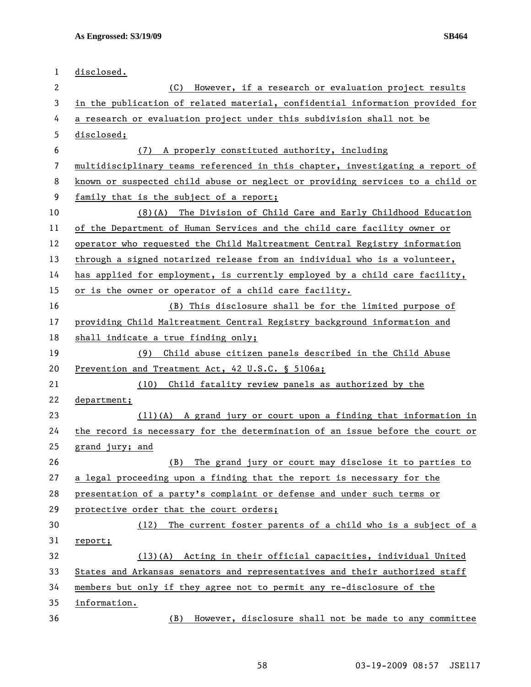| 1                     | disclosed.                                                                    |
|-----------------------|-------------------------------------------------------------------------------|
| $\mathbf{2}^{\prime}$ | (C) However, if a research or evaluation project results                      |
| 3                     | in the publication of related material, confidential information provided for |
| 4                     | a research or evaluation project under this subdivision shall not be          |
| 5                     | disclosed;                                                                    |
| 6                     | A properly constituted authority, including<br>(7)                            |
| 7                     | multidisciplinary teams referenced in this chapter, investigating a report of |
| 8                     | known or suspected child abuse or neglect or providing services to a child or |
| 9                     | family that is the subject of a report;                                       |
| 10                    | (8) (A) The Division of Child Care and Early Childhood Education              |
| 11                    | of the Department of Human Services and the child care facility owner or      |
| 12                    | operator who requested the Child Maltreatment Central Registry information    |
| 13                    | through a signed notarized release from an individual who is a volunteer,     |
| 14                    | has applied for employment, is currently employed by a child care facility,   |
| 15                    | or is the owner or operator of a child care facility.                         |
| 16                    | (B) This disclosure shall be for the limited purpose of                       |
| 17                    | providing Child Maltreatment Central Registry background information and      |
| 18                    | shall indicate a true finding only;                                           |
| 19                    | (9) Child abuse citizen panels described in the Child Abuse                   |
| 20                    | Prevention and Treatment Act, 42 U.S.C. § 5106a;                              |
| 21                    | Child fatality review panels as authorized by the<br>(10)                     |
| 22                    | department;                                                                   |
| 23                    | (11)(A) A grand jury or court upon a finding that information in              |
| 24                    | the record is necessary for the determination of an issue before the court or |
| 25                    | grand jury; and                                                               |
| 26                    | The grand jury or court may disclose it to parties to<br>(B)                  |
| 27                    | a legal proceeding upon a finding that the report is necessary for the        |
| 28                    | presentation of a party's complaint or defense and under such terms or        |
| 29                    | protective order that the court orders;                                       |
| 30                    | The current foster parents of a child who is a subject of a<br>(12)           |
| 31                    | report;                                                                       |
| 32                    | (13)(A) Acting in their official capacities, individual United                |
| 33                    | States and Arkansas senators and representatives and their authorized staff   |
| 34                    | members but only if they agree not to permit any re-disclosure of the         |
| 35                    | information.                                                                  |
| 36                    | However, disclosure shall not be made to any committee<br>(B)                 |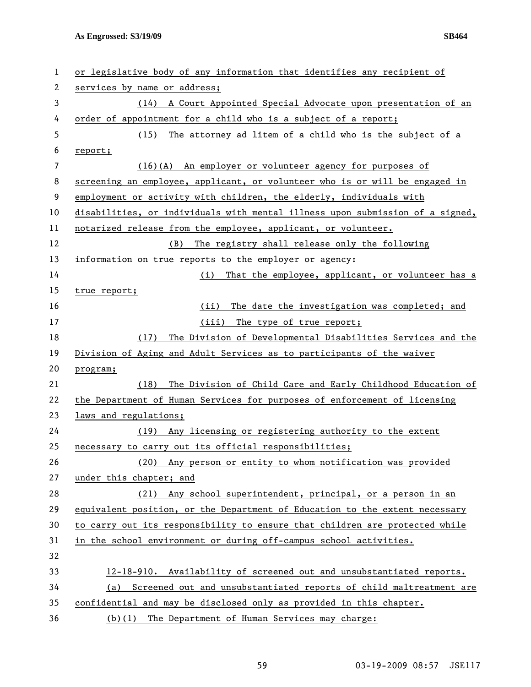| 1              | or legislative body of any information that identifies any recipient of       |
|----------------|-------------------------------------------------------------------------------|
| 2              | services by name or address;                                                  |
| 3              | (14) A Court Appointed Special Advocate upon presentation of an               |
| 4              | order of appointment for a child who is a subject of a report;                |
| 5              | The attorney ad litem of a child who is the subject of a<br>(15)              |
| 6              | report;                                                                       |
| $\overline{7}$ | (16)(A) An employer or volunteer agency for purposes of                       |
| 8              | screening an employee, applicant, or volunteer who is or will be engaged in   |
| 9              | employment or activity with children, the elderly, individuals with           |
| 10             | disabilities, or individuals with mental illness upon submission of a signed, |
| 11             | notarized release from the employee, applicant, or volunteer.                 |
| 12             | The registry shall release only the following<br>(B)                          |
| 13             | information on true reports to the employer or agency:                        |
| 14             | (i) That the employee, applicant, or volunteer has a                          |
| 15             | true report;                                                                  |
| 16             | The date the investigation was completed; and<br>(ii)                         |
| 17             | The type of true report;<br>(iii)                                             |
| 18             | The Division of Developmental Disabilities Services and the<br>(17)           |
| 19             | Division of Aging and Adult Services as to participants of the waiver         |
| 20             | program;                                                                      |
| 21             | The Division of Child Care and Early Childhood Education of<br>(18)           |
| 22             | the Department of Human Services for purposes of enforcement of licensing     |
| 23             | laws and regulations;                                                         |
| 24             | (19) Any licensing or registering authority to the extent                     |
| 25             | necessary to carry out its official responsibilities;                         |
| 26             | (20) Any person or entity to whom notification was provided                   |
| 27             | under this chapter; and                                                       |
| 28             | (21) Any school superintendent, principal, or a person in an                  |
| 29             | equivalent position, or the Department of Education to the extent necessary   |
| 30             | to carry out its responsibility to ensure that children are protected while   |
| 31             | in the school environment or during off-campus school activities.             |
| 32             |                                                                               |
| 33             | 12-18-910. Availability of screened out and unsubstantiated reports.          |
| 34             | Screened out and unsubstantiated reports of child maltreatment are<br>(a)     |
| 35             | confidential and may be disclosed only as provided in this chapter.           |
| 36             | (b)(1) The Department of Human Services may charge:                           |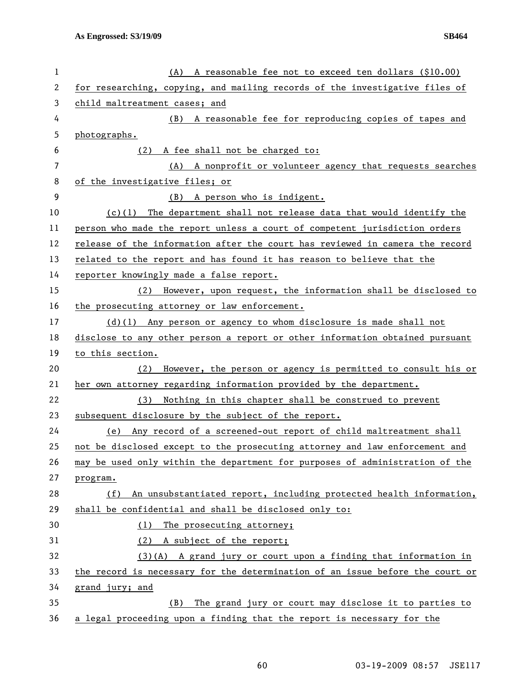| 1  | A reasonable fee not to exceed ten dollars (\$10.00)<br>(A)                   |
|----|-------------------------------------------------------------------------------|
| 2  | for researching, copying, and mailing records of the investigative files of   |
| 3  | child maltreatment cases; and                                                 |
| 4  | A reasonable fee for reproducing copies of tapes and<br>(B)                   |
| 5  | photographs.                                                                  |
| 6  | A fee shall not be charged to:<br>(2)                                         |
| 7  | (A) A nonprofit or volunteer agency that requests searches                    |
| 8  | of the investigative files; or                                                |
| 9  | (B) A person who is indigent.                                                 |
| 10 | $(c)(1)$ The department shall not release data that would identify the        |
| 11 | person who made the report unless a court of competent jurisdiction orders    |
| 12 | release of the information after the court has reviewed in camera the record  |
| 13 | related to the report and has found it has reason to believe that the         |
| 14 | reporter knowingly made a false report.                                       |
| 15 | (2) However, upon request, the information shall be disclosed to              |
| 16 | the prosecuting attorney or law enforcement.                                  |
| 17 | $(d)(1)$ Any person or agency to whom disclosure is made shall not            |
| 18 | disclose to any other person a report or other information obtained pursuant  |
| 19 | to this section.                                                              |
| 20 | However, the person or agency is permitted to consult his or<br>(2)           |
| 21 | her own attorney regarding information provided by the department.            |
| 22 | Nothing in this chapter shall be construed to prevent<br>(3)                  |
| 23 | subsequent disclosure by the subject of the report.                           |
| 24 | Any record of a screened-out report of child maltreatment shall<br>(e)        |
| 25 | not be disclosed except to the prosecuting attorney and law enforcement and   |
| 26 | may be used only within the department for purposes of administration of the  |
| 27 | program.                                                                      |
| 28 | An unsubstantiated report, including protected health information,<br>(f)     |
| 29 | shall be confidential and shall be disclosed only to:                         |
| 30 | (1)<br>The prosecuting attorney;                                              |
| 31 | A subject of the report;<br>(2)                                               |
| 32 | (3)(A) A grand jury or court upon a finding that information in               |
| 33 | the record is necessary for the determination of an issue before the court or |
| 34 | grand jury; and                                                               |
| 35 | The grand jury or court may disclose it to parties to<br>(B)                  |
| 36 | a legal proceeding upon a finding that the report is necessary for the        |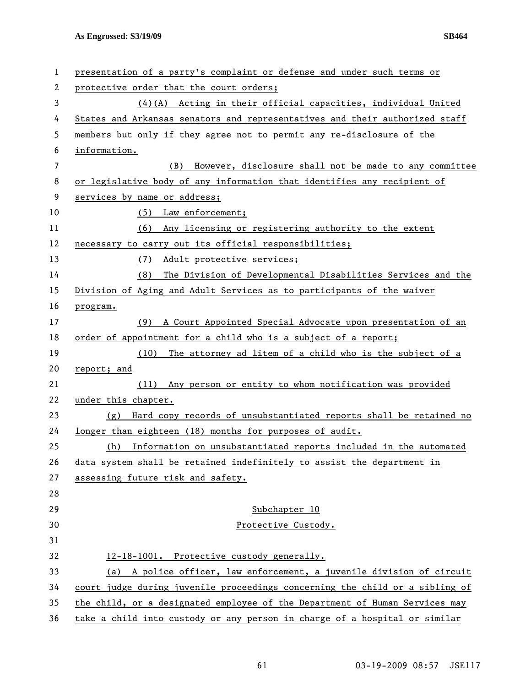| 1  | presentation of a party's complaint or defense and under such terms or       |
|----|------------------------------------------------------------------------------|
| 2  | protective order that the court orders;                                      |
| 3  | $(4)(A)$ Acting in their official capacities, individual United              |
| 4  | States and Arkansas senators and representatives and their authorized staff  |
| 5  | members but only if they agree not to permit any re-disclosure of the        |
| 6  | information.                                                                 |
| 7  | However, disclosure shall not be made to any committee<br>(B)                |
| 8  | or legislative body of any information that identifies any recipient of      |
| 9  | services by name or address;                                                 |
| 10 | (5) Law enforcement;                                                         |
| 11 | Any licensing or registering authority to the extent<br>(6)                  |
| 12 | necessary to carry out its official responsibilities;                        |
| 13 | Adult protective services;<br>(7)                                            |
| 14 | The Division of Developmental Disabilities Services and the<br>(8)           |
| 15 | Division of Aging and Adult Services as to participants of the waiver        |
| 16 | program.                                                                     |
| 17 | A Court Appointed Special Advocate upon presentation of an<br>(9)            |
| 18 | order of appointment for a child who is a subject of a report;               |
| 19 | The attorney ad litem of a child who is the subject of a<br>(10)             |
| 20 | report; and                                                                  |
| 21 | (11) Any person or entity to whom notification was provided                  |
| 22 | under this chapter.                                                          |
| 23 | Hard copy records of unsubstantiated reports shall be retained no<br>(g)     |
| 24 | longer than eighteen (18) months for purposes of audit.                      |
| 25 | Information on unsubstantiated reports included in the automated<br>(h)      |
| 26 | data system shall be retained indefinitely to assist the department in       |
| 27 | assessing future risk and safety.                                            |
| 28 |                                                                              |
| 29 | Subchapter 10                                                                |
| 30 | Protective Custody.                                                          |
| 31 |                                                                              |
| 32 | 12-18-1001. Protective custody generally.                                    |
| 33 | (a) A police officer, law enforcement, a juvenile division of circuit        |
| 34 | court judge during juvenile proceedings concerning the child or a sibling of |
| 35 | the child, or a designated employee of the Department of Human Services may  |
| 36 | take a child into custody or any person in charge of a hospital or similar   |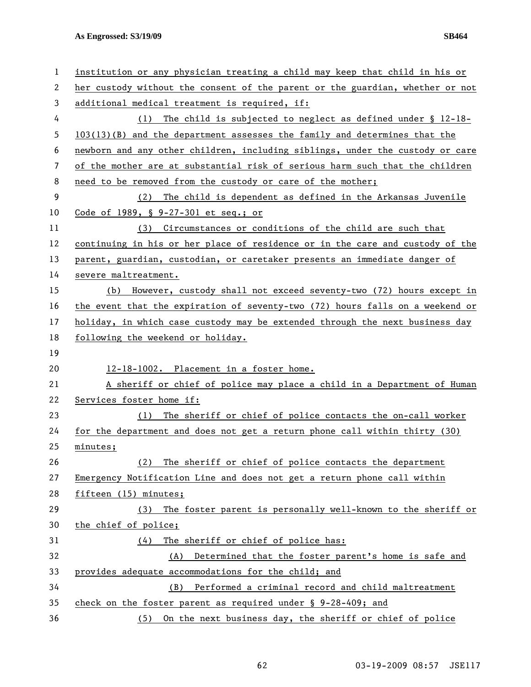| 1  | institution or any physician treating a child may keep that child in his or   |
|----|-------------------------------------------------------------------------------|
| 2  | her custody without the consent of the parent or the guardian, whether or not |
| 3  | additional medical treatment is required, if:                                 |
| 4  | The child is subjected to neglect as defined under $\S$ 12-18-<br>(1)         |
| 5  | $103(13)(B)$ and the department assesses the family and determines that the   |
| 6  | newborn and any other children, including siblings, under the custody or care |
| 7  | of the mother are at substantial risk of serious harm such that the children  |
| 8  | need to be removed from the custody or care of the mother;                    |
| 9  | The child is dependent as defined in the Arkansas Juvenile<br>(2)             |
| 10 | Code of 1989, § 9-27-301 et seq.; or                                          |
| 11 | (3) Circumstances or conditions of the child are such that                    |
| 12 | continuing in his or her place of residence or in the care and custody of the |
| 13 | parent, guardian, custodian, or caretaker presents an immediate danger of     |
| 14 | severe maltreatment.                                                          |
| 15 | (b) However, custody shall not exceed seventy-two (72) hours except in        |
| 16 | the event that the expiration of seventy-two (72) hours falls on a weekend or |
| 17 | holiday, in which case custody may be extended through the next business day  |
| 18 | following the weekend or holiday.                                             |
| 19 |                                                                               |
| 20 | 12-18-1002. Placement in a foster home.                                       |
| 21 | A sheriff or chief of police may place a child in a Department of Human       |
| 22 | Services foster home if:                                                      |
| 23 | The sheriff or chief of police contacts the on-call worker<br>(1)             |
| 24 | for the department and does not get a return phone call within thirty (30)    |
| 25 | minutes;                                                                      |
| 26 | The sheriff or chief of police contacts the department<br>(2)                 |
| 27 | Emergency Notification Line and does not get a return phone call within       |
| 28 | fifteen (15) minutes;                                                         |
| 29 | The foster parent is personally well-known to the sheriff or<br>(3)           |
| 30 | the chief of police;                                                          |
| 31 | The sheriff or chief of police has:<br>(4)                                    |
|    |                                                                               |
| 32 | Determined that the foster parent's home is safe and<br>(A)                   |
| 33 | provides adequate accommodations for the child; and                           |
| 34 | Performed a criminal record and child maltreatment<br>(B)                     |
| 35 | check on the foster parent as required under $\S$ 9-28-409; and               |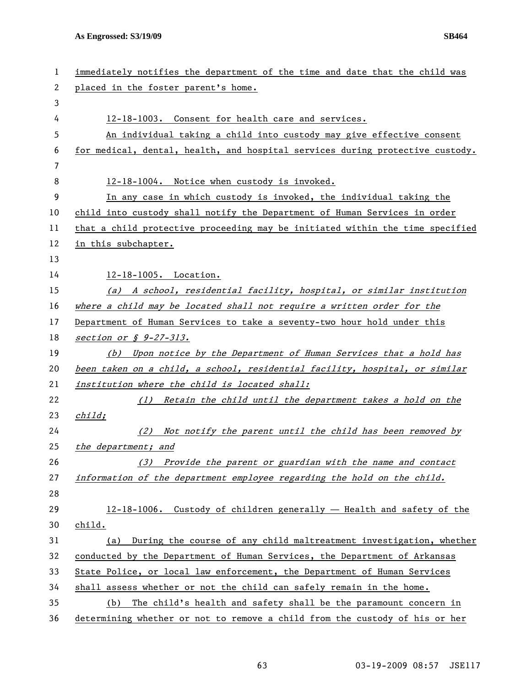| $\mathbf{1}$   | immediately notifies the department of the time and date that the child was   |
|----------------|-------------------------------------------------------------------------------|
| 2              | placed in the foster parent's home.                                           |
| 3              |                                                                               |
| 4              | 12-18-1003. Consent for health care and services.                             |
| 5              | An individual taking a child into custody may give effective consent          |
| 6              | for medical, dental, health, and hospital services during protective custody. |
| $\overline{7}$ |                                                                               |
| 8              | 12-18-1004. Notice when custody is invoked.                                   |
| 9              | In any case in which custody is invoked, the individual taking the            |
| 10             | child into custody shall notify the Department of Human Services in order     |
| 11             | that a child protective proceeding may be initiated within the time specified |
| 12             | in this subchapter.                                                           |
| 13             |                                                                               |
| 14             | 12-18-1005. Location.                                                         |
| 15             | (a) A school, residential facility, hospital, or similar institution          |
| 16             | where a child may be located shall not require a written order for the        |
| 17             | Department of Human Services to take a seventy-two hour hold under this       |
| 18             | section or $\oint$ 9-27-313.                                                  |
| 19             | (b) Upon notice by the Department of Human Services that a hold has           |
| 20             | been taken on a child, a school, residential facility, hospital, or similar   |
| 21             | institution where the child is located shall:                                 |
| 22             | (1) Retain the child until the department takes a hold on the                 |
| 23             | child;                                                                        |
| 24             | (2) Not notify the parent until the child has been removed by                 |
| 25             | the department; and                                                           |
| 26             | (3) Provide the parent or guardian with the name and contact                  |
| 27             | information of the department employee regarding the hold on the child.       |
| 28             |                                                                               |
| 29             | 12-18-1006. Custody of children generally - Health and safety of the          |
| 30             | child.                                                                        |
| 31             | During the course of any child maltreatment investigation, whether<br>(a)     |
| 32             | conducted by the Department of Human Services, the Department of Arkansas     |
| 33             | State Police, or local law enforcement, the Department of Human Services      |
| 34             | shall assess whether or not the child can safely remain in the home.          |
| 35             | The child's health and safety shall be the paramount concern in<br>(b)        |
| 36             | determining whether or not to remove a child from the custody of his or her   |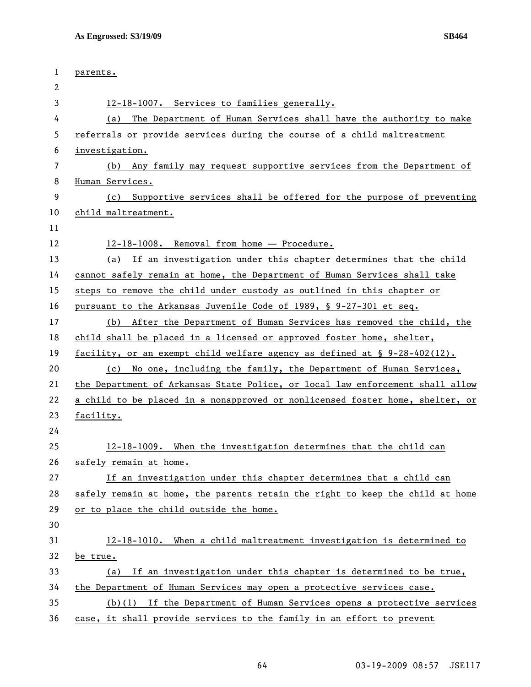| 1  | parents.                                                                      |
|----|-------------------------------------------------------------------------------|
| 2  |                                                                               |
| 3  | 12-18-1007. Services to families generally.                                   |
| 4  | The Department of Human Services shall have the authority to make<br>(a)      |
| 5  | referrals or provide services during the course of a child maltreatment       |
| 6  | investigation.                                                                |
| 7  | (b) Any family may request supportive services from the Department of         |
| 8  | Human Services.                                                               |
| 9  | Supportive services shall be offered for the purpose of preventing<br>(c)     |
| 10 | child maltreatment.                                                           |
| 11 |                                                                               |
| 12 | 12-18-1008. Removal from home - Procedure.                                    |
| 13 | (a) If an investigation under this chapter determines that the child          |
| 14 | cannot safely remain at home, the Department of Human Services shall take     |
| 15 | steps to remove the child under custody as outlined in this chapter or        |
| 16 | pursuant to the Arkansas Juvenile Code of 1989, § 9-27-301 et seq.            |
| 17 | (b) After the Department of Human Services has removed the child, the         |
| 18 | child shall be placed in a licensed or approved foster home, shelter,         |
| 19 | facility, or an exempt child welfare agency as defined at $\S$ 9-28-402(12).  |
| 20 | No one, including the family, the Department of Human Services,<br>(c)        |
| 21 | the Department of Arkansas State Police, or local law enforcement shall allow |
| 22 | a child to be placed in a nonapproved or nonlicensed foster home, shelter, or |
| 23 | facility.                                                                     |
| 24 |                                                                               |
| 25 | 12-18-1009. When the investigation determines that the child can              |
| 26 | safely remain at home.                                                        |
| 27 | If an investigation under this chapter determines that a child can            |
| 28 | safely remain at home, the parents retain the right to keep the child at home |
| 29 | or to place the child outside the home.                                       |
| 30 |                                                                               |
| 31 | 12-18-1010. When a child maltreatment investigation is determined to          |
| 32 | be true.                                                                      |
| 33 | If an investigation under this chapter is determined to be true,<br>(a)       |
| 34 | the Department of Human Services may open a protective services case.         |
| 35 | If the Department of Human Services opens a protective services<br>(b)(1)     |
| 36 | case, it shall provide services to the family in an effort to prevent         |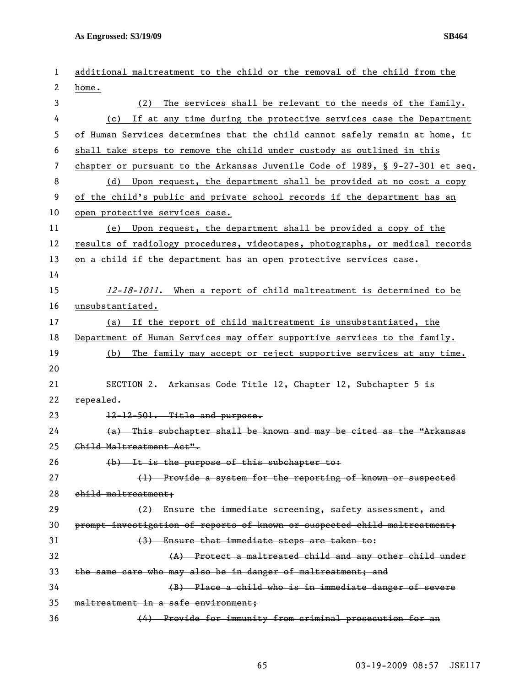| 1  | additional maltreatment to the child or the removal of the child from the     |
|----|-------------------------------------------------------------------------------|
| 2  | home.                                                                         |
| 3  | (2) The services shall be relevant to the needs of the family.                |
| 4  | If at any time during the protective services case the Department<br>(c)      |
| 5  | of Human Services determines that the child cannot safely remain at home, it  |
| 6  | shall take steps to remove the child under custody as outlined in this        |
| 7  | chapter or pursuant to the Arkansas Juvenile Code of 1989, § 9-27-301 et seq. |
| 8  | (d) Upon request, the department shall be provided at no cost a copy          |
| 9  | of the child's public and private school records if the department has an     |
| 10 | open protective services case.                                                |
| 11 | (e) Upon request, the department shall be provided a copy of the              |
| 12 | results of radiology procedures, videotapes, photographs, or medical records  |
| 13 | on a child if the department has an open protective services case.            |
| 14 |                                                                               |
| 15 | 12-18-1011. When a report of child maltreatment is determined to be           |
| 16 | unsubstantiated.                                                              |
| 17 | If the report of child maltreatment is unsubstantiated, the<br>(a)            |
| 18 | Department of Human Services may offer supportive services to the family.     |
| 19 | The family may accept or reject supportive services at any time.<br>(b)       |
| 20 |                                                                               |
| 21 | SECTION 2. Arkansas Code Title 12, Chapter 12, Subchapter 5 is                |
| 22 | repealed.                                                                     |
| 23 | 12-12-501. Title and purpose.                                                 |
| 24 | (a) This subchapter shall be known and may be cited as the "Arkansas          |
| 25 | Child Maltreatment Act".                                                      |
| 26 | (b) It is the purpose of this subchapter to:                                  |
| 27 | (1) Provide a system for the reporting of known or suspected                  |
| 28 | child maltreatment;                                                           |
| 29 | (2) Ensure the immediate screening, safety assessment, and                    |
| 30 | prompt investigation of reports of known or suspected child maltreatment;     |
| 31 | (3) Ensure that immediate steps are taken to:                                 |
| 32 | (A) Protect a maltreated child and any other child under                      |
| 33 | the same care who may also be in danger of maltreatment; and                  |
| 34 | (B) Place a child who is in immediate danger of severe                        |
| 35 | maltreatment in a safe environment:                                           |
| 36 | (4) Provide for immunity from criminal prosecution for an                     |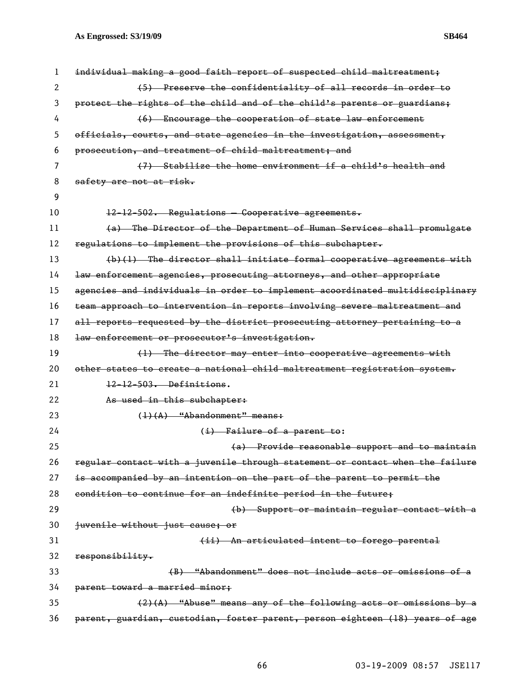| 1  | individual making a good faith report of suspected child maltreatment;        |
|----|-------------------------------------------------------------------------------|
| 2  | (5) Preserve the confidentiality of all records in order to                   |
| 3  | protect the rights of the child and of the child's parents or guardians;      |
| 4  | (6) Encourage the cooperation of state law enforcement                        |
| 5  | officials, courts, and state agencies in the investigation, assessment,       |
| 6  | prosecution, and treatment of child maltreatment; and                         |
| 7  | (7) Stabilize the home environment if a child's health and                    |
| 8  | safety are not at risk.                                                       |
| 9  |                                                                               |
| 10 | 12-12-502. Regulations - Cooperative agreements.                              |
| 11 | (a) The Director of the Department of Human Services shall promulgate         |
| 12 | regulations to implement the provisions of this subchapter.                   |
| 13 | $(b)(1)$ The director shall initiate formal cooperative agreements with       |
| 14 | law enforcement agencies, prosecuting attorneys, and other appropriate        |
| 15 | agencies and individuals in order to implement acoordinated multidisciplinary |
| 16 | team approach to intervention in reports involving severe maltreatment and    |
| 17 | all reports requested by the district prosecuting attorney pertaining to a    |
| 18 | law enforcement or prosecutor's investigation.                                |
| 19 | (1) The director may enter into cooperative agreements with                   |
| 20 | other states to create a national child maltreatment registration system.     |
| 21 | $12 - 12 - 503$ . Definitions.                                                |
| 22 | As used in this subchapter:                                                   |
| 23 | $(1)$ $(A)$ "Abandonment" means:                                              |
| 24 | $(i)$ Failure of a parent to:                                                 |
| 25 | (a) Provide reasonable support and to maintain                                |
| 26 | regular contact with a juvenile through statement or contact when the failure |
| 27 | is accompanied by an intention on the part of the parent to permit the        |
| 28 | condition to continue for an indefinite period in the future;                 |
| 29 | (b) Support or maintain regular contact with a                                |
| 30 | juvenile without just cause; or                                               |
| 31 | (ii) An articulated intent to forego parental                                 |
| 32 | responsibility.                                                               |
| 33 | (B) "Abandonment" does not include acts or omissions of a                     |
| 34 | parent toward a married minor;                                                |
| 35 | (2)(A) "Abuse" means any of the following acts or omissions by a              |
| 36 | parent, guardian, custodian, foster parent, person eighteen (18) years of age |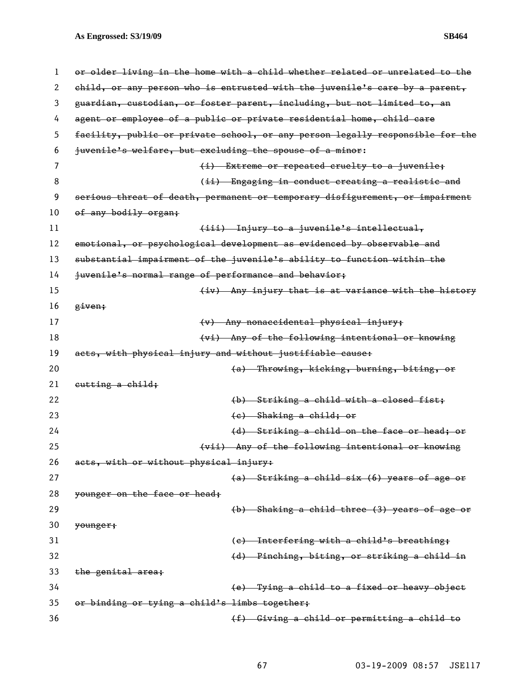| 1  | or older living in the home with a child whether related or unrelated to the  |
|----|-------------------------------------------------------------------------------|
| 2  | child, or any person who is entrusted with the juvenile's care by a parent,   |
| 3  | guardian, custodian, or foster parent, including, but not limited to, an      |
| 4  | agent or employee of a public or private residential home, child care         |
| 5  | facility, public or private school, or any person legally responsible for the |
| 6  | juvenile's welfare, but excluding the spouse of a minor:                      |
| 7  | (i) Extreme or repeated cruelty to a juvenile;                                |
| 8  | (ii) Engaging in conduct creating a realistic and                             |
| 9  | serious threat of death, permanent or temporary disfigurement, or impairment  |
| 10 | of any bodily organ;                                                          |
| 11 | (iii) Injury to a juvenile's intellectual.                                    |
| 12 | emotional, or psychological development as evidenced by observable and        |
| 13 | substantial impairment of the juvenile's ability to function within the       |
| 14 | juvenile's normal range of performance and behavior;                          |
| 15 | (iv) Any injury that is at variance with the history                          |
| 16 | given;                                                                        |
| 17 | (v) Any nonaccidental physical injury;                                        |
| 18 | (vi) Any of the following intentional or knowing                              |
| 19 | acts, with physical injury and without justifiable cause:                     |
| 20 | (a) Throwing, kicking, burning, biting, or                                    |
| 21 | eutting a child:                                                              |
| 22 | (b) Striking a child with a closed fist:                                      |
| 23 | (e) Shaking a child; or                                                       |
| 24 | (d) Striking a child on the face or head; or                                  |
| 25 | (vii) Any of the following intentional or knowing                             |
| 26 | acts, with or without physical injury:                                        |
| 27 | (a) Striking a child six (6) years of age or                                  |
| 28 | younger on the face or head;                                                  |
| 29 | (b) Shaking a child three (3) years of age or                                 |
| 30 | younger;                                                                      |
| 31 | (e) Interfering with a child's breathing;                                     |
| 32 | (d) Pinching, biting, or striking a child in                                  |
| 33 | the genital area;                                                             |
| 34 | (e) Tying a child to a fixed or heavy object                                  |
| 35 | or binding or tying a child's limbs together;                                 |
| 36 | (f) Giving a child or permitting a child to                                   |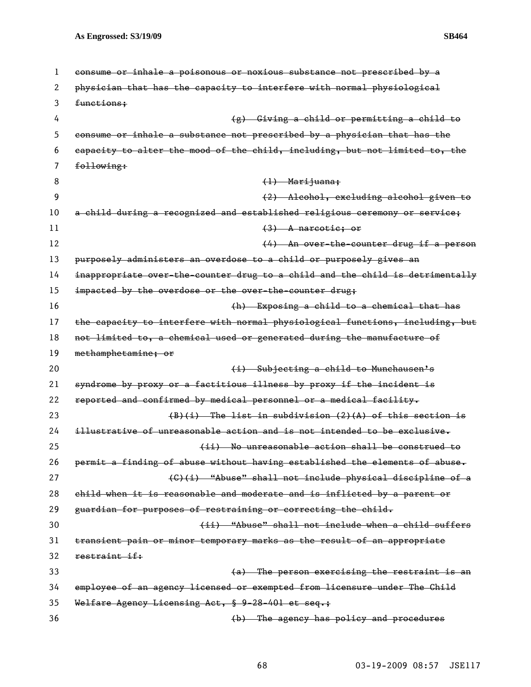| 1  | consume or inhale a poisonous or noxious substance not prescribed by a        |
|----|-------------------------------------------------------------------------------|
| 2  | physician that has the capacity to interfere with normal physiological        |
| 3  | functions;                                                                    |
| 4  | $(g)$ Giving a child or permitting a child to                                 |
| 5  | consume or inhale a substance not prescribed by a physician that has the      |
| 6  | eapacity to alter the mood of the child, including, but not limited to, the   |
| 7  | following:                                                                    |
| 8  | $(1)$ Marijuana;                                                              |
| 9  | (2) Alcohol, excluding alcohol given to                                       |
| 10 | a child during a recognized and established religious ceremony or service;    |
| 11 | $(3)$ A narcotic; or                                                          |
| 12 | (4) An over-the-counter drug if a person                                      |
| 13 | purposely administers an overdose to a child or purposely gives an            |
| 14 | inappropriate over-the-counter drug to a child and the child is detrimentally |
| 15 | impacted by the overdose or the over-the-counter drug;                        |
| 16 | (h) Exposing a child to a chemical that has                                   |
| 17 | the capacity to interfere with normal physiological functions, including, but |
| 18 | not limited to, a chemical used or generated during the manufacture of        |
| 19 | methamphetamine; or                                                           |
| 20 | (i) Subjecting a child to Munchausen's                                        |
| 21 | syndrome by proxy or a factitious illness by proxy if the incident is         |
| 22 | reported and confirmed by medical personnel or a medical facility.            |
| 23 | $(B)(i)$ The list in subdivision $(2)(A)$ of this section is                  |
| 24 | illustrative of unreasonable action and is not intended to be exclusive.      |
| 25 | (ii) No unreasonable action shall be construed to                             |
| 26 | permit a finding of abuse without having established the elements of abuse.   |
| 27 | (C)(i) "Abuse" shall not include physical discipline of a                     |
| 28 | child when it is reasonable and moderate and is inflicted by a parent or      |
| 29 | guardian for purposes of restraining or correcting the child.                 |
| 30 | (ii) "Abuse" shall not include when a child suffers                           |
| 31 | transient pain or minor temporary marks as the result of an appropriate       |
| 32 | restraint if:                                                                 |
| 33 | (a) The person exercising the restraint is an                                 |
| 34 | employee of an agency licensed or exempted from licensure under The Child     |
| 35 | Welfare Agency Licensing Act, § 9-28-401 et seq.;                             |
| 36 | (b) The agency has policy and procedures                                      |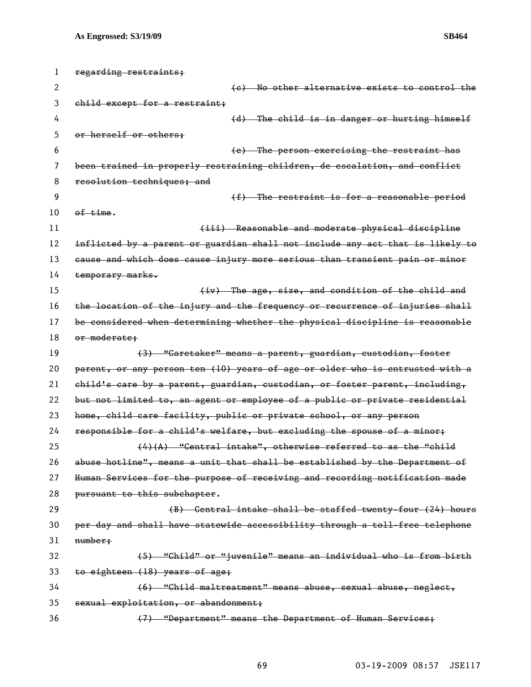| 1              | regarding restraints;                                                         |
|----------------|-------------------------------------------------------------------------------|
| 2              | (e) No other alternative exists to control the                                |
| 3              | child except for a restraint;                                                 |
| 4              | (d) The child is in danger or hurting himself                                 |
| 5              | or herself or others:                                                         |
| 6              | (e) The person exercising the restraint has                                   |
| $\overline{7}$ | been trained in properly restraining children, de escalation, and conflict    |
| 8              | resolution techniques; and                                                    |
| 9              | $(f)$ The restraint is for a reasonable period                                |
| 10             | $6f$ time.                                                                    |
| 11             | (iii) Reasonable and moderate physical discipline                             |
| 12             | inflicted by a parent or guardian shall not include any act that is likely to |
| 13             | eause and which does cause injury more serious than transient pain or minor   |
| 14             | temporary marks.                                                              |
| 15             | (iv) The age, size, and condition of the child and                            |
| 16             | the location of the injury and the frequency or recurrence of injuries shall  |
| 17             | be considered when determining whether the physical discipline is reasonable  |
| 18             | or moderate;                                                                  |
| 19             | (3) "Caretaker" means a parent, guardian, custodian, foster                   |
| 20             | parent, or any person ten (10) years of age or older who is entrusted with a  |
| 21             | child's care by a parent, guardian, custodian, or foster parent, including,   |
| 22             | but not limited to, an agent or employee of a public or private residential   |
| 23             | home, child care facility, public or private school, or any person            |
| 24             | responsible for a child's welfare, but excluding the spouse of a minor;       |
| 25             | $(4)$ $(A)$ "Gentral intake", otherwise referred to as the "child"            |
| 26             | abuse hotline", means a unit that shall be established by the Department of   |
| 27             | Human Services for the purpose of receiving and recording notification made   |
| 28             | pursuant to this subchapter.                                                  |
| 29             | (B) Central intake shall be staffed twenty-four (24) hours                    |
| 30             | per day and shall have statewide accessibility through a toll-free telephone  |
| 31             | number;                                                                       |
| 32             | (5) "Child" or "juvenile" means an individual who is from birth               |
| 33             | to eighteen (18) years of age;                                                |
| 34             | (6) "Child maltreatment" means abuse, sexual abuse, neglect,                  |
| 35             | sexual exploitation, or abandonment;                                          |
| 36             | (7) "Department" means the Department of Human Services;                      |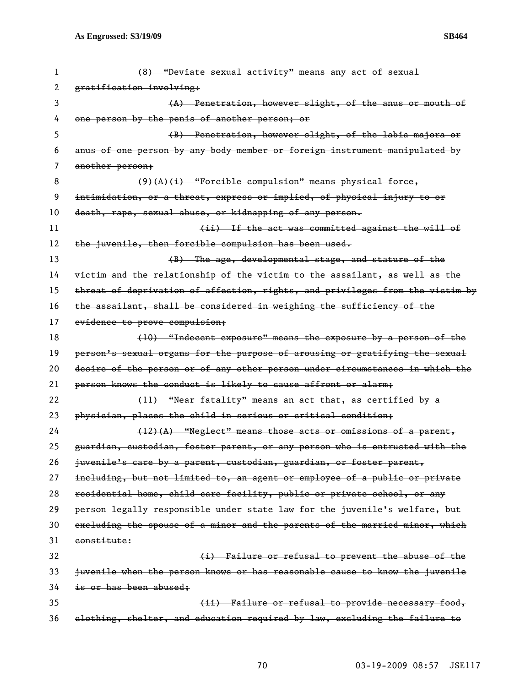| 1  | (8) "Deviate sexual activity" means any act of sexual                         |
|----|-------------------------------------------------------------------------------|
| 2  | gratification involving:                                                      |
| 3  | (A) Penetration, however slight, of the anus or mouth of                      |
| 4  | one person by the penis of another person; or                                 |
| 5  | (B) Penetration, however slight, of the labia majora or                       |
| 6  | anus of one person by any body member or foreign instrument manipulated by    |
| 7  | another person;                                                               |
| 8  | $(9)$ (A)(i) "Forcible compulsion" means physical force,                      |
| 9  | intimidation, or a threat, express or implied, of physical injury to or       |
| 10 | death, rape, sexual abuse, or kidnapping of any person.                       |
| 11 | (ii) If the act was committed against the will of                             |
| 12 | the juvenile, then forcible compulsion has been used.                         |
| 13 | (B) The age, developmental stage, and stature of the                          |
| 14 | victim and the relationship of the victim to the assailant, as well as the    |
| 15 | threat of deprivation of affection, rights, and privileges from the victim by |
| 16 | the assailant, shall be considered in weighing the sufficiency of the         |
| 17 | evidence to prove compulsion;                                                 |
| 18 | (10) "Indecent exposure" means the exposure by a person of the                |
| 19 | person's sexual organs for the purpose of arousing or gratifying the sexual   |
| 20 | desire of the person or of any other person under circumstances in which the  |
| 21 | person knows the conduct is likely to cause affront or alarm;                 |
| 22 | (11) "Near fatality" means an act that, as certified by a                     |
| 23 | physician, places the child in serious or critical condition;                 |
| 24 | $(12)(A)$ "Neglect" means those acts or omissions of a parent,                |
| 25 | guardian, custodian, foster parent, or any person who is entrusted with the   |
| 26 | juvenile's care by a parent, custodian, guardian, or foster parent,           |
| 27 | including, but not limited to, an agent or employee of a public or private    |
| 28 | residential home, child care facility, public or private school, or any       |
| 29 | person legally responsible under state law for the juvenile's welfare, but    |
| 30 | excluding the spouse of a minor and the parents of the married minor, which   |
| 31 | constitute:                                                                   |
| 32 | (i) Failure or refusal to prevent the abuse of the                            |
| 33 | juvenile when the person knows or has reasonable cause to know the juvenile   |
| 34 | is or has been abused;                                                        |
| 35 | (ii) Failure or refusal to provide necessary food,                            |
| 36 | elothing, shelter, and education required by law, excluding the failure to    |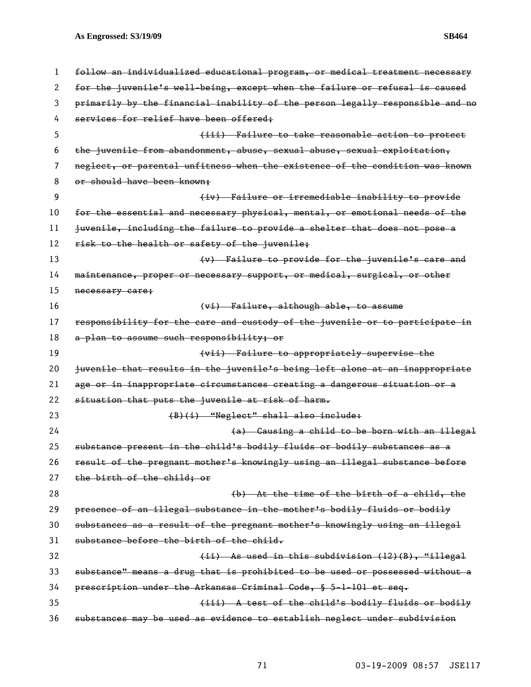| 1  | follow an individualized educational program, or medical treatment necessary  |
|----|-------------------------------------------------------------------------------|
| 2  | for the juvenile's well-being, except when the failure or refusal is caused   |
| 3  | primarily by the financial inability of the person legally responsible and no |
| 4  | services for relief have been offered;                                        |
| 5  | (iii) Failure to take reasonable action to protect                            |
| 6  | the juvenile from abandonment, abuse, sexual abuse, sexual exploitation,      |
| 7  | neglect, or parental unfitness when the existence of the condition was known  |
| 8  | or should have been known:                                                    |
| 9  | (iv) Failure or irremediable inability to provide                             |
| 10 | for the essential and necessary physical, mental, or emotional needs of the   |
| 11 | juvenile, including the failure to provide a shelter that does not pose a     |
| 12 | risk to the health or safety of the juvenile;                                 |
| 13 | (v) Failure to provide for the juvenile's care and                            |
| 14 | maintenance, proper or necessary support, or medical, surgical, or other      |
| 15 | necessary care;                                                               |
| 16 | (vi) Failure, although able, to assume                                        |
| 17 | responsibility for the care and custody of the juvenile or to participate in  |
| 18 | a plan to assume such responsibility; or                                      |
| 19 | (vii) Failure to appropriately supervise the                                  |
| 20 | juvenile that results in the juvenile's being left alone at an inappropriate  |
| 21 | age or in inappropriate circumstances creating a dangerous situation or a     |
| 22 | situation that puts the juvenile at risk of harm.                             |
| 23 | (B)(i) "Neglect" shall also include:                                          |
| 24 | (a) Causing a child to be born with an illegal                                |
| 25 | substance present in the child's bodily fluids or bodily substances as a      |
| 26 | result of the pregnant mother's knowingly using an illegal substance before   |
| 27 | the birth of the child; or                                                    |
| 28 | (b) At the time of the birth of a child, the                                  |
| 29 | presence of an illegal substance in the mother's bodily fluids or bodily      |
| 30 | substances as a result of the pregnant mother's knowingly using an illegal    |
| 31 | substance before the birth of the child.                                      |
| 32 | (ii) As used in this subdivision (12)(B), "illegal                            |
| 33 | substance" means a drug that is prohibited to be used or possessed without a  |
| 34 | prescription under the Arkansas Criminal Code, $\S$ 5-1-101 et seq.           |
| 35 | (iii) A test of the child's bodily fluids or bodily                           |
| 36 | substances may be used as evidence to establish neglect under subdivision     |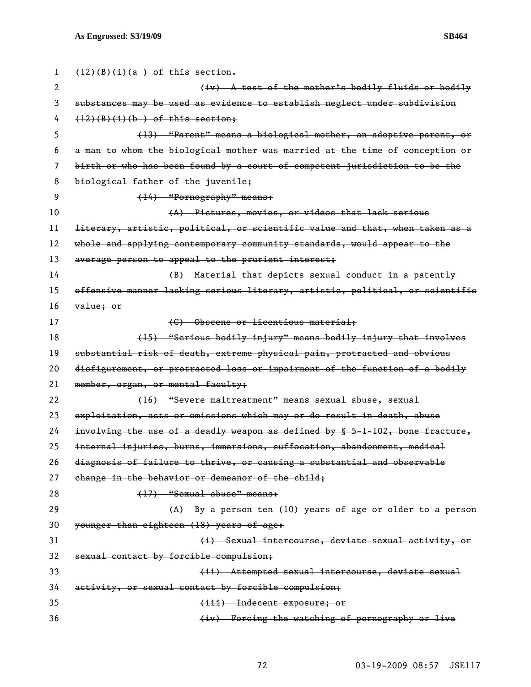| 1  | $(12)(B)(i)(a)$ of this section.                                              |
|----|-------------------------------------------------------------------------------|
| 2  | (iv) A test of the mother's bodily fluids or bodily                           |
| 3  | substances may be used as evidence to establish neglect under subdivision     |
| 4  | $(12)(B)(i)(b)$ of this section;                                              |
| 5  | (13) "Parent" means a biological mother, an adoptive parent, or               |
| 6  | a man to whom the biological mother was married at the time of conception or  |
| 7  | birth or who has been found by a court of competent jurisdiction to be the    |
| 8  | biological father of the juvenile;                                            |
| 9  | (14) "Pornography" means:                                                     |
| 10 | (A) Pictures, movies, or videos that lack serious                             |
| 11 | literary, artistic, political, or scientific value and that, when taken as a  |
| 12 | whole and applying contemporary community standards, would appear to the      |
| 13 | average person to appeal to the prurient interest;                            |
| 14 | (B) Material that depicts sexual conduct in a patently                        |
| 15 | offensive manner lacking serious literary, artistic, political, or scientific |
| 16 | value; or                                                                     |
| 17 | (C) Obscene or licentious material;                                           |
| 18 | (15) "Serious bodily injury" means bodily injury that involves                |
| 19 | substantial risk of death, extreme physical pain, protracted and obvious      |
| 20 | disfigurement, or protracted loss or impairment of the function of a bodily   |
| 21 | member, organ, or mental faculty;                                             |
| 22 | (16) "Severe maltreatment" means sexual abuse, sexual                         |
| 23 | exploitation, acts or omissions which may or do result in death, abuse        |
| 24 | involving the use of a deadly weapon as defined by § 5-1-102, bone fracture,  |
| 25 | internal injuries, burns, immersions, suffocation, abandonment, medical       |
| 26 | diagnosis of failure to thrive, or causing a substantial and observable       |
| 27 | change in the behavior or demeanor of the child;                              |
| 28 | (17) "Sexual abuse" means:                                                    |
| 29 | (A) By a person ten (10) years of age or older to a person                    |
| 30 | younger than eighteen (18) years of age:                                      |
| 31 | (i) Sexual intercourse, deviate sexual activity, or                           |
| 32 | sexual contact by forcible compulsion;                                        |
| 33 | (ii) Attempted sexual intercourse, deviate sexual                             |
| 34 | activity, or sexual contact by forcible compulsion;                           |
| 35 | (iii) Indecent exposure; or                                                   |
| 36 | (iv) Forcing the watching of pornography or live                              |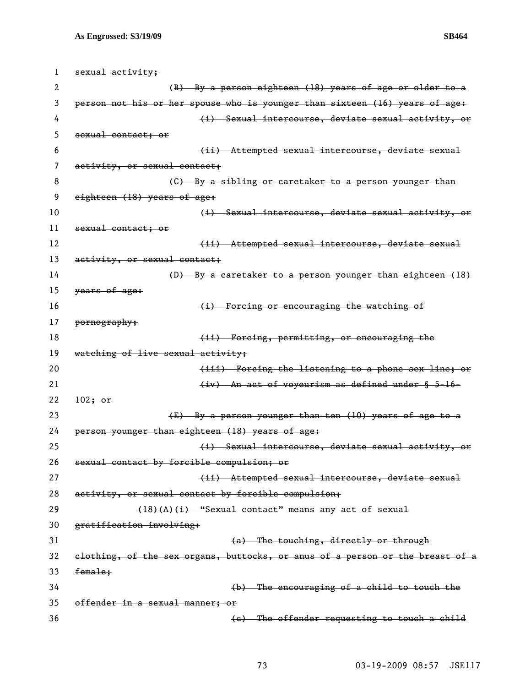| 1  | sexual activity;                                                              |
|----|-------------------------------------------------------------------------------|
| 2  | (B) By a person eighteen (18) years of age or older to a                      |
| 3  | person not his or her spouse who is younger than sixteen (16) years of age:   |
| 4  | (i) Sexual intercourse, deviate sexual activity, or                           |
| 5  | sexual contact; or                                                            |
| 6  | (ii) Attempted sexual intercourse, deviate sexual                             |
| 7  | activity, or sexual contact;                                                  |
| 8  | (C) By a sibling or caretaker to a person younger than                        |
| 9  | eighteen (18) years of age:                                                   |
| 10 | (i) Sexual intercourse, deviate sexual activity, or                           |
| 11 | sexual contact; or                                                            |
| 12 | (ii) Attempted sexual intercourse, deviate sexual                             |
| 13 | activity, or sexual contact;                                                  |
| 14 | (D) By a caretaker to a person younger than eighteen (18)                     |
| 15 | years of age:                                                                 |
| 16 | (i) Forcing or encouraging the watching of                                    |
| 17 | pornography;                                                                  |
| 18 | (ii) Forcing, permitting, or encouraging the                                  |
| 19 | watching of live sexual activity;                                             |
| 20 | (iii) Forcing the listening to a phone sex line; or                           |
| 21 | (iv) An act of voyeurism as defined under § 5-16-                             |
| 22 | $102;$ or                                                                     |
| 23 | (E) By a person younger than ten (10) years of age to a                       |
| 24 | person younger than eighteen (18) years of age:                               |
| 25 | (i) Sexual intercourse, deviate sexual activity, or                           |
| 26 | sexual contact by forcible compulsion; or                                     |
| 27 | (ii) Attempted sexual intercourse, deviate sexual                             |
| 28 | activity, or sexual contact by forcible compulsion;                           |
| 29 | $(18)(A)(i)$ "Sexual contact" means any act of sexual                         |
| 30 | gratification involving:                                                      |
| 31 | (a) The touching, directly or through                                         |
| 32 | elothing, of the sex organs, buttocks, or anus of a person or the breast of a |
| 33 | female;                                                                       |
| 34 | (b) The encouraging of a child to touch the                                   |
| 35 | <del>offender in a sexual manner; or</del>                                    |
| 36 | (e) The offender requesting to touch a child                                  |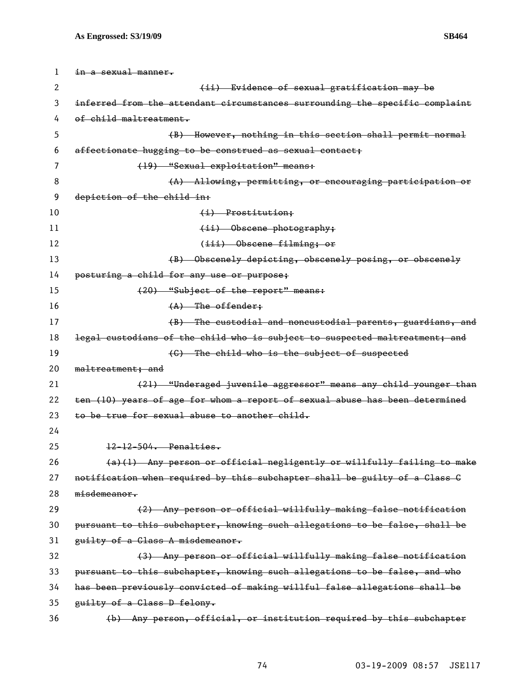1 in a sexual manner. 2 **12** (ii) Evidence of sexual gratification may be 3 inferred from the attendant circumstances surrounding the specific complaint 4 of child maltreatment. 5 (B) However, nothing in this section shall permit normal 6 affectionate hugging to be construed as sexual contact; 7 (19) "Sexual exploitation" means: 8 (A) Allowing, permitting, or encouraging participation or 9 depiction of the child in: 10 (i) Prostitution; 11 (ii) Obscene photography; 12 (iii) Obscene filming; or 13 (B) Obscenely depicting, obscenely posing, or obscenely 14 posturing a child for any use or purpose; 15 (20) "Subject of the report" means: 16 (A) The offender; 17 (B) The custodial and noncustodial parents, guardians, and 18 legal custodians of the child who is subject to suspected maltreatment; and 19 (C) The child who is the subject of suspected 20 maltreatment; and 21 (21) "Underaged juvenile aggressor" means any child younger than 22 ten (10) years of age for whom a report of sexual abuse has been determined 23 to be true for sexual abuse to another child. 24 25 12-12-504. Penalties. 26  $(a)(1)$  Any person or official negligently or willfully failing to make 27 notification when required by this subchapter shall be guilty of a Class C 28 misdemeanor. 29 (2) Any person or official willfully making false notification 30 pursuant to this subchapter, knowing such allegations to be false, shall be 31 guilty of a Class A misdemeanor. 32 (3) Any person or official willfully making false notification 33 pursuant to this subchapter, knowing such allegations to be false, and who 34 has been previously convicted of making willful false allegations shall be 35 guilty of a Class D felony. 36 (b) Any person, official, or institution required by this subchapter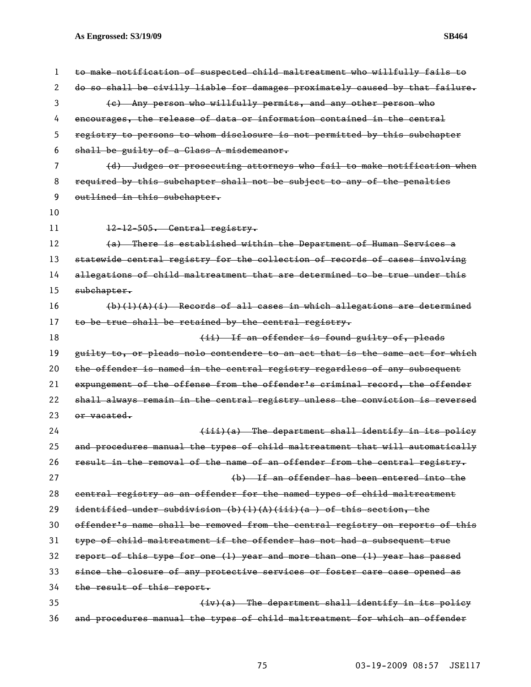| 1  | to make notification of suspected child maltreatment who willfully fails to   |
|----|-------------------------------------------------------------------------------|
| 2  | do so shall be civilly liable for damages proximately caused by that failure. |
| 3  | (e) Any person who willfully permits, and any other person who                |
| 4  | encourages, the release of data or information contained in the central       |
| 5  | registry to persons to whom disclosure is not permitted by this subchapter    |
| 6  | shall be guilty of a Class A misdemeanor.                                     |
| 7  | (d) Judges or prosecuting attorneys who fail to make notification when        |
| 8  | required by this subchapter shall not be subject to any of the penalties      |
| 9  | outlined in this subchapter.                                                  |
| 10 |                                                                               |
| 11 | 12-12-505. Central registry.                                                  |
| 12 | (a) There is established within the Department of Human Services a            |
| 13 | statewide central registry for the collection of records of cases involving   |
| 14 | allegations of child maltreatment that are determined to be true under this   |
| 15 | subchapter.                                                                   |
| 16 | $(b)(1)(A)(i)$ Records of all cases in which allegations are determined       |
| 17 | to be true shall be retained by the central registry.                         |
| 18 | (ii) If an offender is found guilty of, pleads                                |
| 19 | guilty to, or pleads nolo contendere to an act that is the same act for which |
| 20 | the offender is named in the central registry regardless of any subsequent    |
| 21 | expungement of the offense from the offender's criminal record, the offender  |
| 22 | shall always remain in the central registry unless the conviction is reversed |
| 23 | or vacated.                                                                   |
| 24 | (iii)(a) The department shall identify in its policy                          |
| 25 | and procedures manual the types of child maltreatment that will automatically |
| 26 | result in the removal of the name of an offender from the central registry.   |
| 27 | (b) If an offender has been entered into the                                  |
| 28 | central registry as an offender for the named types of child maltreatment     |
| 29 | identified under subdivision (b)(l)(A)(iii)(a) of this section, the           |
| 30 | offender's name shall be removed from the central registry on reports of this |
| 31 | type of child maltreatment if the offender has not had a subsequent true      |
| 32 | report of this type for one (1) year and more than one (1) year has passed    |
| 33 | since the closure of any protective services or foster care case opened as    |
| 34 | the result of this report.                                                    |
| 35 | (iv)(a) The department shall identify in its policy                           |
| 36 | and procedures manual the types of child maltreatment for which an offender   |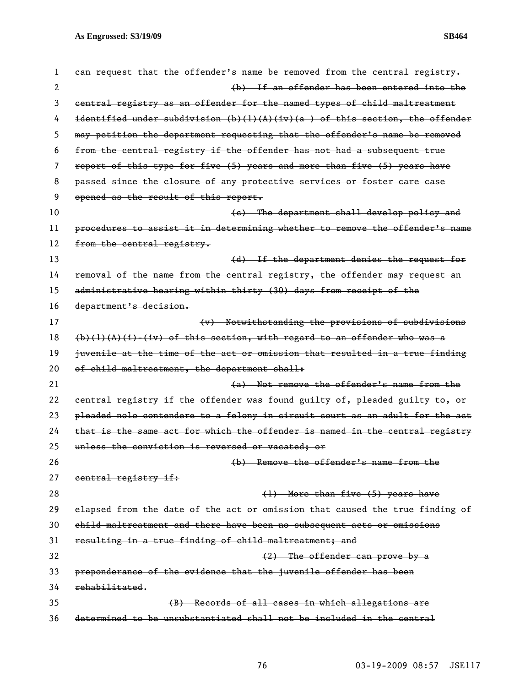| 1  | can request that the offender's name be removed from the central registry.   |
|----|------------------------------------------------------------------------------|
| 2  | (b) If an offender has been entered into the                                 |
| 3  | central registry as an offender for the named types of child maltreatment    |
| 4  | identified under subdivision (b)(l)(A)(iv)(a) of this section, the offender  |
| 5  | may petition the department requesting that the offender's name be removed   |
| 6  | from the central registry if the offender has not had a subsequent true      |
| 7  | report of this type for five (5) years and more than five (5) years have     |
| 8  | passed since the closure of any protective services or foster care case      |
| 9  | opened as the result of this report.                                         |
| 10 | (e) The department shall develop policy and                                  |
| 11 | procedures to assist it in determining whether to remove the offender's name |
| 12 | from the central registry.                                                   |
| 13 | (d) If the department denies the request for                                 |
| 14 | removal of the name from the central registry, the offender may request an   |
| 15 | administrative hearing within thirty (30) days from receipt of the           |
| 16 | department's decision.                                                       |
| 17 | (v) Notwithstanding the provisions of subdivisions                           |
| 18 | $(b)(1)(A)(i)$ (iv) of this section, with regard to an offender who was a    |
| 19 | juvenile at the time of the act or omission that resulted in a true finding  |
| 20 | of child maltreatment, the department shall:                                 |
| 21 | (a) Not remove the offender's name from the                                  |
| 22 | central registry if the offender was found guilty of, pleaded guilty to, or  |
| 23 | pleaded nolo contendere to a felony in circuit court as an adult for the act |
| 24 | that is the same act for which the offender is named in the central registry |
| 25 | unless the conviction is reversed or vacated; or                             |
| 26 | (b) Remove the offender's name from the                                      |
| 27 | central registry if:                                                         |
| 28 | (1) More than five (5) years have                                            |
| 29 | elapsed from the date of the act or omission that caused the true finding of |
| 30 | child maltreatment and there have been no subsequent acts or omissions       |
| 31 | resulting in a true finding of child maltreatment; and                       |
| 32 | $(2)$ The offender can prove by a                                            |
| 33 | preponderance of the evidence that the juvenile offender has been            |
| 34 | rehabilitated.                                                               |
| 35 | (B) Records of all cases in which allegations are                            |
| 36 | determined to be unsubstantiated shall not be included in the central        |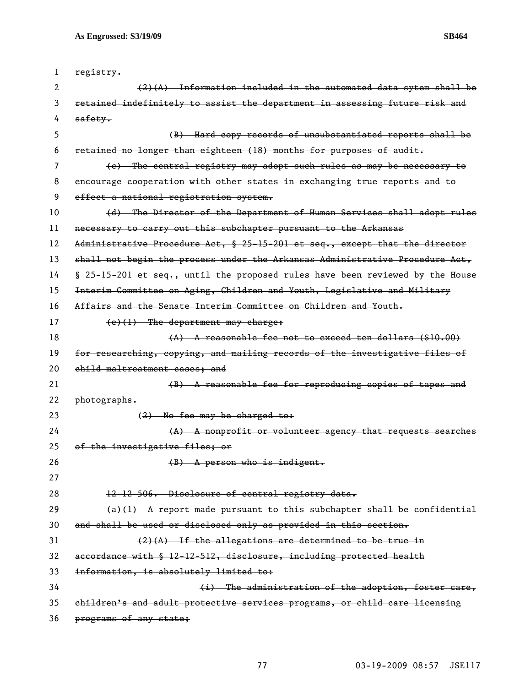| 1  | registry.                                                                     |
|----|-------------------------------------------------------------------------------|
| 2  | $(2)$ (A) Information included in the automated data sytem shall be           |
| 3  | retained indefinitely to assist the department in assessing future risk and   |
| 4  | safety.                                                                       |
| 5  | (B) Hard copy records of unsubstantiated reports shall be                     |
| 6  | retained no longer than eighteen (18) months for purposes of audit.           |
| 7  | (e) The central registry may adopt such rules as may be necessary to          |
| 8  | encourage cooperation with other states in exchanging true reports and to     |
| 9  | effect a national registration system.                                        |
| 10 | (d) The Director of the Department of Human Services shall adopt rules        |
| 11 | necessary to carry out this subchapter pursuant to the Arkansas               |
| 12 | Administrative Procedure Act, § 25-15-201 et seq., except that the director   |
| 13 | shall not begin the process under the Arkansas Administrative Procedure Act,  |
| 14 | § 25-15-201 et seq., until the proposed rules have been reviewed by the House |
| 15 | Interim Committee on Aging, Children and Youth, Legislative and Military      |
| 16 | Affairs and the Senate Interim Committee on Children and Youth.               |
| 17 | $(e)(1)$ The department may charge:                                           |
| 18 | (A) A reasonable fee not to exceed ten dollars (\$10.00)                      |
| 19 | for researching, copying, and mailing records of the investigative files of   |
| 20 | child maltreatment cases; and                                                 |
| 21 | (B) A reasonable fee for reproducing copies of tapes and                      |
| 22 | photographs.                                                                  |
| 23 | (2) No fee may be charged to:                                                 |
| 24 | (A) A nonprofit or volunteer agency that requests searches                    |
| 25 | of the investigative files; or                                                |
| 26 | (B) A person who is indigent.                                                 |
| 27 |                                                                               |
| 28 | 12-12-506. Disclosure of central registry data.                               |
| 29 | $(a)(1)$ A report made pursuant to this subchapter shall be confidential      |
| 30 | and shall be used or disclosed only as provided in this section.              |
| 31 | $(2)(A)$ If the allegations are determined to be true in                      |
| 32 | accordance with § 12-12-512, disclosure, including protected health           |
| 33 | information, is absolutely limited to:                                        |
| 34 | (i) The administration of the adoption, foster care,                          |
| 35 | children's and adult protective services programs, or child care licensing    |
| 36 | programs of any state;                                                        |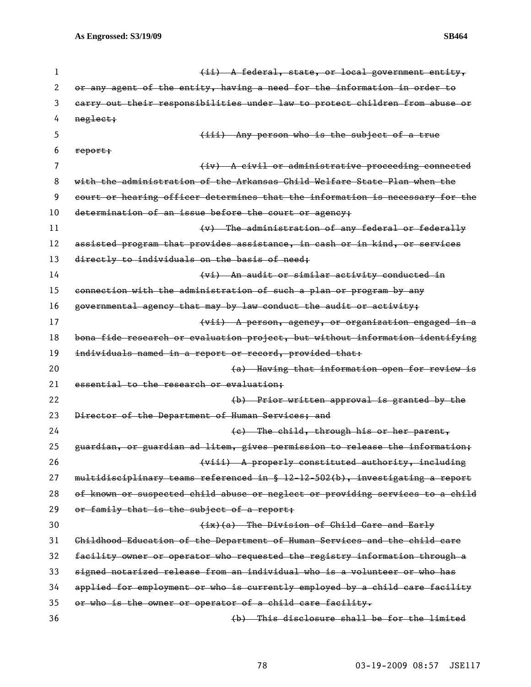1 1 metal (ii) A federal, state, or local government entity, 2 or any agent of the entity, having a need for the information in order to 3 carry out their responsibilities under law to protect children from abuse or 4 neglect; 5 (iii) Any person who is the subject of a true 6 report; 7 (iv) A civil or administrative proceeding connected 8 with the administration of the Arkansas Child Welfare State Plan when the 9 court or hearing officer determines that the information is necessary for the 10 determination of an issue before the court or agency; 11 **11 Example 20** The administration of any federal or federally 12 assisted program that provides assistance, in cash or in kind, or services 13 directly to individuals on the basis of need: 14 **14 (vi)** An audit or similar activity conducted in 15 connection with the administration of such a plan or program by any 16 governmental agency that may by law conduct the audit or activity; 17 (vii) A person, agency, or organization engaged in a 18 bona fide research or evaluation project, but without information identifying 19 individuals named in a report or record, provided that: 20 (a) Having that information open for review is 21 essential to the research or evaluation: 22 (b) Prior written approval is granted by the 23 Director of the Department of Human Services; and 24 **(c)** The child, through his or her parent, 25 guardian, or guardian ad litem, gives permission to release the information; 26 (viii) A properly constituted authority, including 27 multidisciplinary teams referenced in § 12-12-502(b), investigating a report 28 of known or suspected child abuse or neglect or providing services to a child 29 or family that is the subject of a report; 30 (ix)(a) The Division of Child Care and Early 31 Childhood Education of the Department of Human Services and the child care 32 facility owner or operator who requested the registry information through a 33 signed notarized release from an individual who is a volunteer or who has 34 applied for employment or who is currently employed by a child care facility 35 or who is the owner or operator of a child care facility. 36 (b) This disclosure shall be for the limited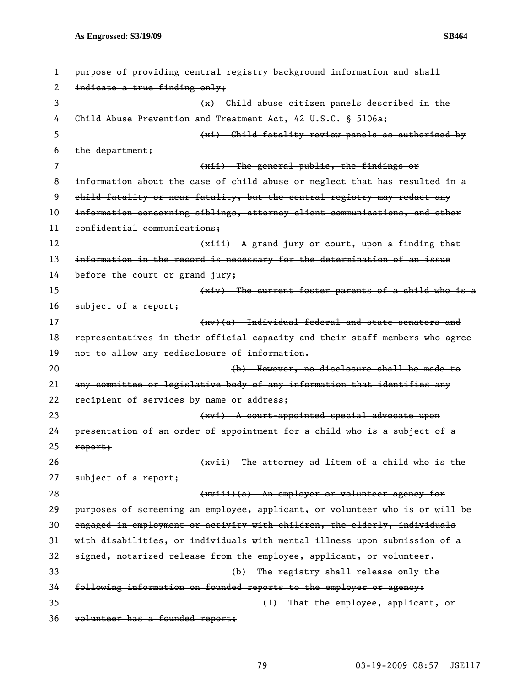| 1  | purpose of providing central registry background information and shall       |
|----|------------------------------------------------------------------------------|
| 2  | indicate a true finding only;                                                |
| 3  | (x) Child abuse citizen panels described in the                              |
| 4  | Child Abuse Prevention and Treatment Act, $42 \text{ U.S.G. }$ $§$ 5106a;    |
| 5  | (xi) Child fatality review panels as authorized by                           |
| 6  | the department;                                                              |
| 7  | (xii) The general public, the findings or                                    |
| 8  | information about the case of child abuse or neglect that has resulted in a  |
| 9  | child fatality or near fatality, but the central registry may redact any     |
| 10 | information concerning siblings, attorney-client communications, and other   |
| 11 | confidential communications;                                                 |
| 12 | (xiii) A grand jury or court, upon a finding that                            |
| 13 | information in the record is necessary for the determination of an issue     |
| 14 | before the court or grand jury;                                              |
| 15 | (xiv) The current foster parents of a child who is a                         |
| 16 | subject of a report;                                                         |
| 17 | (xv)(a) Individual federal and state senators and                            |
| 18 | representatives in their official capacity and their staff members who agree |
| 19 | not to allow any redisclosure of information.                                |
| 20 | (b) However, no disclosure shall be made to                                  |
| 21 | any committee or legislative body of any information that identifies any     |
| 22 | recipient of services by name or address;                                    |
| 23 | (xvi) A court-appointed special advocate upon                                |
| 24 | presentation of an order of appointment for a child who is a subject of a    |
| 25 | report;                                                                      |
| 26 | (xvii) The attorney ad litem of a child who is the                           |
| 27 | subject of a report;                                                         |
| 28 | (xviii)(a) An employer or volunteer agency for                               |
| 29 | purposes of screening an employee, applicant, or volunteer who is or will be |
| 30 | engaged in employment or activity with children, the elderly, individuals    |
| 31 | with disabilities, or individuals with mental illness upon submission of a   |
| 32 | signed, notarized release from the employee, applicant, or volunteer.        |
| 33 | (b) The registry shall release only the                                      |
| 34 | following information on founded reports to the employer or agency:          |
|    |                                                                              |
| 35 | (1) That the employee, applicant, or                                         |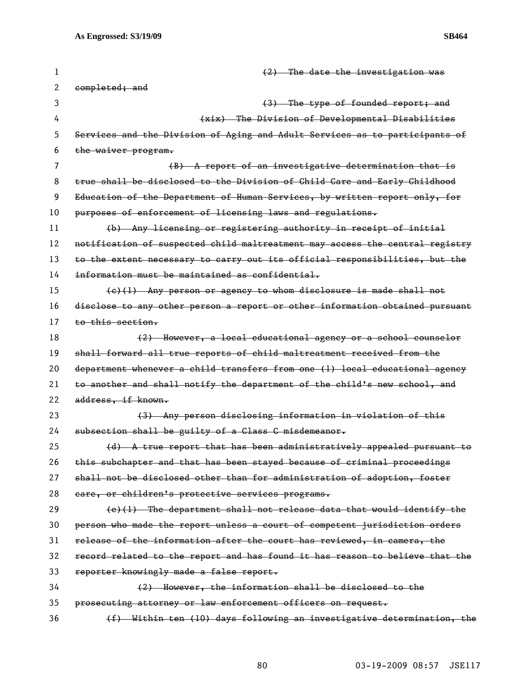| 1  | (2) The date the investigation was                                           |
|----|------------------------------------------------------------------------------|
| 2  | completed; and                                                               |
| 3  | $(3)$ The type of founded report; and                                        |
| 4  | (xix) The Division of Developmental Disabilities                             |
| 5  | Services and the Division of Aging and Adult Services as to participants of  |
| 6  | the waiver program.                                                          |
| 7  | (B) A report of an investigative determination that is                       |
| 8  | true shall be disclosed to the Division of Child Care and Early Childhood    |
| 9  | Education of the Department of Human Services, by written report only, for   |
| 10 | purposes of enforcement of licensing laws and regulations.                   |
| 11 | (b) Any licensing or registering authority in receipt of initial             |
| 12 | notification of suspected child maltreatment may access the central registry |
| 13 | to the extent necessary to carry out its official responsibilities, but the  |
| 14 | information must be maintained as confidential.                              |
| 15 | (e)(1) Any person or agency to whom disclosure is made shall not             |
| 16 | disclose to any other person a report or other information obtained pursuant |
| 17 | <del>to this section.</del>                                                  |
| 18 | (2) However, a local educational agency or a school counselor                |
| 19 | shall forward all true reports of child maltreatment received from the       |
| 20 | department whenever a child transfers from one (1) local educational agency  |
| 21 | to another and shall notify the department of the child's new school, and    |
| 22 | address, if known.                                                           |
| 23 | (3) Any person disclosing information in violation of this                   |
| 24 | subsection shall be guilty of a Class C misdemeanor.                         |
| 25 | (d) A true report that has been administratively appealed pursuant to        |
| 26 | this subchapter and that has been stayed because of criminal proceedings     |
| 27 | shall not be disclosed other than for administration of adoption, foster     |
| 28 | care, or children's protective services programs.                            |
| 29 | $(e)(1)$ The department shall not release data that would identify the       |
| 30 | person who made the report unless a court of competent jurisdiction orders   |
| 31 | release of the information after the court has reviewed, in camera, the      |
| 32 | record related to the report and has found it has reason to believe that the |
| 33 | reporter knowingly made a false report.                                      |
| 34 | (2) However, the information shall be disclosed to the                       |
| 35 | prosecuting attorney or law enforcement officers on request.                 |
| 36 | (f) Within ten (10) days following an investigative determination, the       |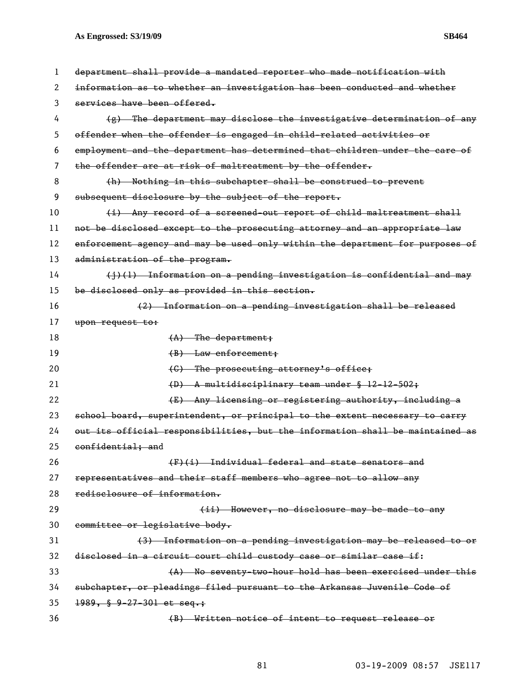| 1  | department shall provide a mandated reporter who made notification with              |
|----|--------------------------------------------------------------------------------------|
| 2  | information as to whether an investigation has been conducted and whether            |
| 3  | services have been offered.                                                          |
| 4  | (g) The department may disclose the investigative determination of any               |
| 5  | offender when the offender is engaged in child-related activities or                 |
| 6  | employment and the department has determined that children under the care of         |
| 7  | the offender are at risk of maltreatment by the offender.                            |
| 8  | (h) Nothing in this subchapter shall be construed to prevent                         |
| 9  | subsequent disclosure by the subject of the report.                                  |
| 10 | (i) Any record of a screened out report of child maltreatment shall                  |
| 11 | not be disclosed except to the prosecuting attorney and an appropriate law           |
| 12 | enforcement agency and may be used only within the department for purposes of        |
| 13 | administration of the program.                                                       |
| 14 | $\{\frac{1}{2}\}$ (1) Information on a pending investigation is confidential and may |
| 15 | be disclosed only as provided in this section.                                       |
| 16 | (2) Information on a pending investigation shall be released                         |
| 17 | upon request to:                                                                     |
| 18 | $(A)$ The department;                                                                |
| 19 | (B) Law enforcement;                                                                 |
| 20 | (C) The prosecuting attorney's office;                                               |
| 21 | (D) A multidisciplinary team under § 12-12-502;                                      |
| 22 | (E) Any licensing or registering authority, including a                              |
| 23 | school board, superintendent, or principal to the extent necessary to carry          |
| 24 | out its official responsibilities, but the information shall be maintained as        |
| 25 | confidential; and                                                                    |
| 26 | (F)(i) Individual federal and state senators and                                     |
| 27 | representatives and their staff members who agree not to allow any                   |
| 28 | redisclosure of information.                                                         |
| 29 | (ii) However, no disclosure may be made to any                                       |
| 30 | committee or legislative body.                                                       |
| 31 | (3) Information on a pending investigation may be released to or                     |
| 32 | disclosed in a circuit court child custody case or similar case if:                  |
| 33 | (A) No seventy-two-hour hold has been exercised under this                           |
| 34 | subchapter, or pleadings filed pursuant to the Arkansas Juvenile Gode of             |
| 35 | $1989,$ § 9-27-301 et seq.;                                                          |
| 36 | (B) Written notice of intent to request release or                                   |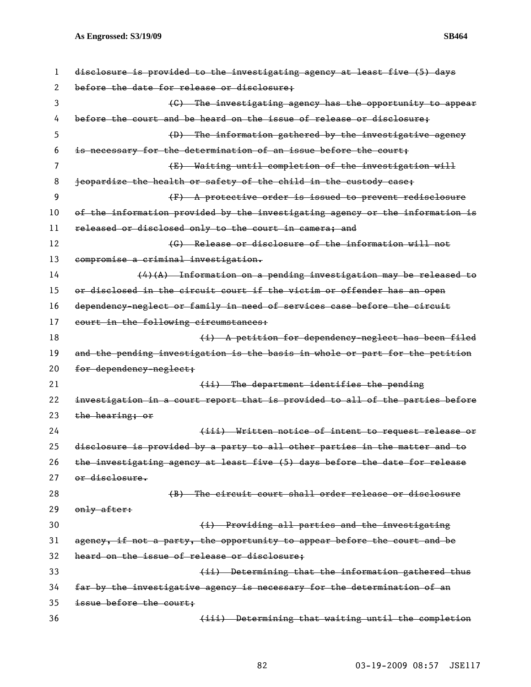| 1  | disclosure is provided to the investigating agency at least five (5) days     |
|----|-------------------------------------------------------------------------------|
| 2  | before the date for release or disclosure;                                    |
| 3  | (C) The investigating agency has the opportunity to appear                    |
| 4  | before the court and be heard on the issue of release or disclosure;          |
| 5  | (D) The information gathered by the investigative agency                      |
| 6  | is necessary for the determination of an issue before the court:              |
| 7  | (E) Waiting until completion of the investigation will                        |
| 8  | jeopardize the health or safety of the child in the custody case;             |
| 9  | (F) A protective order is issued to prevent redisclosure                      |
| 10 | of the information provided by the investigating agency or the information is |
| 11 | released or disclosed only to the court in camera; and                        |
| 12 | (G) Release or disclosure of the information will not                         |
| 13 | compromise a criminal investigation.                                          |
| 14 | $(4)$ $(A)$ Information on a pending investigation may be released to         |
| 15 | or disclosed in the circuit court if the victim or offender has an open       |
| 16 | dependency-neglect or family in need of services case before the circuit      |
| 17 | court in the following circumstances:                                         |
| 18 | (i) A petition for dependency-neglect has been filed                          |
| 19 | and the pending investigation is the basis in whole or part for the petition  |
| 20 | for dependency-neglect;                                                       |
| 21 | (ii) The department identifies the pending                                    |
| 22 | investigation in a court report that is provided to all of the parties before |
| 23 | the hearing; or                                                               |
| 24 | (iii) Written notice of intent to request release or                          |
| 25 | disclosure is provided by a party to all other parties in the matter and to   |
| 26 | the investigating agency at least five (5) days before the date for release   |
| 27 | or disclosure.                                                                |
| 28 | (B) The circuit court shall order release or disclosure                       |
| 29 | only after:                                                                   |
| 30 | (i) Providing all parties and the investigating                               |
| 31 | agency, if not a party, the opportunity to appear before the court and be     |
| 32 | heard on the issue of release or disclosure;                                  |
| 33 | (ii) Determining that the information gathered thus                           |
| 34 | far by the investigative agency is necessary for the determination of an      |
| 35 | issue before the court;                                                       |
| 36 | (iii) Determining that waiting until the completion                           |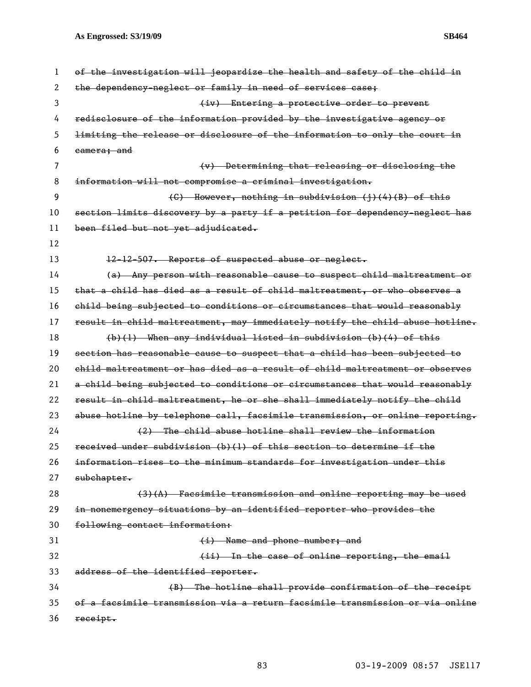| 1  | of the investigation will jeopardize the health and safety of the child in    |
|----|-------------------------------------------------------------------------------|
| 2  | the dependency-neglect or family in need of services case;                    |
| 3  | (iv) Entering a protective order to prevent                                   |
| 4  | redisclosure of the information provided by the investigative agency or       |
| 5  | limiting the release or disclosure of the information to only the court in    |
| 6  | camera: and                                                                   |
| 7  | (v) Determining that releasing or disclosing the                              |
| 8  | information will not compromise a criminal investigation.                     |
| 9  | (C) However, nothing in subdivision (i)(4)(B) of this                         |
| 10 | section limits discovery by a party if a petition for dependency-neglect has  |
| 11 | been filed but not yet adjudicated.                                           |
| 12 |                                                                               |
| 13 | 12-12-507. Reports of suspected abuse or neglect.                             |
| 14 | (a) Any person with reasonable cause to suspect child maltreatment or         |
| 15 | that a child has died as a result of child maltreatment, or who observes a    |
| 16 | child being subjected to conditions or circumstances that would reasonably    |
| 17 | result in child maltreatment, may immediately notify the child abuse hotline. |
| 18 | $(b)(1)$ When any individual listed in subdivision (b)(4) of this             |
| 19 | section has reasonable cause to suspect that a child has been subjected to    |
| 20 | child maltreatment or has died as a result of child maltreatment or observes  |
| 21 | a child being subjected to conditions or circumstances that would reasonably  |
| 22 | result in child maltreatment, he or she shall immediately notify the child    |
| 23 | abuse hotline by telephone call, facsimile transmission, or online reporting, |
| 24 | (2) The child abuse hotline shall review the information                      |
| 25 | received under subdivision (b)(1) of this section to determine if the         |
| 26 | information rises to the minimum standards for investigation under this       |
| 27 | subchapter.                                                                   |
| 28 | $(3)$ $(A)$ Facsimile transmission and online reporting may be used           |
| 29 | in nonemergency situations by an identified reporter who provides the         |
| 30 | following contact information:                                                |
| 31 | (i) Name and phone number; and                                                |
| 32 | (ii) In the case of online reporting, the email                               |
| 33 | address of the identified reporter.                                           |
| 34 | (B) The hotline shall provide confirmation of the receipt                     |
| 35 | of a facsimile transmission via a return facsimile transmission or via online |
| 36 | receipt.                                                                      |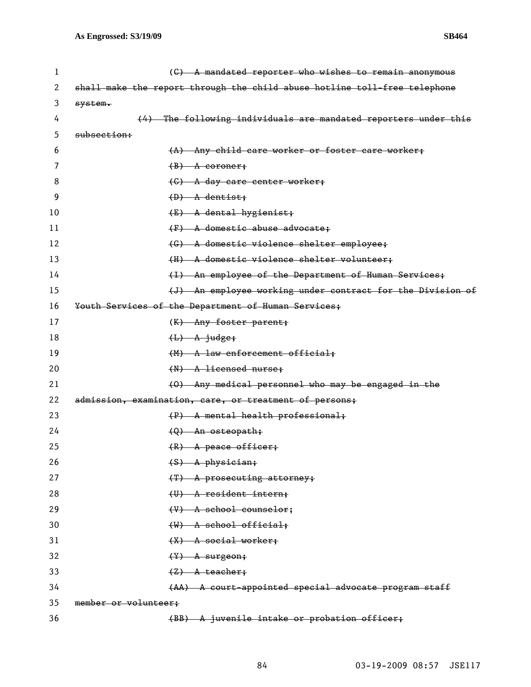| 1  | $(G)$ A mandated reporter who wishes to remain anonymous                  |
|----|---------------------------------------------------------------------------|
| 2  | shall make the report through the child abuse hotline toll-free telephone |
| 3  | system.                                                                   |
| 4  | (4) The following individuals are mandated reporters under this           |
| 5  | subsection:                                                               |
| 6  | (A) Any child care worker or foster care worker;                          |
| 7  | $(B)$ A coroner;                                                          |
| 8  | (C) A day care center worker;                                             |
| 9  | $(D)$ A dentist;                                                          |
| 10 | (E) A dental hygienist;                                                   |
| 11 | (F) A domestic abuse advocate;                                            |
| 12 | (G) A domestic violence shelter employee;                                 |
| 13 | (H) A domestic violence shelter volunteer;                                |
| 14 | (I) An employee of the Department of Human Services;                      |
| 15 | (J) An employee working under contract for the Division of                |
| 16 | Youth Services of the Department of Human Services;                       |
| 17 | $(K)$ Any foster parent;                                                  |
| 18 | $(L)$ $A$ judge;                                                          |
| 19 | $(M)$ A law enforcement official;                                         |
| 20 | $(N)$ A licensed nurse;                                                   |
| 21 | (0) Any medical personnel who may be engaged in the                       |
| 22 | admission, examination, care, or treatment of persons;                    |
| 23 | (P) A mental health professional;                                         |
| 24 | $(Q)$ An osteopath:                                                       |
| 25 | $(R)$ A peace officer;                                                    |
| 26 | $(S)$ A physician;                                                        |
| 27 | $(T)$ A prosecuting attorney;                                             |
| 28 | $(U)$ A resident intern:                                                  |
| 29 | (V) A school counselor;                                                   |
| 30 | $(W)$ A school official;                                                  |
| 31 | $(X)$ A social worker;                                                    |
| 32 | $(Y)$ A surgeon;                                                          |
| 33 | $(2)$ A teacher;                                                          |
| 34 | (AA) A court-appointed special advocate program staff                     |
| 35 | member or volunteer;                                                      |
| 36 | (BB) A juvenile intake or probation officer;                              |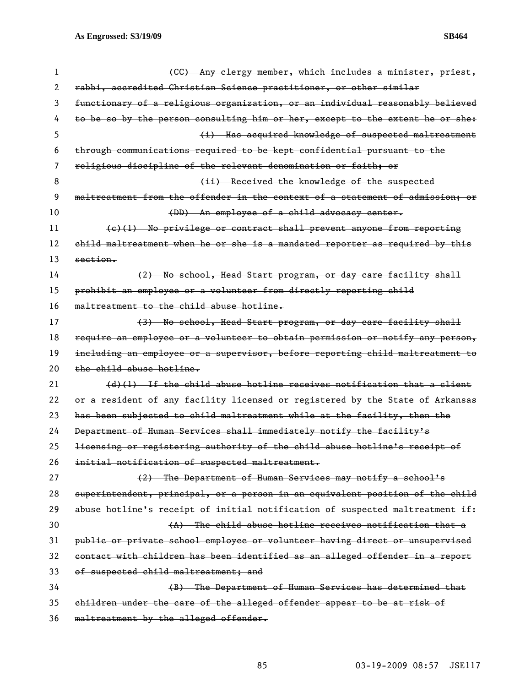| 1  | (GG) Any clergy member, which includes a minister, priest,                    |
|----|-------------------------------------------------------------------------------|
| 2  | rabbi, accredited Christian Science practitioner, or other similar            |
| 3  | functionary of a religious organization, or an individual reasonably believed |
| 4  | to be so by the person consulting him or her, except to the extent he or she: |
| 5  | (i) Has acquired knowledge of suspected maltreatment                          |
| 6  | through communications required to be kept confidential pursuant to the       |
| 7  | religious discipline of the relevant denomination or faith; or                |
| 8  | (ii) Received the knowledge of the suspected                                  |
| 9  | maltreatment from the offender in the context of a statement of admission; or |
| 10 | (DD) An employee of a child advocacy center.                                  |
| 11 | $(e)(1)$ No privilege or contract shall prevent anyone from reporting         |
| 12 | child maltreatment when he or she is a mandated reporter as required by this  |
| 13 | section.                                                                      |
| 14 | (2) No school, Head Start program, or day care facility shall                 |
| 15 | prohibit an employee or a volunteer from directly reporting child             |
| 16 | maltreatment to the child abuse hotline.                                      |
| 17 | (3) No school, Head Start program, or day care facility shall                 |
| 18 | require an employee or a volunteer to obtain permission or notify any person, |
| 19 | including an employee or a supervisor, before reporting child maltreatment to |
| 20 | the child abuse hotline.                                                      |
| 21 | $(d)$ (1) If the child abuse hotline receives notification that a client      |
| 22 | or a resident of any facility licensed or registered by the State of Arkansas |
| 23 | has been subjected to child maltreatment while at the facility, then the      |
| 24 | Department of Human Services shall immediately notify the facility's          |
| 25 | licensing or registering authority of the child abuse hotline's receipt of    |
| 26 | initial notification of suspected maltreatment.                               |
| 27 | (2) The Department of Human Services may notify a school's                    |
| 28 | superintendent, principal, or a person in an equivalent position of the child |
| 29 | abuse hotline's receipt of initial notification of suspected maltreatment if: |
| 30 | (A) The child abuse hotline receives notification that a                      |
| 31 | public or private school employee or volunteer having direct or unsupervised  |
| 32 | contact with children has been identified as an alleged offender in a report  |
| 33 | of suspected child maltreatment; and                                          |
| 34 | (B) The Department of Human Services has determined that                      |
| 35 | children under the care of the alleged offender appear to be at risk of       |
| 36 | maltreatment by the alleged offender.                                         |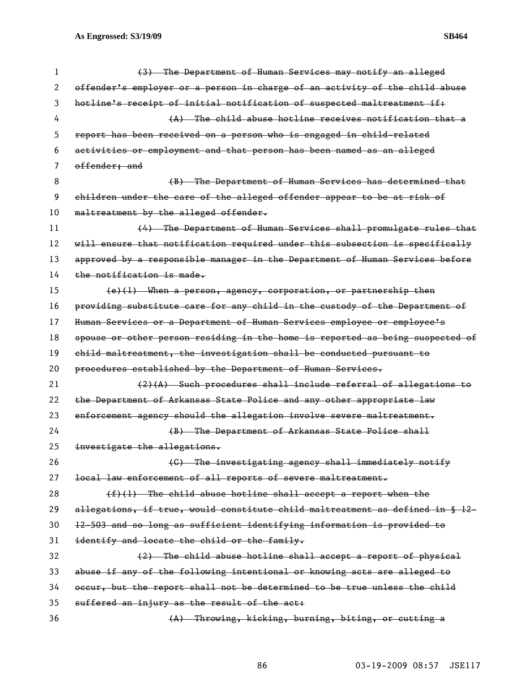| 1  | (3) The Department of Human Services may notify an alleged                    |
|----|-------------------------------------------------------------------------------|
| 2  | offender's employer or a person in charge of an activity of the child abuse   |
| 3  | hotline's receipt of initial notification of suspected maltreatment if:       |
| 4  | (A) The child abuse hotline receives notification that a                      |
| 5  | report has been received on a person who is engaged in child-related          |
| 6  | activities or employment and that person has been named as an alleged         |
| 7  | offender; and                                                                 |
| 8  | (B) The Department of Human Services has determined that                      |
| 9  | children under the care of the alleged offender appear to be at risk of       |
| 10 | maltreatment by the alleged offender.                                         |
| 11 | (4) The Department of Human Services shall promulgate rules that              |
| 12 | will ensure that notification required under this subsection is specifically  |
| 13 | approved by a responsible manager in the Department of Human Services before  |
| 14 | the notification is made.                                                     |
| 15 | $(e)$ (1) When a person, agency, corporation, or partnership then             |
| 16 | providing substitute care for any child in the custody of the Department of   |
| 17 | Human Services or a Department of Human Services employee or employee's       |
| 18 | spouse or other person residing in the home is reported as being suspected of |
| 19 | child maltreatment, the investigation shall be conducted pursuant to          |
| 20 | procedures established by the Department of Human Services.                   |
| 21 | $(2)$ (A) Such procedures shall include referral of allegations to            |
| 22 | the Department of Arkansas State Police and any other appropriate law         |
| 23 | enforcement agency should the allegation involve severe maltreatment.         |
| 24 | (B) The Department of Arkansas State Police shall                             |
| 25 | investigate the allegations.                                                  |
| 26 | (C) The investigating agency shall immediately notify                         |
| 27 | local law enforcement of all reports of severe maltreatment.                  |
| 28 | $(f)(1)$ The child abuse hotline shall accept a report when the               |
| 29 | allegations, if true, would constitute child maltreatment as defined in § 12- |
| 30 | 12-503 and so long as sufficient identifying information is provided to       |
| 31 | identify and locate the child or the family.                                  |
| 32 | (2) The child abuse hotline shall accept a report of physical                 |
| 33 | abuse if any of the following intentional or knowing acts are alleged to      |
| 34 | occur, but the report shall not be determined to be true unless the child     |
| 35 | suffered an injury as the result of the act:                                  |
| 36 | (A) Throwing, kicking, burning, biting, or cutting a                          |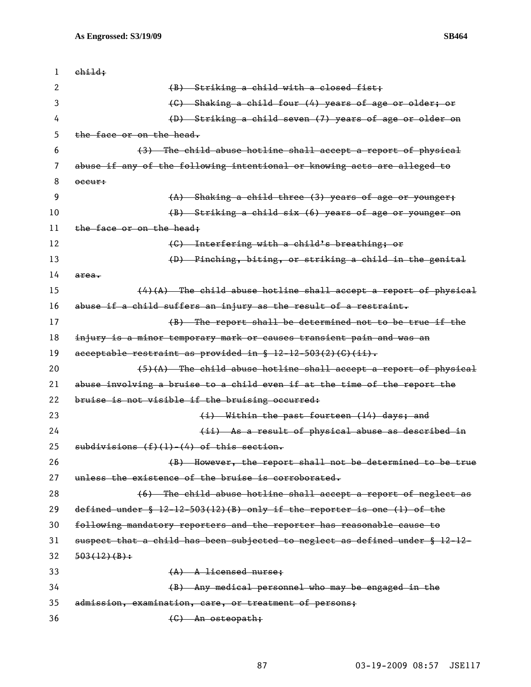$32 \quad 503(12)(B):$ 

33 (A) A licensed nurse;

36 (C) An osteopath;

35 admission, examination, care, or treatment of persons;

1 child; 2 (B) Striking a child with a closed fist. 3 (C) Shaking a child four (4) years of age or older; or 4 (D) Striking a child seven (7) years of age or older on 5 the face or on the head. 6 (3) The child abuse hotline shall accept a report of physical 7 abuse if any of the following intentional or knowing acts are alleged to 8 occur: 9 (A) Shaking a child three (3) years of age or younger; 10 **EXECUTE:** (B) Striking a child six (6) years of age or younger on 11 the face or on the head; 12 (C) Interfering with a child's breathing; or 13 (D) Pinching, biting, or striking a child in the genital  $14$   $area.$  $(4)(A)$  The child abuse hotline shall accept a report of physical 16 abuse if a child suffers an injury as the result of a restraint. 17 (B) The report shall be determined not to be true if the 18 injury is a minor temporary mark or causes transient pain and was an 19 acceptable restraint as provided in  $$12-12-503(2)(G)(ii)$ . 20  $(5)(A)$  The child abuse hotline shall accept a report of physical 21 abuse involving a bruise to a child even if at the time of the report the 22 bruise is not visible if the bruising occurred: 23 **(i)** Within the past fourteen (14) days; and 24 (ii) As a result of physical abuse as described in 25 subdivisions (f)(1)-(4) of this section. 26 (B) However, the report shall not be determined to be true 27 unless the existence of the bruise is corroborated. 28 (6) The child abuse hotline shall accept a report of neglect as 29 defined under  $\frac{6}{5}$  12-12-503(12)(B) only if the reporter is one (1) of the

30 following mandatory reporters and the reporter has reasonable cause to

34 (B) Any medical personnel who may be engaged in the

31 suspect that a child has been subjected to neglect as defined under § 12-12-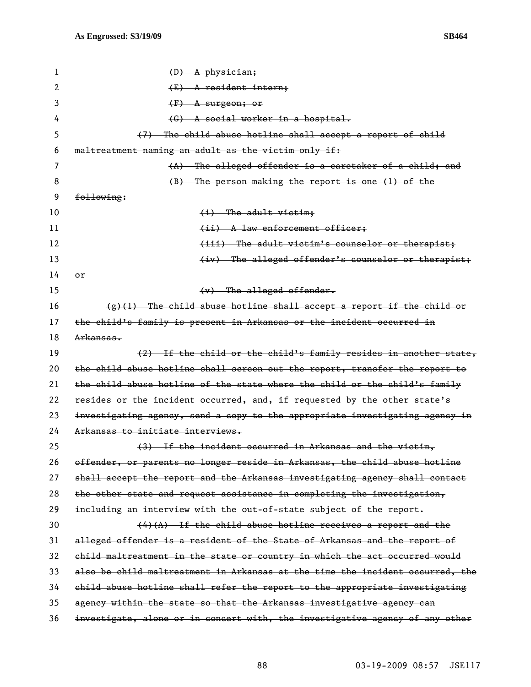1 (D) A physician; 2 (E) A resident intern; 3 (F) A surgeon; or 4 (G) A social worker in a hospital. 5 (7) The child abuse hotline shall accept a report of child 6 maltreatment naming an adult as the victim only if: 7 (A) The alleged offender is a caretaker of a child; and 8 (B) The person making the report is one (1) of the 9 following: 10 (i) The adult victim: 11 (ii) A law enforcement officer; 12 **12 Example 20** (iii) The adult victim's counselor or therapist; 13 (iv) The alleged offender's counselor or therapist;  $14$   $er$ 15 (v) The alleged offender. 16  $\left(\frac{1}{2}\right)$  The child abuse hotline shall accept a report if the child or 17 the child's family is present in Arkansas or the incident occurred in 18 Arkansas. 19 (2) If the child or the child's family resides in another state, 20 the child abuse hotline shall screen out the report, transfer the report to 21 the child abuse hotline of the state where the child or the child's family 22 resides or the incident occurred, and, if requested by the other state's 23 investigating agency, send a copy to the appropriate investigating agency in 24 Arkansas to initiate interviews. 25 (3) If the incident occurred in Arkansas and the victim, 26 offender, or parents no longer reside in Arkansas, the child abuse hotline 27 shall accept the report and the Arkansas investigating agency shall contact 28 the other state and request assistance in completing the investigation, 29 including an interview with the out-of-state subject of the report.  $30$  (4)(A) If the child abuse hotline receives a report and the 31 alleged offender is a resident of the State of Arkansas and the report of 32 child maltreatment in the state or country in which the act occurred would 33 also be child maltreatment in Arkansas at the time the incident occurred, the 34 child abuse hotline shall refer the report to the appropriate investigating 35 agency within the state so that the Arkansas investigative agency can 36 investigate, alone or in concert with, the investigative agency of any other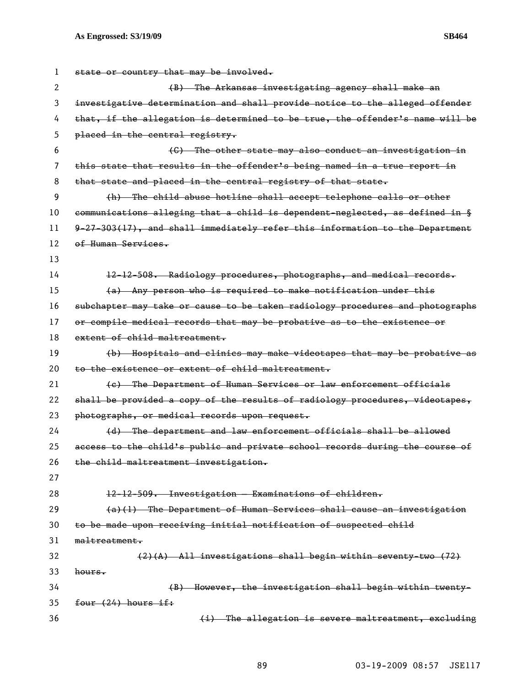| 1  | state or country that may be involved.                                        |
|----|-------------------------------------------------------------------------------|
| 2  | (B) The Arkansas investigating agency shall make an                           |
| 3  | investigative determination and shall provide notice to the alleged offender  |
| 4  | that, if the allegation is determined to be true, the offender's name will be |
| 5  | placed in the central registry.                                               |
| 6  | (C) The other state may also conduct an investigation in                      |
| 7  | this state that results in the offender's being named in a true report in     |
| 8  | that state and placed in the central registry of that state.                  |
| 9  | (h) The child abuse hotline shall accept telephone calls or other             |
| 10 | communications alleging that a child is dependent-neglected, as defined in §  |
| 11 | 9-27-303(17), and shall immediately refer this information to the Department  |
| 12 | of Human Services.                                                            |
| 13 |                                                                               |
| 14 | 12-12-508. Radiology procedures, photographs, and medical records.            |
| 15 | (a) Any person who is required to make notification under this                |
| 16 | subchapter may take or cause to be taken radiology procedures and photographs |
| 17 | or compile medical records that may be probative as to the existence or       |
| 18 | extent of child maltreatment.                                                 |
| 19 | (b) Hospitals and clinics may make videotapes that may be probative as        |
| 20 | to the existence or extent of child maltreatment.                             |
| 21 | (e) The Department of Human Services or law enforcement officials             |
| 22 | shall be provided a copy of the results of radiology procedures, videotapes,  |
| 23 | photographs, or medical records upon request.                                 |
| 24 | (d) The department and law enforcement officials shall be allowed             |
| 25 | access to the child's public and private school records during the course of  |
| 26 | the child maltreatment investigation.                                         |
| 27 |                                                                               |
| 28 | 12-12-509. Investigation - Examinations of children.                          |
| 29 | (a)(1) The Department of Human Services shall cause an investigation          |
| 30 | to be made upon receiving initial notification of suspected child             |
| 31 | $ma \texttt{t}$ reatment.                                                     |
| 32 | (2)(A) All investigations shall begin within seventy-two (72)                 |
| 33 | hours.                                                                        |
| 34 | (B) However, the investigation shall begin within twenty-                     |
| 35 | four (24) hours if:                                                           |
| 36 | (i) The allegation is severe maltreatment, excluding                          |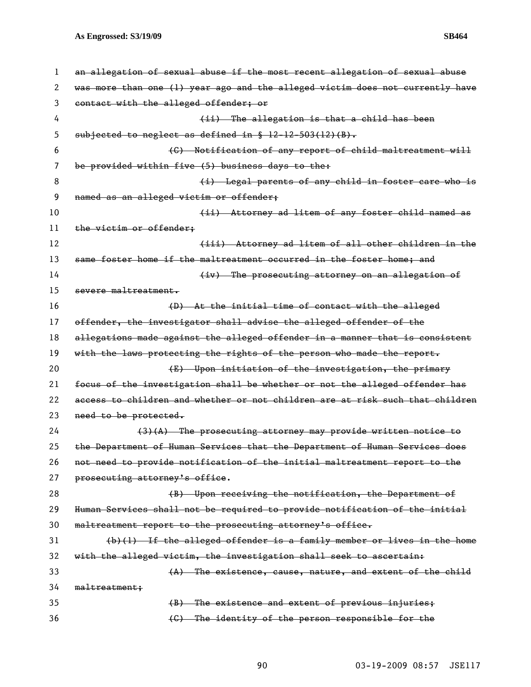| 1  | an allegation of sexual abuse if the most recent allegation of sexual abuse   |
|----|-------------------------------------------------------------------------------|
| 2  | was more than one (1) year ago and the alleged victim does not currently have |
| 3  | contact with the alleged offender; or                                         |
| 4  | (ii) The allegation is that a child has been                                  |
| 5  | subjected to neglect as defined in $\frac{1}{2}$ 12-12-503(12)(B).            |
| 6  | (C) Notification of any report of child maltreatment will                     |
| 7  | be provided within five (5) business days to the:                             |
| 8  | (i) Legal parents of any child in foster care who is                          |
| 9  | named as an alleged victim or offender;                                       |
| 10 | (ii) Attorney ad litem of any foster child named as                           |
| 11 | the victim or offender:                                                       |
| 12 | (iii) Attorney ad litem of all other children in the                          |
| 13 | same foster home if the maltreatment occurred in the foster home; and         |
| 14 | (iv) The prosecuting attorney on an allegation of                             |
| 15 | severe maltreatment.                                                          |
| 16 | (D) At the initial time of contact with the alleged                           |
| 17 | offender, the investigator shall advise the alleged offender of the           |
| 18 | allegations made against the alleged offender in a manner that is consistent  |
| 19 | with the laws protecting the rights of the person who made the report.        |
| 20 | (E) Upon initiation of the investigation, the primary                         |
| 21 | focus of the investigation shall be whether or not the alleged offender has   |
| 22 | access to children and whether or not children are at risk such that children |
| 23 | need to be protected.                                                         |
| 24 | $(3)$ (A) The prosecuting attorney may provide written notice to              |
| 25 | the Department of Human Services that the Department of Human Services does   |
| 26 | not need to provide notification of the initial maltreatment report to the    |
| 27 | prosecuting attorney's office.                                                |
| 28 | (B) Upon receiving the notification, the Department of                        |
| 29 | Human Services shall not be required to provide notification of the initial   |
| 30 | maltreatment report to the prosecuting attorney's office.                     |
| 31 | (b)(1) If the alleged offender is a family member or lives in the home        |
| 32 | with the alleged victim, the investigation shall seek to ascertain:           |
| 33 | $(A)$ The existence, cause, nature, and extent of the child                   |
| 34 | maltreatment;                                                                 |
| 35 | (B) The existence and extent of previous injuries;                            |
| 36 | (C) The identity of the person responsible for the                            |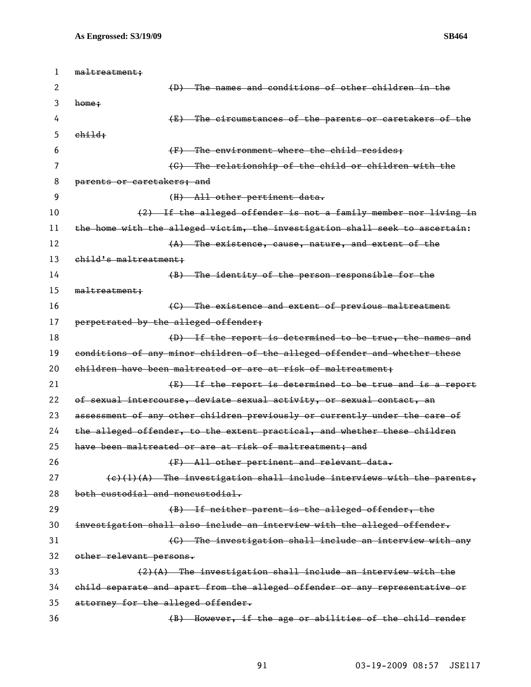| 1  | $ma \texttt{Iter}$                                                           |
|----|------------------------------------------------------------------------------|
| 2  | (D) The names and conditions of other children in the                        |
| 3  | home;                                                                        |
| 4  | (E) The circumstances of the parents or caretakers of the                    |
| 5  | $eh$ ild;                                                                    |
| 6  | $(F)$ The environment where the child resides;                               |
| 7  | (G) The relationship of the child or children with the                       |
| 8  | parents or caretakers; and                                                   |
| 9  | $(H)$ All other pertinent data.                                              |
| 10 | (2) If the alleged offender is not a family member nor living in             |
| 11 | the home with the alleged victim, the investigation shall seek to ascertain: |
| 12 | $(A)$ The existence, cause, nature, and extent of the                        |
| 13 | child's maltreatment;                                                        |
| 14 | (B) The identity of the person responsible for the                           |
| 15 | $ma \texttt{Iter}$                                                           |
| 16 | (C) The existence and extent of previous maltreatment                        |
| 17 | perpetrated by the alleged offender;                                         |
| 18 | (D) If the report is determined to be true, the names and                    |
| 19 | conditions of any minor children of the alleged offender and whether these   |
| 20 | children have been maltreated or are at risk of maltreatment+                |
| 21 | (E) If the report is determined to be true and is a report                   |
| 22 | of sexual intercourse, deviate sexual activity, or sexual contact, an        |
| 23 | assessment of any other children previously or currently under the care of   |
| 24 | the alleged offender, to the extent practical, and whether these children    |
| 25 | have been maltreated or are at risk of maltreatment; and                     |
| 26 | (F) All other pertinent and relevant data.                                   |
| 27 | $(e)$ (1)(A) The investigation shall include interviews with the parents,    |
| 28 | both custodial and noncustodial.                                             |
| 29 | (B) If neither parent is the alleged offender, the                           |
| 30 | investigation shall also include an interview with the alleged offender.     |
| 31 | (C) The investigation shall include an interview with any                    |
| 32 | other relevant persons.                                                      |
| 33 | $(2)$ $(A)$ The investigation shall include an interview with the            |
| 34 | child separate and apart from the alleged offender or any representative or  |
| 35 | attorney for the alleged offender.                                           |
| 36 | (B) However, if the age or abilities of the child render                     |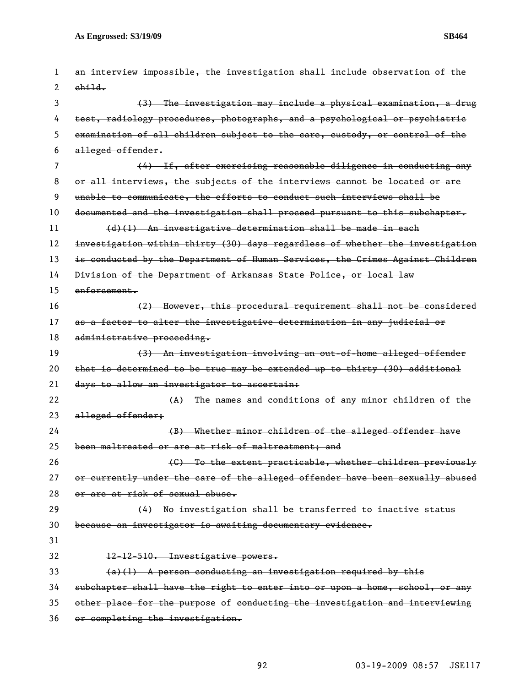| 1  | an interview impossible, the investigation shall include observation of the   |
|----|-------------------------------------------------------------------------------|
| 2  | ehild.                                                                        |
| 3  | (3) The investigation may include a physical examination, a drug              |
| 4  | test, radiology procedures, photographs, and a psychological or psychiatric   |
| 5  | examination of all children subject to the care, custody, or control of the   |
| 6  | alleged offender.                                                             |
| 7  | (4) If, after exercising reasonable diligence in conducting any               |
| 8  | or all interviews, the subjects of the interviews cannot be located or are    |
| 9  | unable to communicate, the efforts to conduct such interviews shall be        |
| 10 | documented and the investigation shall proceed pursuant to this subchapter.   |
| 11 | (d)(l) An investigative determination shall be made in each                   |
| 12 | investigation within thirty (30) days regardless of whether the investigation |
| 13 | is conducted by the Department of Human Services, the Crimes Against Children |
| 14 | Division of the Department of Arkansas State Police, or local law             |
| 15 | enforcement.                                                                  |
| 16 | (2) However, this procedural requirement shall not be considered              |
| 17 | as a factor to alter the investigative determination in any judicial or       |
| 18 | administrative proceeding.                                                    |
| 19 | (3) An investigation involving an out-of-home alleged offender                |
| 20 | that is determined to be true may be extended up to thirty (30) additional    |
| 21 | days to allow an investigator to ascertain:                                   |
| 22 | (A) The names and conditions of any minor children of the                     |
| 23 | alleged offender;                                                             |
| 24 | (B) Whether minor children of the alleged offender have                       |
| 25 | been maltreated or are at risk of maltreatment; and                           |
| 26 | (C) To the extent practicable, whether children previously                    |
| 27 | or currently under the care of the alleged offender have been sexually abused |
| 28 | or are at risk of sexual abuse.                                               |
| 29 | (4) No investigation shall be transferred to inactive status                  |
| 30 | because an investigator is awaiting documentary evidence.                     |
| 31 |                                                                               |
| 32 | 12-12-510. Investigative powers.                                              |
| 33 | $(a)$ (1) A person conducting an investigation required by this               |
| 34 | subchapter shall have the right to enter into or upon a home, school, or any  |
| 35 | other place for the purpose of conducting the investigation and interviewing  |
| 36 | or completing the investigation.                                              |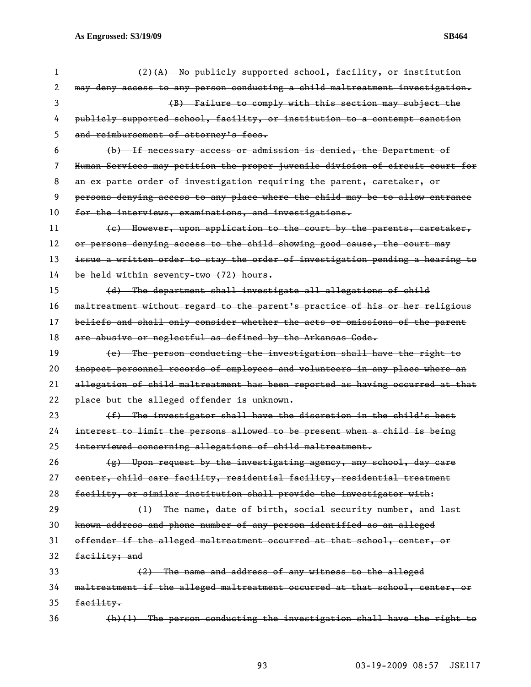| 1  | $(2)$ (A) No publicly supported school, facility, or institution              |
|----|-------------------------------------------------------------------------------|
| 2  | may deny access to any person conducting a child maltreatment investigation.  |
| 3  | (B) Failure to comply with this section may subject the                       |
| 4  | publicly supported school, facility, or institution to a contempt sanction    |
| 5  | and reimbursement of attorney's fees.                                         |
| 6  | (b) If necessary access or admission is denied, the Department of             |
| 7  | Human Services may petition the proper juvenile division of circuit court for |
| 8  | an ex parte order of investigation requiring the parent, caretaker, or        |
| 9  | persons denying access to any place where the child may be to allow entrance  |
| 10 | for the interviews, examinations, and investigations.                         |
| 11 | (e) However, upon application to the court by the parents, caretaker,         |
| 12 | or persons denying access to the child showing good cause, the court may      |
| 13 | issue a written order to stay the order of investigation pending a hearing to |
| 14 | be held within seventy-two (72) hours.                                        |
| 15 | (d) The department shall investigate all allegations of child                 |
| 16 | maltreatment without regard to the parent's practice of his or her religious  |
| 17 | beliefs and shall only consider whether the acts or omissions of the parent   |
| 18 | are abusive or neglectful as defined by the Arkansas Code.                    |
| 19 | (e) The person conducting the investigation shall have the right to           |
| 20 | inspect personnel records of employees and volunteers in any place where an   |
| 21 | allegation of child maltreatment has been reported as having occurred at that |
| 22 | place but the alleged offender is unknown.                                    |
| 23 | (f) The investigator shall have the discretion in the child's best            |
| 24 | interest to limit the persons allowed to be present when a child is being     |
| 25 | interviewed concerning allegations of child maltreatment.                     |
| 26 | $(g)$ Upon request by the investigating agency, any school, day care          |
| 27 | center, child care facility, residential facility, residential treatment      |
| 28 | facility, or similar institution shall provide the investigator with:         |
| 29 | (1) The name, date of birth, social security number, and last                 |
| 30 | known address and phone number of any person identified as an alleged         |
| 31 | offender if the alleged maltreatment occurred at that school, center, or      |
| 32 | facility; and                                                                 |
| 33 | (2) The name and address of any witness to the alleged                        |
| 34 | maltreatment if the alleged maltreatment occurred at that school, center, or  |
| 35 | facility.                                                                     |
| 36 | $(h)(1)$ The person conducting the investigation shall have the right to      |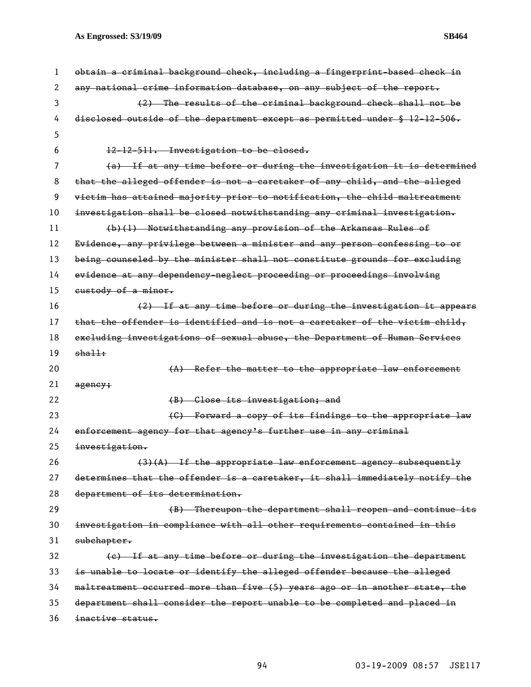| 1  | obtain a criminal background check, including a fingerprint-based check in   |
|----|------------------------------------------------------------------------------|
| 2  | any national crime information database, on any subject of the report.       |
| 3  | (2) The results of the criminal background check shall not be                |
| 4  | disclosed outside of the department except as permitted under $$12-12-506$ . |
| 5  |                                                                              |
| 6  | 12-12-511. Investigation to be closed.                                       |
| 7  | (a) If at any time before or during the investigation it is determined       |
| 8  | that the alleged offender is not a caretaker of any child, and the alleged   |
| 9  | victim has attained majority prior to notification, the child maltreatment   |
| 10 | investigation shall be closed notwithstanding any criminal investigation.    |
| 11 | (b)(1) Notwithstanding any provision of the Arkansas Rules of                |
| 12 | Evidence, any privilege between a minister and any person confessing to or   |
| 13 | being counseled by the minister shall not constitute grounds for excluding   |
| 14 | evidence at any dependency-neglect proceeding or proceedings involving       |
| 15 | eustody of a minor.                                                          |
| 16 | (2) If at any time before or during the investigation it appears             |
| 17 | that the offender is identified and is not a caretaker of the victim child,  |
| 18 | excluding investigations of sexual abuse, the Department of Human Services   |
| 19 | sha11.                                                                       |
| 20 | $(A)$ Refer the matter to the appropriate law enforcement                    |
| 21 | agency;                                                                      |
| 22 | (B) Close its investigation; and                                             |
| 23 | (C) Forward a copy of its findings to the appropriate law                    |
| 24 | enforcement agency for that agency's further use in any criminal             |
| 25 | investigation.                                                               |
| 26 | (3)(A) If the appropriate law enforcement agency subsequently                |
| 27 | determines that the offender is a caretaker, it shall immediately notify the |
| 28 | department of its determination.                                             |
| 29 | (B) Thereupon the department shall reopen and continue its                   |
| 30 | investigation in compliance with all other requirements contained in this    |
| 31 | subchapter.                                                                  |
| 32 | (e) If at any time before or during the investigation the department         |
| 33 | is unable to locate or identify the alleged offender because the alleged     |
| 34 | maltreatment occurred more than five (5) years ago or in another state, the  |
| 35 | department shall consider the report unable to be completed and placed in    |
| 36 | inactive status.                                                             |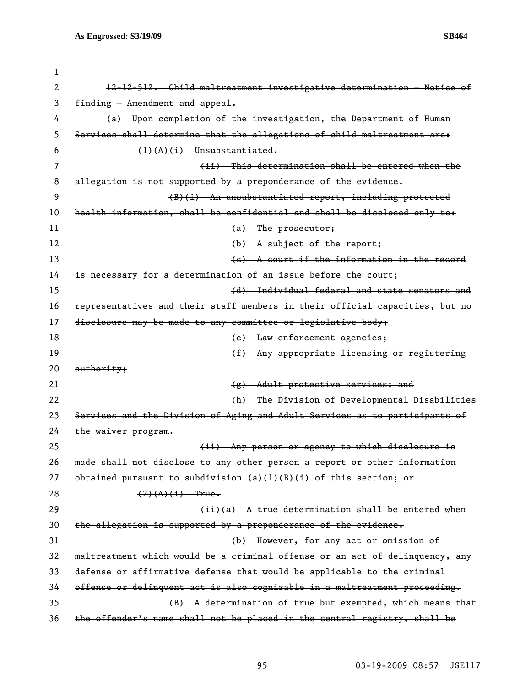| 1  |                                                                              |
|----|------------------------------------------------------------------------------|
| 2  | 12-12-512. Child maltreatment investigative determination - Notice of        |
| 3  | $finding$ - Amendment and appeal.                                            |
| 4  | (a) Upon completion of the investigation, the Department of Human            |
| 5  | Services shall determine that the allegations of child maltreatment are:     |
| 6  | $(1)$ $(A)$ $(i)$ Unsubstantiated.                                           |
| 7  | (ii) This determination shall be entered when the                            |
| 8  | allegation is not supported by a preponderance of the evidence.              |
| 9  | (B)(i) An unsubstantiated report, including protected                        |
| 10 | health information, shall be confidential and shall be disclosed only to:    |
| 11 | $(a)$ The prosecutor;                                                        |
| 12 | $(b)$ A subject of the report;                                               |
| 13 | (e) A court if the information in the record                                 |
| 14 | is necessary for a determination of an issue before the court;               |
| 15 | (d) Individual federal and state senators and                                |
| 16 | representatives and their staff members in their official capacities, but no |
| 17 | disclosure may be made to any committee or legislative body;                 |
| 18 | (e) Law enforcement agencies;                                                |
| 19 | (f) Any appropriate licensing or registering                                 |
| 20 | authority;                                                                   |
| 21 | (g) Adult protective services; and                                           |
| 22 | (h) The Division of Developmental Disabilities                               |
| 23 | Services and the Division of Aging and Adult Services as to participants of  |
| 24 | the waiver program.                                                          |
| 25 | (ii) Any person or agency to which disclosure is                             |
| 26 | made shall not disclose to any other person a report or other information    |
| 27 | obtained pursuant to subdivision $(a)(1)(B)(i)$ of this section; or          |
| 28 | $(2)$ $(A)$ $(i)$ True.                                                      |
| 29 | $(ii)(a)$ A true determination shall be entered when                         |
| 30 | the allegation is supported by a preponderance of the evidence.              |
| 31 | (b) However, for any act or omission of                                      |
| 32 | maltreatment which would be a criminal offense or an act of delinquency, any |
| 33 | defense or affirmative defense that would be applicable to the criminal      |
| 34 | offense or delinquent act is also cognizable in a maltreatment proceeding.   |
| 35 | (B) A determination of true but exempted, which means that                   |
| 36 | the offender's name shall not be placed in the central registry, shall be    |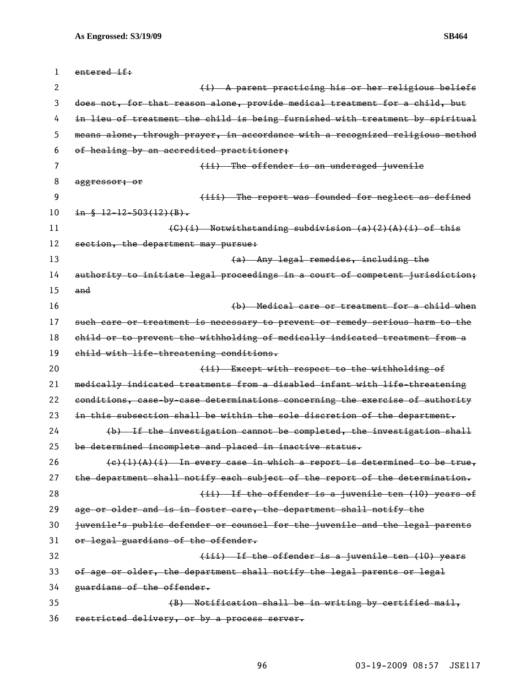| 1  | entered if:                                                                   |
|----|-------------------------------------------------------------------------------|
| 2  | (i) A parent practicing his or her religious beliefs                          |
| 3  | does not, for that reason alone, provide medical treatment for a child, but   |
| 4  | in lieu of treatment the child is being furnished with treatment by spiritual |
| 5  | means alone, through prayer, in accordance with a recognized religious method |
| 6  | of healing by an accredited practitioner;                                     |
| 7  | (ii) The offender is an underaged juvenile                                    |
| 8  | aggressor; or                                                                 |
| 9  | (iii) The report was founded for neglect as defined                           |
| 10 | $\frac{1}{2}$ $\frac{12-12-503(12)(B)}{B}$ .                                  |
| 11 | $(G)$ (i) Notwithstanding subdivision (a)(2)(A)(i) of this                    |
| 12 | section, the department may pursue:                                           |
| 13 | (a) Any legal remedies, including the                                         |
| 14 | authority to initiate legal proceedings in a court of competent jurisdiction; |
| 15 | and                                                                           |
| 16 | (b) Medical care or treatment for a child when                                |
| 17 | such care or treatment is necessary to prevent or remedy serious harm to the  |
| 18 | child or to prevent the withholding of medically indicated treatment from a   |
| 19 | child with life-threatening conditions.                                       |
| 20 | (ii) Except with respect to the withholding of                                |
| 21 | medically indicated treatments from a disabled infant with life-threatening   |
| 22 | conditions, case by case determinations concerning the exercise of authority  |
| 23 | in this subsection shall be within the sole discretion of the department.     |
| 24 | (b) If the investigation cannot be completed, the investigation shall         |
| 25 | be determined incomplete and placed in inactive status.                       |
| 26 | $(e)$ (1)(A)(i) In every case in which a report is determined to be true,     |
| 27 | the department shall notify each subject of the report of the determination.  |
| 28 | (ii) If the offender is a juvenile ten (10) years of                          |
| 29 | age or older and is in foster care, the department shall notify the           |
| 30 | juvenile's public defender or counsel for the juvenile and the legal parents  |
| 31 | or legal guardians of the offender.                                           |
| 32 | (iii) If the offender is a juvenile ten (10) years                            |
| 33 | of age or older, the department shall notify the legal parents or legal       |
| 34 | guardians of the offender.                                                    |
| 35 | (B) Notification shall be in writing by certified mail,                       |
| 36 | restricted delivery, or by a process server.                                  |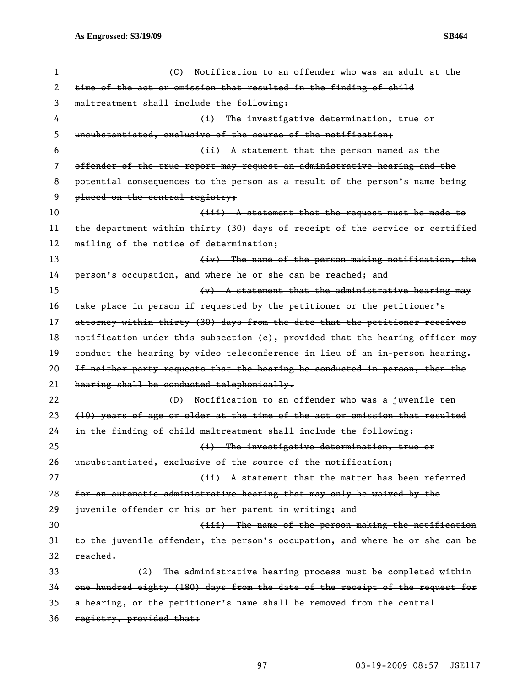| 1  | (C) Notification to an offender who was an adult at the                       |
|----|-------------------------------------------------------------------------------|
| 2  | time of the act or omission that resulted in the finding of child             |
| 3  | maltreatment shall include the following:                                     |
| 4  | $(i)$ The investigative determination, true or                                |
| 5  | unsubstantiated, exclusive of the source of the notification;                 |
| 6  | (ii) A statement that the person named as the                                 |
| 7  | offender of the true report may request an administrative hearing and the     |
| 8  | potential consequences to the person as a result of the person's name being   |
| 9  | placed on the central registry;                                               |
| 10 | (iii) A statement that the request must be made to                            |
| 11 | the department within thirty (30) days of receipt of the service or certified |
| 12 | mailing of the notice of determination;                                       |
| 13 | (iv) The name of the person making notification, the                          |
| 14 | person's occupation, and where he or she can be reached; and                  |
| 15 | (v) A statement that the administrative hearing may                           |
| 16 | take place in person if requested by the petitioner or the petitioner's       |
| 17 | attorney within thirty (30) days from the date that the petitioner receives   |
| 18 | notification under this subsection (c), provided that the hearing officer may |
| 19 | conduct the hearing by video teleconference in lieu of an in-person hearing.  |
| 20 | If neither party requests that the hearing be conducted in person, then the   |
| 21 | hearing shall be conducted telephonically.                                    |
| 22 | (D) Notification to an offender who was a juvenile ten                        |
| 23 | (10) years of age or older at the time of the act or omission that resulted   |
| 24 | in the finding of child maltreatment shall include the following:             |
| 25 | (i) The investigative determination, true or                                  |
| 26 | unsubstantiated, exclusive of the source of the notification;                 |
| 27 | (ii) A statement that the matter has been referred                            |
| 28 | for an automatic administrative hearing that may only be waived by the        |
| 29 | juvenile offender or his or her parent in writing; and                        |
| 30 | (iii) The name of the person making the notification                          |
| 31 | to the juvenile offender, the person's occupation, and where he or she can be |
| 32 | reached.                                                                      |
| 33 | (2) The administrative hearing process must be completed within               |
| 34 | one hundred eighty (180) days from the date of the receipt of the request for |
| 35 | a hearing, or the petitioner's name shall be removed from the central         |
| 36 | registry, provided that:                                                      |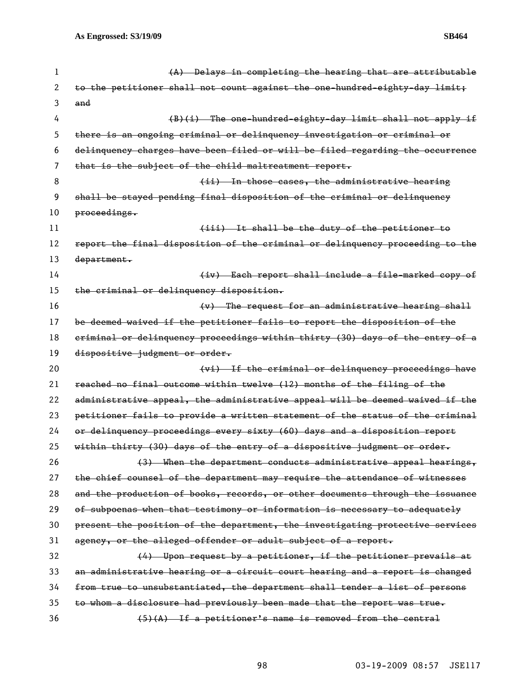| 1  | (A) Delays in completing the hearing that are attributable                    |
|----|-------------------------------------------------------------------------------|
| 2  | to the petitioner shall not count against the one-hundred-eighty-day limit;   |
| 3  | and                                                                           |
| 4  | (B)(i) The one-hundred-eighty-day limit shall not apply if                    |
| 5  | there is an ongoing criminal or delinquency investigation or criminal or      |
| 6  | delinquency charges have been filed or will be filed regarding the occurrence |
| 7  | that is the subject of the child maltreatment report.                         |
| 8  | (ii) In those cases, the administrative hearing                               |
| 9  | shall be stayed pending final disposition of the criminal or delinquency      |
| 10 | proceedings.                                                                  |
| 11 | (iii) It shall be the duty of the petitioner to                               |
| 12 | report the final disposition of the criminal or delinquency proceeding to the |
| 13 | department.                                                                   |
| 14 | (iv) Each report shall include a file-marked copy of                          |
| 15 | the criminal or delinquency disposition.                                      |
| 16 | $(v)$ The request for an administrative hearing shall                         |
| 17 | be deemed waived if the petitioner fails to report the disposition of the     |
| 18 | eriminal or delinquency proceedings within thirty (30) days of the entry of a |
| 19 | dispositive judgment or order.                                                |
| 20 | (vi) If the criminal or delinquency proceedings have                          |
| 21 | reached no final outcome within twelve (12) months of the filing of the       |
| 22 | administrative appeal, the administrative appeal will be deemed waived if the |
| 23 | petitioner fails to provide a written statement of the status of the criminal |
| 24 | or delinquency proceedings every sixty (60) days and a disposition report     |
| 25 | within thirty (30) days of the entry of a dispositive judgment or order.      |
| 26 | (3) When the department conducts administrative appeal hearings,              |
| 27 | the chief counsel of the department may require the attendance of witnesses   |
| 28 | and the production of books, records, or other documents through the issuance |
| 29 | of subpoenas when that testimony or information is necessary to adequately    |
| 30 | present the position of the department, the investigating protective services |
| 31 | agency, or the alleged offender or adult subject of a report.                 |
| 32 | (4) Upon request by a petitioner, if the petitioner prevails at               |
| 33 | an administrative hearing or a circuit court hearing and a report is changed  |
| 34 | from true to unsubstantiated, the department shall tender a list of persons   |
| 35 | to whom a disclosure had previously been made that the report was true.       |
| 36 | $(5)(A)$ If a petitioner's name is removed from the central                   |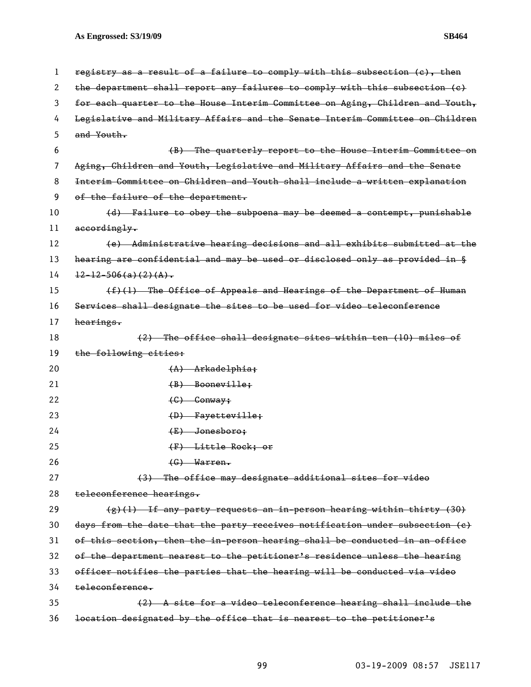| 1  | registry as a result of a failure to comply with this subsection (c), then    |
|----|-------------------------------------------------------------------------------|
| 2  | the department shall report any failures to comply with this subsection (e)   |
| 3  | for each quarter to the House Interim Committee on Aging, Children and Youth, |
| 4  | Legislative and Military Affairs and the Senate Interim Committee on Children |
| 5  | and Youth.                                                                    |
| 6  | (B) The quarterly report to the House Interim Committee on                    |
| 7  | Aging, Children and Youth, Legislative and Military Affairs and the Senate    |
| 8  | Interim Committee on Children and Youth shall include a written explanation   |
| 9  | of the failure of the department.                                             |
| 10 | (d) Failure to obey the subpoena may be deemed a contempt, punishable         |
| 11 | accordingly.                                                                  |
| 12 | (e) Administrative hearing decisions and all exhibits submitted at the        |
| 13 | hearing are confidential and may be used or disclosed only as provided in §   |
| 14 | $12 - 12 - 506$ (a) (2) (A).                                                  |
| 15 | (f)(1) The Office of Appeals and Hearings of the Department of Human          |
| 16 | Services shall designate the sites to be used for video teleconference        |
| 17 | hearings.                                                                     |
| 18 | (2) The office shall designate sites within ten (10) miles of                 |
| 19 | the following cities:                                                         |
| 20 | $(A)$ Arkadelphia;                                                            |
| 21 | $(B)$ Booneville;                                                             |
| 22 | $(G)$ Conway;                                                                 |
| 23 | $(D)$ Fayetteville;                                                           |
| 24 | $(E)$ Jonesboro;                                                              |
| 25 | (F) Little Rock; or                                                           |
| 26 | $(G)$ Warren.                                                                 |
| 27 | (3) The office may designate additional sites for video                       |
| 28 | teleconference hearings.                                                      |
| 29 | (g)(1) If any party requests an in-person hearing within thirty (30)          |
| 30 | days from the date that the party receives notification under subsection (c)  |
| 31 | of this section, then the in-person hearing shall be conducted in an office   |
| 32 | of the department nearest to the petitioner's residence unless the hearing    |
| 33 | officer notifies the parties that the hearing will be conducted via video     |
| 34 | teleconference.                                                               |
| 35 | (2) A site for a video teleconference hearing shall include the               |
| 36 | location designated by the office that is nearest to the petitioner's         |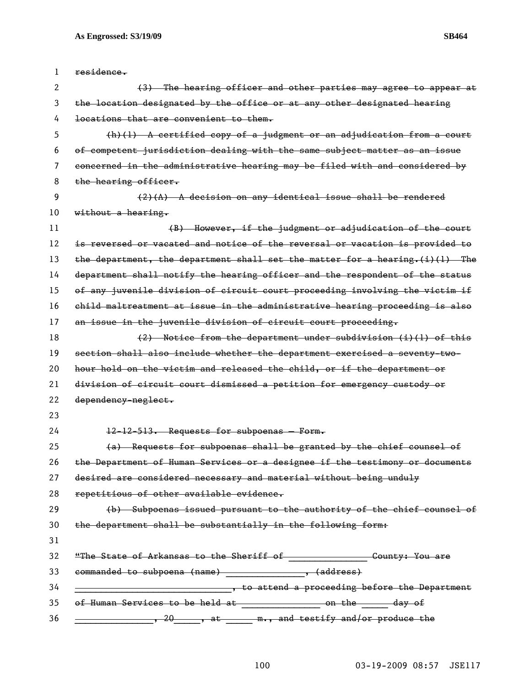| 1  | residence.                                                                       |
|----|----------------------------------------------------------------------------------|
| 2  | (3) The hearing officer and other parties may agree to appear at                 |
| 3  | the location designated by the office or at any other designated hearing         |
| 4  | locations that are convenient to them.                                           |
| 5  | $(h)(1)$ A certified copy of a judgment or an adjudication from a court          |
| 6  | of competent jurisdiction dealing with the same subject matter as an issue       |
| 7  | concerned in the administrative hearing may be filed with and considered by      |
| 8  | the hearing officer.                                                             |
| 9  | $(2)$ $(A)$ A decision on any identical issue shall be rendered                  |
| 10 | without a hearing.                                                               |
| 11 | (B) However, if the judgment or adjudication of the court                        |
| 12 | is reversed or vacated and notice of the reversal or vacation is provided to     |
| 13 | the department, the department shall set the matter for a hearing. $(i)$ (1) The |
| 14 | department shall notify the hearing officer and the respondent of the status     |
| 15 | of any juvenile division of circuit court proceeding involving the victim if     |
| 16 | child maltreatment at issue in the administrative hearing proceeding is also     |
| 17 | an issue in the juvenile division of circuit court proceeding.                   |
| 18 | (2) Notice from the department under subdivision (i)(1) of this                  |
| 19 | section shall also include whether the department exercised a seventy-two-       |
| 20 | hour hold on the victim and released the child, or if the department or          |
| 21 | division of circuit court dismissed a petition for emergency custody or          |
| 22 | dependency-neglect.                                                              |
| 23 |                                                                                  |
| 24 | 12-12-513. Requests for subpoenas - Form.                                        |
| 25 | (a) Requests for subpoenas shall be granted by the chief counsel of              |
| 26 | the Department of Human Services or a designee if the testimony or documents     |
| 27 | desired are considered necessary and material without being unduly               |
| 28 | repetitious of other available evidence.                                         |
| 29 | (b) Subpoenas issued pursuant to the authority of the chief counsel of           |
| 30 | the department shall be substantially in the following form:                     |
| 31 |                                                                                  |
| 32 | "The State of Arkansas to the Sheriff of County: You are                         |
| 33 | commanded to subpoena (name) (address)                                           |
| 34 | <b>1200</b> , to attend a proceeding before the Department                       |
| 35 | of Human Services to be held at <b>come on the day of</b>                        |
| 36 | , 20 , at m., and testify and/or produce the                                     |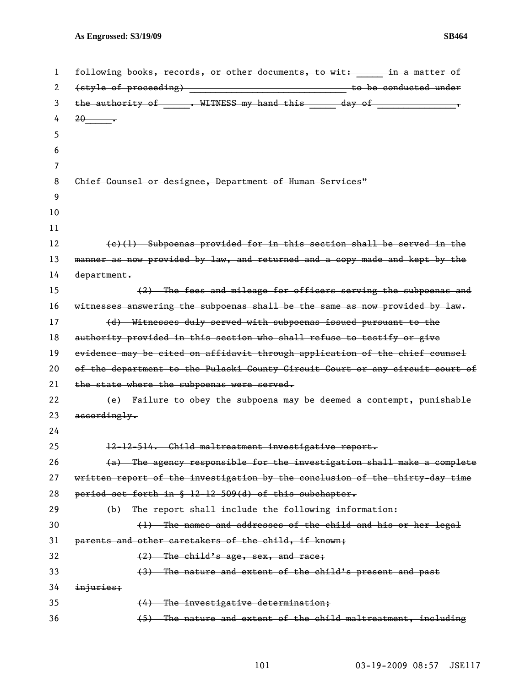| 1  | following books, records, or other documents, to wit: in a matter of             |
|----|----------------------------------------------------------------------------------|
| 2  |                                                                                  |
| 3  | the authority of _____. WITNESS my hand this ______ day of _____________________ |
| 4  | $20$ $\cdot$                                                                     |
| 5  |                                                                                  |
| 6  |                                                                                  |
| 7  |                                                                                  |
| 8  | Chief Counsel or designee, Department of Human Services"                         |
| 9  |                                                                                  |
| 10 |                                                                                  |
| 11 |                                                                                  |
| 12 | (c)(1) Subpoenas provided for in this section shall be served in the             |
| 13 | manner as now provided by law, and returned and a copy made and kept by the      |
| 14 | department.                                                                      |
| 15 | (2) The fees and mileage for officers serving the subpoenas and                  |
| 16 | witnesses answering the subpoenas shall be the same as now provided by law.      |
| 17 | (d) Witnesses duly served with subpoenas issued pursuant to the                  |
| 18 | authority provided in this section who shall refuse to testify or give           |
| 19 | evidence may be cited on affidavit through application of the chief counsel      |
| 20 | of the department to the Pulaski County Circuit Court or any circuit court of    |
| 21 | the state where the subpoenas were served.                                       |
| 22 | (e) Failure to obey the subpoena may be deemed a contempt, punishable            |
| 23 | accordingly.                                                                     |
| 24 |                                                                                  |
| 25 | 12-12-514. Child maltreatment investigative report.                              |
| 26 | (a) The agency responsible for the investigation shall make a complete           |
| 27 | written report of the investigation by the conclusion of the thirty-day time     |
| 28 | period set forth in § 12-12-509(d) of this subchapter.                           |
| 29 | (b) The report shall include the following information:                          |
| 30 | (1) The names and addresses of the child and his or her legal                    |
| 31 | parents and other caretakers of the child, if known;                             |
| 32 | (2) The child's age, sex, and race;                                              |
| 33 | (3) The nature and extent of the child's present and past                        |
| 34 | injuries;                                                                        |
| 35 | (4) The investigative determination;                                             |
| 36 | The nature and extent of the child maltreatment, including<br>$\left(5\right)$   |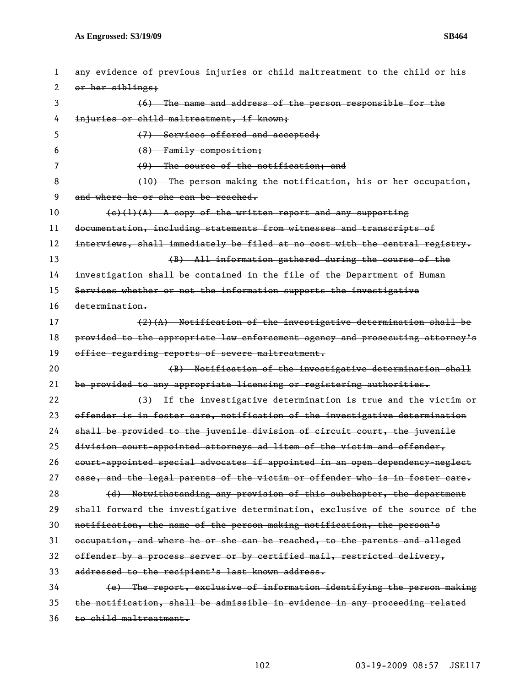| 1  | any evidence of previous injuries or child maltreatment to the child or his   |
|----|-------------------------------------------------------------------------------|
| 2  | or her siblings;                                                              |
| 3  | (6) The name and address of the person responsible for the                    |
| 4  | injuries or child maltreatment, if known;                                     |
| 5  | (7) Services offered and accepted;                                            |
| 6  | (8) Family composition;                                                       |
| 7  | (9) The source of the notification; and                                       |
| 8  | (10) The person making the notification, his or her occupation,               |
| 9  | and where he or she can be reached.                                           |
| 10 | $(e)$ (1)(A) A copy of the written report and any supporting                  |
| 11 | documentation, including statements from witnesses and transcripts of         |
| 12 | interviews, shall immediately be filed at no cost with the central registry.  |
| 13 | (B) All information gathered during the course of the                         |
| 14 | investigation shall be contained in the file of the Department of Human       |
| 15 | Services whether or not the information supports the investigative            |
| 16 | determination.                                                                |
| 17 | $(2)$ (A) Notification of the investigative determination shall be            |
| 18 | provided to the appropriate law enforcement agency and prosecuting attorney's |
| 19 | office regarding reports of severe maltreatment.                              |
| 20 | (B) Notification of the investigative determination shall                     |
| 21 | be provided to any appropriate licensing or registering authorities.          |
| 22 | (3) If the investigative determination is true and the victim or              |
| 23 | offender is in foster care, notification of the investigative determination   |
| 24 | shall be provided to the juvenile division of circuit court, the juvenile     |
| 25 | division court-appointed attorneys ad litem of the victim and offender,       |
| 26 | court-appointed special advocates if appointed in an open dependency-neglect  |
| 27 | ease, and the legal parents of the victim or offender who is in foster care.  |
| 28 | (d) Notwithstanding any provision of this subchapter, the department          |
| 29 | shall forward the investigative determination, exclusive of the source of the |
| 30 | notification, the name of the person making notification, the person's        |
| 31 | occupation, and where he or she can be reached, to the parents and alleged    |
| 32 |                                                                               |
|    | offender by a process server or by certified mail, restricted delivery,       |
| 33 | addressed to the recipient's last known address.                              |
| 34 | (e) The report, exclusive of information identifying the person making        |
| 35 | the notification, shall be admissible in evidence in any proceeding related   |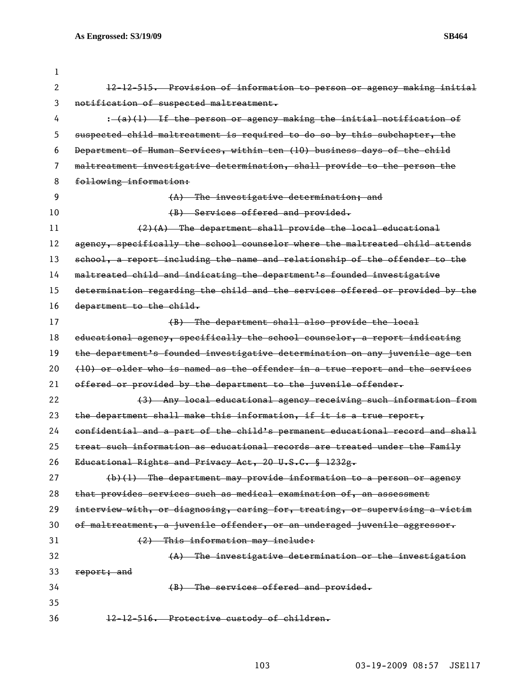| 1  |                                                                               |
|----|-------------------------------------------------------------------------------|
| 2  | 12-12-515. Provision of information to person or agency making initial        |
| 3  | notification of suspected maltreatment.                                       |
| 4  | $:-(a)(1)$ If the person or agency making the initial notification of         |
| 5  | suspected child maltreatment is required to do so by this subchapter, the     |
| 6  | Department of Human Services, within ten (10) business days of the child      |
| 7  | maltreatment investigative determination, shall provide to the person the     |
| 8  | following information:                                                        |
| 9  | $(A)$ The investigative determination; and                                    |
| 10 | (B) Services offered and provided.                                            |
| 11 | $(2)$ $(A)$ The department shall provide the local educational                |
| 12 | agency, specifically the school counselor where the maltreated child attends  |
| 13 | school, a report including the name and relationship of the offender to the   |
| 14 | maltreated child and indicating the department's founded investigative        |
| 15 | determination regarding the child and the services offered or provided by the |
| 16 | department to the child.                                                      |
| 17 | (B) The department shall also provide the local                               |
| 18 | educational agency, specifically the school counselor, a report indicating    |
| 19 | the department's founded investigative determination on any juvenile age ten  |
| 20 | (10) or older who is named as the offender in a true report and the services  |
| 21 | offered or provided by the department to the juvenile offender.               |
| 22 | (3) Any local educational agency receiving such information from              |
| 23 | the department shall make this information, if it is a true report,           |
| 24 | confidential and a part of the child's permanent educational record and shall |
| 25 | treat such information as educational records are treated under the Family    |
| 26 | Educational Rights and Privacy Act, 20 U.S.C. § 1232g.                        |
| 27 | (b)(1) The department may provide information to a person or agency           |
| 28 | that provides services such as medical examination of, an assessment          |
| 29 | interview with, or diagnosing, caring for, treating, or supervising a victim  |
| 30 | of maltreatment, a juvenile offender, or an underaged juvenile aggressor.     |
| 31 | (2) This information may include:                                             |
| 32 | (A) The investigative determination or the investigation                      |
| 33 | report; and                                                                   |
| 34 | (B) The services offered and provided.                                        |
| 35 |                                                                               |
| 36 | 12-12-516. Protective custody of children.                                    |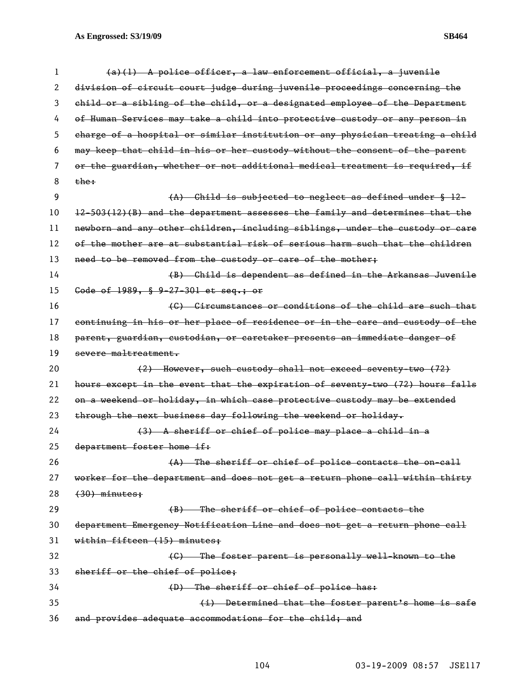| 1  | $(a)(1)$ A police officer, a law enforcement official, a juvenile              |
|----|--------------------------------------------------------------------------------|
| 2  | division of circuit court judge during juvenile proceedings concerning the     |
| 3  | child or a sibling of the child, or a designated employee of the Department    |
| 4  | of Human Services may take a child into protective custody or any person in    |
| 5  | charge of a hospital or similar institution or any physician treating a child  |
| 6  | may keep that child in his or her custody without the consent of the parent    |
| 7  | or the guardian, whether or not additional medical treatment is required, if   |
| 8  | the:                                                                           |
| 9  | (A) Child is subjected to neglect as defined under § 12-                       |
| 10 | $12-503(12)(B)$ and the department assesses the family and determines that the |
| 11 | newborn and any other children, including siblings, under the custody or care  |
| 12 | of the mother are at substantial risk of serious harm such that the children   |
| 13 | need to be removed from the custody or care of the mother;                     |
| 14 | (B) Child is dependent as defined in the Arkansas Juvenile                     |
| 15 | Code of 1989, § 9-27-301 et seq.; or                                           |
| 16 | (C) Circumstances or conditions of the child are such that                     |
| 17 | continuing in his or her place of residence or in the care and custody of the  |
| 18 | parent, guardian, custodian, or caretaker presents an immediate danger of      |
| 19 | severe maltreatment.                                                           |
| 20 | (2) However, such custody shall not exceed seventy two (72)                    |
| 21 | hours except in the event that the expiration of seventy-two (72) hours falls  |
| 22 | on a weekend or holiday, in which case protective custody may be extended      |
| 23 | through the next business day following the weekend or holiday.                |
| 24 | (3) A sheriff or chief of police may place a child in a                        |
| 25 | department foster home if:                                                     |
| 26 | (A) The sheriff or chief of police contacts the on-call                        |
| 27 | worker for the department and does not get a return phone call within thirty   |
| 28 | $(30)$ minutes;                                                                |
| 29 | (B) The sheriff or chief of police contacts the                                |
| 30 | department Emergency Notification Line and does not get a return phone call    |
| 31 | within fifteen (15) minutes;                                                   |
| 32 | (C) The foster parent is personally well-known to the                          |
| 33 | sheriff or the chief of police;                                                |
| 34 | (D) The sheriff or chief of police has:                                        |
| 35 | (i) Determined that the foster parent's home is safe                           |
| 36 | and provides adequate accommodations for the child; and                        |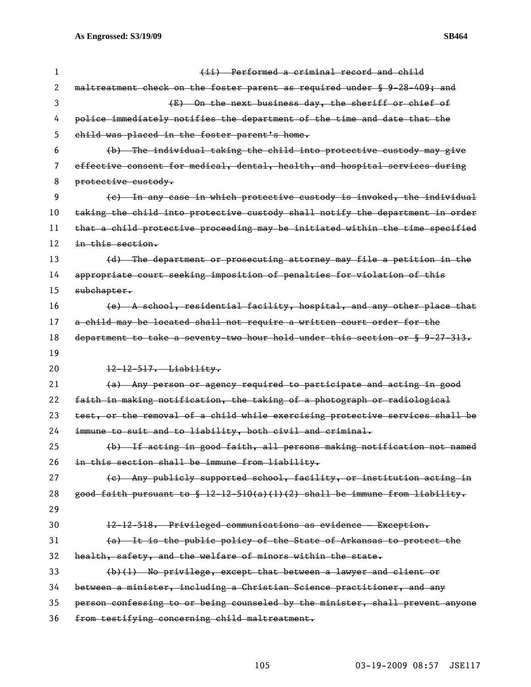| 1  | (ii) Performed a criminal record and child                                             |
|----|----------------------------------------------------------------------------------------|
| 2  | maltreatment check on the foster parent as required under § 9-28-409; and              |
| 3  | (E) On the next business day, the sheriff or chief of                                  |
| 4  | police immediately notifies the department of the time and date that the               |
| 5  | child was placed in the foster parent's home.                                          |
| 6  | (b) The individual taking the child into protective custody may give                   |
| 7  | effective consent for medical, dental, health, and hospital services during            |
| 8  | protective custody.                                                                    |
| 9  | (e) In any case in which protective custody is invoked, the individual                 |
| 10 | taking the child into protective custody shall notify the department in order          |
| 11 | that a child protective proceeding may be initiated within the time specified          |
| 12 | <del>in this section.</del>                                                            |
| 13 | (d) The department or prosecuting attorney may file a petition in the                  |
| 14 | appropriate court seeking imposition of penalties for violation of this                |
| 15 | subchapter.                                                                            |
| 16 | (e) A school, residential facility, hospital, and any other place that                 |
| 17 | a child may be located shall not require a written court order for the                 |
| 18 | department to take a seventy-two hour hold under this section or § 9-27-313.           |
|    |                                                                                        |
| 19 |                                                                                        |
| 20 | 12-12-517. Liability.                                                                  |
| 21 | (a) Any person or agency required to participate and acting in good                    |
| 22 | faith in making notification, the taking of a photograph or radiological               |
| 23 | test, or the removal of a child while exercising protective services shall be          |
| 24 | immune to suit and to liability, both civil and criminal.                              |
| 25 | (b) If acting in good faith, all persons making notification not named                 |
| 26 | in this section shall be immune from liability.                                        |
| 27 | (e) Any publicly supported school, facility, or institution acting in                  |
| 28 | good faith pursuant to $\frac{12-12-510(a)(1)(2)}{20}$ shall be immune from liability. |
| 29 |                                                                                        |
| 30 | 12-12-518. Privileged communications as evidence - Exception.                          |
| 31 | (a) It is the public policy of the State of Arkansas to protect the                    |
| 32 | health, safety, and the welfare of minors within the state.                            |
| 33 | (b)(1) No privilege, except that between a lawyer and client or                        |
| 34 | between a minister, including a Christian Science practitioner, and any                |
| 35 | person confessing to or being counseled by the minister, shall prevent anyone          |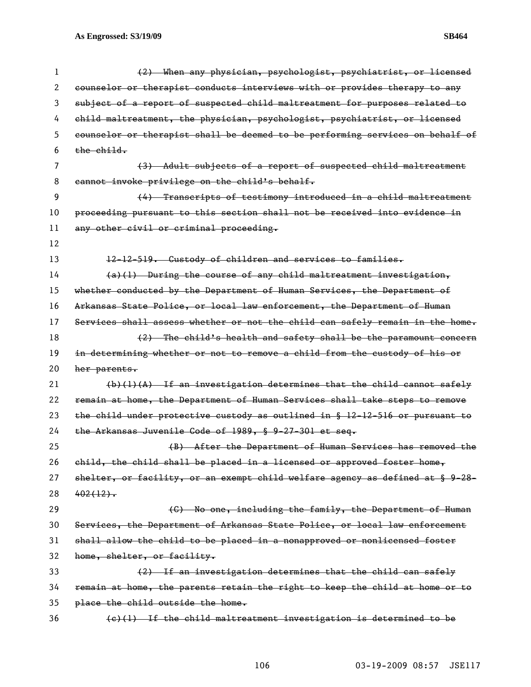| 1  | (2) When any physician, psychologist, psychiatrist, or licensed                                        |
|----|--------------------------------------------------------------------------------------------------------|
| 2  | counselor or therapist conducts interviews with or provides therapy to any                             |
| 3  | subject of a report of suspected child maltreatment for purposes related to                            |
| 4  | child maltreatment, the physician, psychologist, psychiatrist, or licensed                             |
| 5  | counselor or therapist shall be deemed to be performing services on behalf of                          |
| 6  | $the$ $chid$ .                                                                                         |
| 7  | (3) Adult subjects of a report of suspected child maltreatment                                         |
| 8  | cannot invoke privilege on the child's behalf.                                                         |
| 9  | (4) Transcripts of testimony introduced in a child maltreatment                                        |
| 10 | proceeding pursuant to this section shall not be received into evidence in                             |
| 11 | any other civil or criminal proceeding.                                                                |
| 12 |                                                                                                        |
| 13 | 12-12-519. Gustody of children and services to families.                                               |
| 14 | $(a)(1)$ During the course of any child maltreatment investigation,                                    |
| 15 | whether conducted by the Department of Human Services, the Department of                               |
| 16 | Arkansas State Police, or local law enforcement, the Department of Human                               |
| 17 | Services shall assess whether or not the child can safely remain in the home.                          |
| 18 | (2) The child's health and safety shall be the paramount concern                                       |
| 19 | in determining whether or not to remove a child from the custody of his or                             |
| 20 | her parents.                                                                                           |
| 21 | $(b)(1)(A)$ If an investigation determines that the child cannot safely                                |
| 22 | remain at home, the Department of Human Services shall take steps to remove                            |
| 23 | the child under protective custody as outlined in $\frac{12 - 12 - 516}{12 - 12 - 516}$ or pursuant to |
| 24 | the Arkansas Juvenile Code of 1989, § 9-27-301 et seq.                                                 |
| 25 | (B) After the Department of Human Services has removed the                                             |
| 26 | child, the child shall be placed in a licensed or approved foster home,                                |
| 27 | shelter, or facility, or an exempt child welfare agency as defined at $\S 9-28-$                       |
| 28 | 402(12)                                                                                                |
| 29 | (C) No one, including the family, the Department of Human                                              |
| 30 | Services, the Department of Arkansas State Police, or local law enforcement                            |
| 31 | shall allow the child to be placed in a nonapproved or nonlicensed foster                              |
| 32 | home, shelter, or facility.                                                                            |
| 33 | (2) If an investigation determines that the child can safely                                           |
| 34 | remain at home, the parents retain the right to keep the child at home or to                           |
| 35 | place the child outside the home.                                                                      |
| 36 | $(e)(1)$ If the child maltreatment investigation is determined to be                                   |